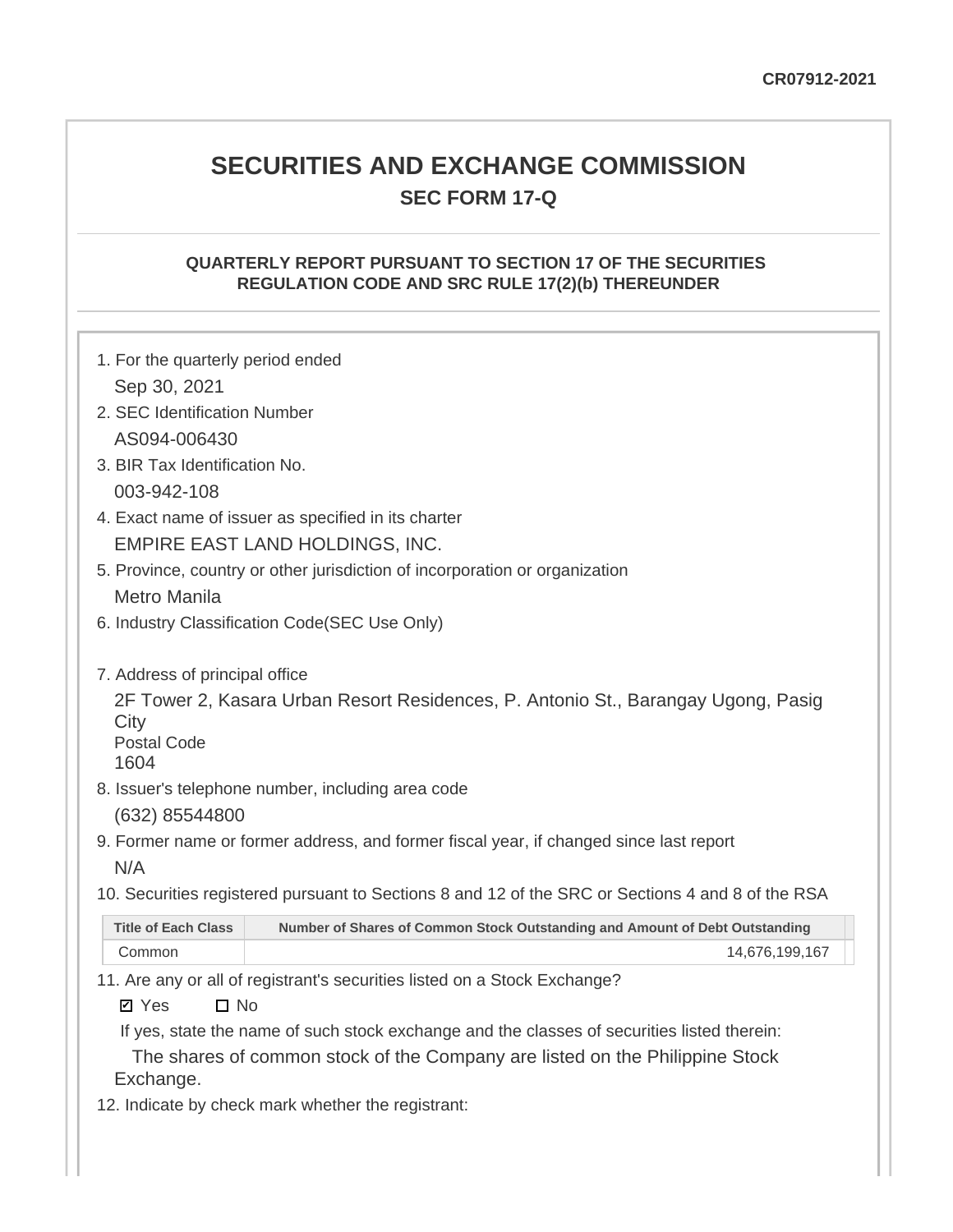# **SECURITIES AND EXCHANGE COMMISSION SEC FORM 17-Q**

### **QUARTERLY REPORT PURSUANT TO SECTION 17 OF THE SECURITIES REGULATION CODE AND SRC RULE 17(2)(b) THEREUNDER**

| 1. For the quarterly period ended            |                                                                                                                                                                          |  |  |  |  |  |  |  |  |
|----------------------------------------------|--------------------------------------------------------------------------------------------------------------------------------------------------------------------------|--|--|--|--|--|--|--|--|
| Sep 30, 2021<br>2. SEC Identification Number |                                                                                                                                                                          |  |  |  |  |  |  |  |  |
|                                              |                                                                                                                                                                          |  |  |  |  |  |  |  |  |
| AS094-006430                                 |                                                                                                                                                                          |  |  |  |  |  |  |  |  |
| 3. BIR Tax Identification No.                |                                                                                                                                                                          |  |  |  |  |  |  |  |  |
| 003-942-108                                  |                                                                                                                                                                          |  |  |  |  |  |  |  |  |
|                                              | 4. Exact name of issuer as specified in its charter                                                                                                                      |  |  |  |  |  |  |  |  |
|                                              | <b>EMPIRE EAST LAND HOLDINGS, INC.</b>                                                                                                                                   |  |  |  |  |  |  |  |  |
|                                              | 5. Province, country or other jurisdiction of incorporation or organization                                                                                              |  |  |  |  |  |  |  |  |
| <b>Metro Manila</b>                          |                                                                                                                                                                          |  |  |  |  |  |  |  |  |
|                                              | 6. Industry Classification Code(SEC Use Only)                                                                                                                            |  |  |  |  |  |  |  |  |
| City<br><b>Postal Code</b><br>1604           | 7. Address of principal office<br>2F Tower 2, Kasara Urban Resort Residences, P. Antonio St., Barangay Ugong, Pasig<br>8. Issuer's telephone number, including area code |  |  |  |  |  |  |  |  |
| (632) 85544800                               |                                                                                                                                                                          |  |  |  |  |  |  |  |  |
| N/A                                          | 9. Former name or former address, and former fiscal year, if changed since last report                                                                                   |  |  |  |  |  |  |  |  |
|                                              | 10. Securities registered pursuant to Sections 8 and 12 of the SRC or Sections 4 and 8 of the RSA                                                                        |  |  |  |  |  |  |  |  |
| <b>Title of Each Class</b>                   | Number of Shares of Common Stock Outstanding and Amount of Debt Outstanding                                                                                              |  |  |  |  |  |  |  |  |
| Common                                       | 14,676,199,167                                                                                                                                                           |  |  |  |  |  |  |  |  |
| $\Box$ No<br><b>Ø</b> Yes                    | 11. Are any or all of registrant's securities listed on a Stock Exchange?<br>If yes, state the name of such stock exchange and the classes of securities listed therein: |  |  |  |  |  |  |  |  |

The shares of common stock of the Company are listed on the Philippine Stock Exchange.

12. Indicate by check mark whether the registrant: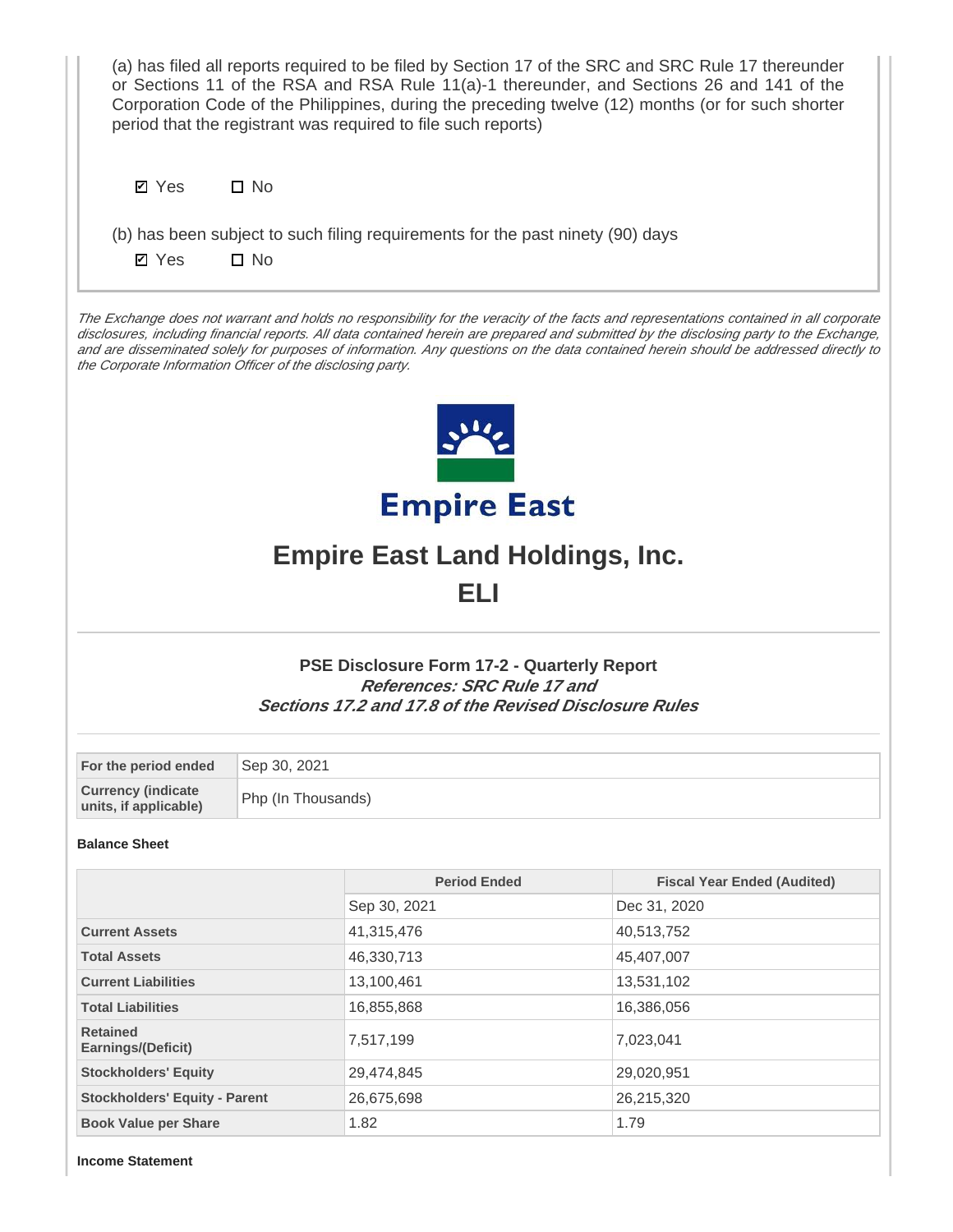| (a) has filed all reports required to be filed by Section 17 of the SRC and SRC Rule 17 thereunder<br>or Sections 11 of the RSA and RSA Rule 11(a)-1 thereunder, and Sections 26 and 141 of the<br>Corporation Code of the Philippines, during the preceding twelve (12) months (or for such shorter<br>period that the registrant was required to file such reports)                                                                                                                  |                    |                                                                                                                                                    |                                    |  |  |  |  |  |  |
|----------------------------------------------------------------------------------------------------------------------------------------------------------------------------------------------------------------------------------------------------------------------------------------------------------------------------------------------------------------------------------------------------------------------------------------------------------------------------------------|--------------------|----------------------------------------------------------------------------------------------------------------------------------------------------|------------------------------------|--|--|--|--|--|--|
| $\square$ No<br><b>Ø</b> Yes                                                                                                                                                                                                                                                                                                                                                                                                                                                           |                    |                                                                                                                                                    |                                    |  |  |  |  |  |  |
| (b) has been subject to such filing requirements for the past ninety (90) days<br>$\square$ No<br><b>Ø</b> Yes                                                                                                                                                                                                                                                                                                                                                                         |                    |                                                                                                                                                    |                                    |  |  |  |  |  |  |
| The Exchange does not warrant and holds no responsibility for the veracity of the facts and representations contained in all corporate<br>disclosures, including financial reports. All data contained herein are prepared and submitted by the disclosing party to the Exchange,<br>and are disseminated solely for purposes of information. Any questions on the data contained herein should be addressed directly to<br>the Corporate Information Officer of the disclosing party. |                    |                                                                                                                                                    |                                    |  |  |  |  |  |  |
|                                                                                                                                                                                                                                                                                                                                                                                                                                                                                        |                    |                                                                                                                                                    |                                    |  |  |  |  |  |  |
|                                                                                                                                                                                                                                                                                                                                                                                                                                                                                        |                    | <b>Empire East</b><br><b>Empire East Land Holdings, Inc.</b>                                                                                       |                                    |  |  |  |  |  |  |
|                                                                                                                                                                                                                                                                                                                                                                                                                                                                                        |                    | ELI                                                                                                                                                |                                    |  |  |  |  |  |  |
|                                                                                                                                                                                                                                                                                                                                                                                                                                                                                        |                    | <b>PSE Disclosure Form 17-2 - Quarterly Report</b><br>References: SRC Rule 17 and<br><b>Sections 17.2 and 17.8 of the Revised Disclosure Rules</b> |                                    |  |  |  |  |  |  |
| For the period ended                                                                                                                                                                                                                                                                                                                                                                                                                                                                   | Sep 30, 2021       |                                                                                                                                                    |                                    |  |  |  |  |  |  |
| <b>Currency (indicate</b><br>units, if applicable)                                                                                                                                                                                                                                                                                                                                                                                                                                     | Php (In Thousands) |                                                                                                                                                    |                                    |  |  |  |  |  |  |
| <b>Balance Sheet</b>                                                                                                                                                                                                                                                                                                                                                                                                                                                                   |                    |                                                                                                                                                    |                                    |  |  |  |  |  |  |
|                                                                                                                                                                                                                                                                                                                                                                                                                                                                                        |                    | <b>Period Ended</b>                                                                                                                                | <b>Fiscal Year Ended (Audited)</b> |  |  |  |  |  |  |
|                                                                                                                                                                                                                                                                                                                                                                                                                                                                                        |                    | Sep 30, 2021                                                                                                                                       | Dec 31, 2020                       |  |  |  |  |  |  |
| <b>Current Assets</b>                                                                                                                                                                                                                                                                                                                                                                                                                                                                  |                    | 41,315,476                                                                                                                                         | 40,513,752                         |  |  |  |  |  |  |
| <b>Total Assets</b>                                                                                                                                                                                                                                                                                                                                                                                                                                                                    |                    | 46,330,713                                                                                                                                         | 45,407,007                         |  |  |  |  |  |  |
| <b>Current Liabilities</b>                                                                                                                                                                                                                                                                                                                                                                                                                                                             |                    | 13,100,461                                                                                                                                         | 13,531,102                         |  |  |  |  |  |  |
| <b>Total Liabilities</b>                                                                                                                                                                                                                                                                                                                                                                                                                                                               |                    | 16,855,868                                                                                                                                         | 16,386,056                         |  |  |  |  |  |  |
| <b>Retained</b><br>Earnings/(Deficit)                                                                                                                                                                                                                                                                                                                                                                                                                                                  |                    | 7,517,199                                                                                                                                          | 7,023,041                          |  |  |  |  |  |  |
| <b>Stockholders' Equity</b>                                                                                                                                                                                                                                                                                                                                                                                                                                                            |                    | 29,474,845                                                                                                                                         | 29,020,951                         |  |  |  |  |  |  |
| <b>Stockholders' Equity - Parent</b>                                                                                                                                                                                                                                                                                                                                                                                                                                                   |                    | 26,675,698                                                                                                                                         | 26,215,320                         |  |  |  |  |  |  |
| <b>Book Value per Share</b>                                                                                                                                                                                                                                                                                                                                                                                                                                                            |                    | 1.82                                                                                                                                               | 1.79                               |  |  |  |  |  |  |

**Income Statement**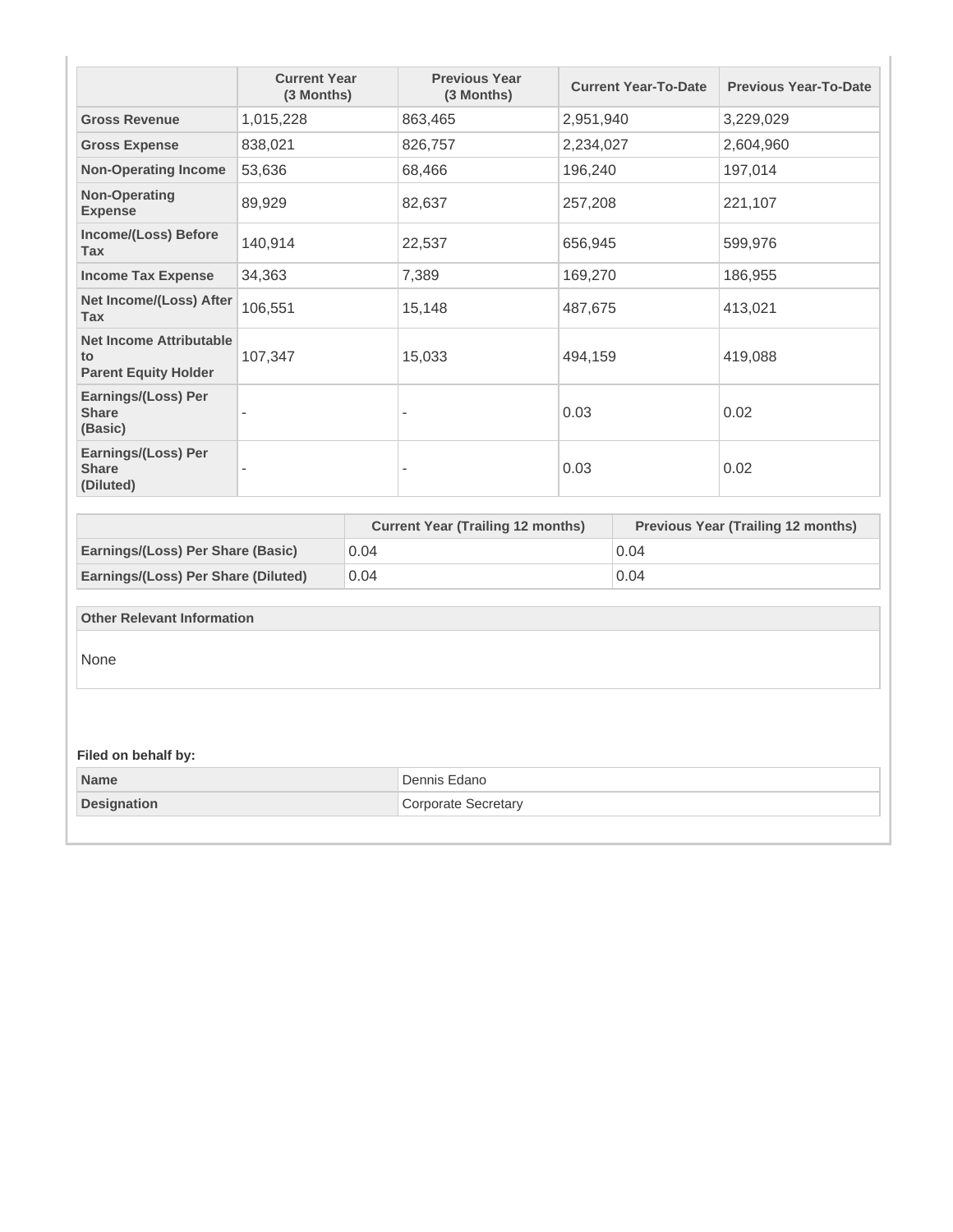| <b>Gross Revenue</b>                                                |           | (3 Months) | (3 Months)                               |           | <b>Current Year-To-Date</b> | <b>Previous Year-To-Date</b>              |  |         |
|---------------------------------------------------------------------|-----------|------------|------------------------------------------|-----------|-----------------------------|-------------------------------------------|--|---------|
|                                                                     | 1,015,228 |            | 863,465                                  | 2,951,940 |                             | 3,229,029                                 |  |         |
| <b>Gross Expense</b>                                                | 838,021   |            | 826,757                                  | 2,234,027 |                             | 2,604,960                                 |  |         |
| <b>Non-Operating Income</b>                                         | 53,636    |            | 68,466                                   | 196,240   |                             | 197,014                                   |  |         |
| <b>Non-Operating</b><br><b>Expense</b>                              | 89,929    |            | 82,637                                   | 257,208   |                             | 221,107                                   |  |         |
| Income/(Loss) Before<br><b>Tax</b>                                  | 140,914   |            | 22,537                                   | 656,945   |                             | 599,976                                   |  |         |
| <b>Income Tax Expense</b>                                           | 34,363    |            | 7,389                                    | 169,270   |                             | 186,955                                   |  |         |
| Net Income/(Loss) After<br><b>Tax</b>                               | 106,551   |            | 15,148                                   | 487,675   |                             | 413,021                                   |  |         |
| <b>Net Income Attributable</b><br>to<br><b>Parent Equity Holder</b> | 107,347   |            |                                          |           | 15,033                      | 494,159                                   |  | 419,088 |
| Earnings/(Loss) Per<br><b>Share</b><br>(Basic)                      |           |            | $\blacksquare$                           | 0.03      |                             | 0.02                                      |  |         |
| Earnings/(Loss) Per<br><b>Share</b><br>(Diluted)                    |           |            | $\overline{a}$                           | 0.03      |                             | 0.02                                      |  |         |
|                                                                     |           |            |                                          |           |                             |                                           |  |         |
|                                                                     |           |            | <b>Current Year (Trailing 12 months)</b> |           |                             | <b>Previous Year (Trailing 12 months)</b> |  |         |
| Earnings/(Loss) Per Share (Basic)                                   |           | 0.04       |                                          |           | 0.04                        |                                           |  |         |
| Earnings/(Loss) Per Share (Diluted)                                 |           | 0.04       |                                          |           | 0.04                        |                                           |  |         |
| <b>Other Relevant Information</b>                                   |           |            |                                          |           |                             |                                           |  |         |
| None                                                                |           |            |                                          |           |                             |                                           |  |         |
| Filed on behalf by:                                                 |           |            |                                          |           |                             |                                           |  |         |
| <b>Name</b>                                                         |           |            | Dennis Edano                             |           |                             |                                           |  |         |
| <b>Designation</b>                                                  |           |            | <b>Corporate Secretary</b>               |           |                             |                                           |  |         |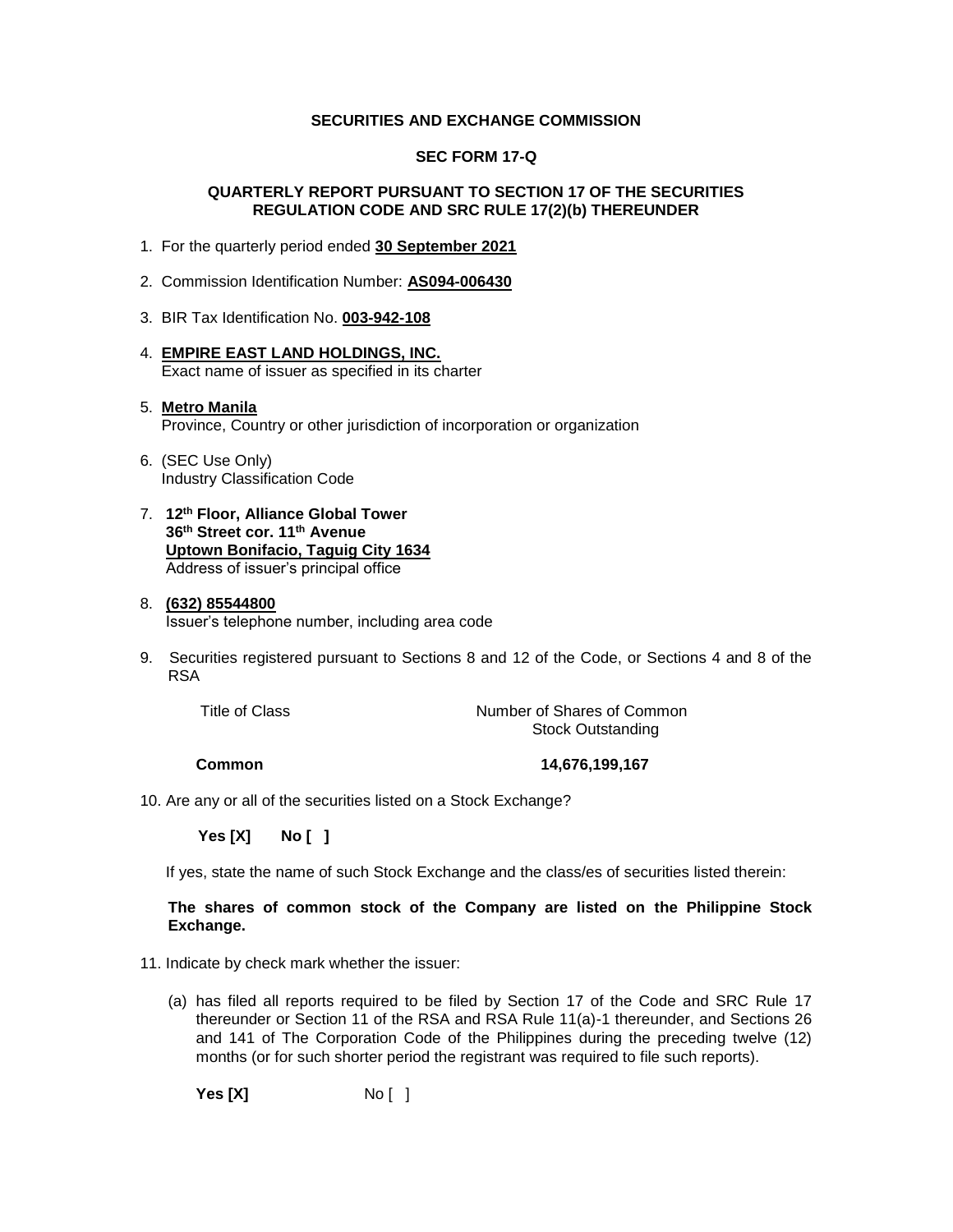#### **SECURITIES AND EXCHANGE COMMISSION**

#### **SEC FORM 17-Q**

#### **QUARTERLY REPORT PURSUANT TO SECTION 17 OF THE SECURITIES REGULATION CODE AND SRC RULE 17(2)(b) THEREUNDER**

- 1. For the quarterly period ended **30 September 2021**
- 2. Commission Identification Number: **AS094-006430**
- 3. BIR Tax Identification No. **003-942-108**
- 4. **EMPIRE EAST LAND HOLDINGS, INC.** Exact name of issuer as specified in its charter

### 5. **Metro Manila** Province, Country or other jurisdiction of incorporation or organization

- 6. (SEC Use Only) Industry Classification Code
- 7. **12th Floor, Alliance Global Tower 36th Street cor. 11th Avenue Uptown Bonifacio, Taguig City 1634** Address of issuer's principal office

#### 8. **(632) 85544800**

Issuer's telephone number, including area code

9. Securities registered pursuant to Sections 8 and 12 of the Code, or Sections 4 and 8 of the RSA

Title of Class Title of Class Common Number of Shares of Common Stock Outstanding

**Common 14,676,199,167** 

10. Are any or all of the securities listed on a Stock Exchange?

 **Yes [X] No [ ]**

If yes, state the name of such Stock Exchange and the class/es of securities listed therein:

#### **The shares of common stock of the Company are listed on the Philippine Stock Exchange.**

11. Indicate by check mark whether the issuer:

(a) has filed all reports required to be filed by Section 17 of the Code and SRC Rule 17 thereunder or Section 11 of the RSA and RSA Rule 11(a)-1 thereunder, and Sections 26 and 141 of The Corporation Code of the Philippines during the preceding twelve (12) months (or for such shorter period the registrant was required to file such reports).

**Yes [X]** No [ ]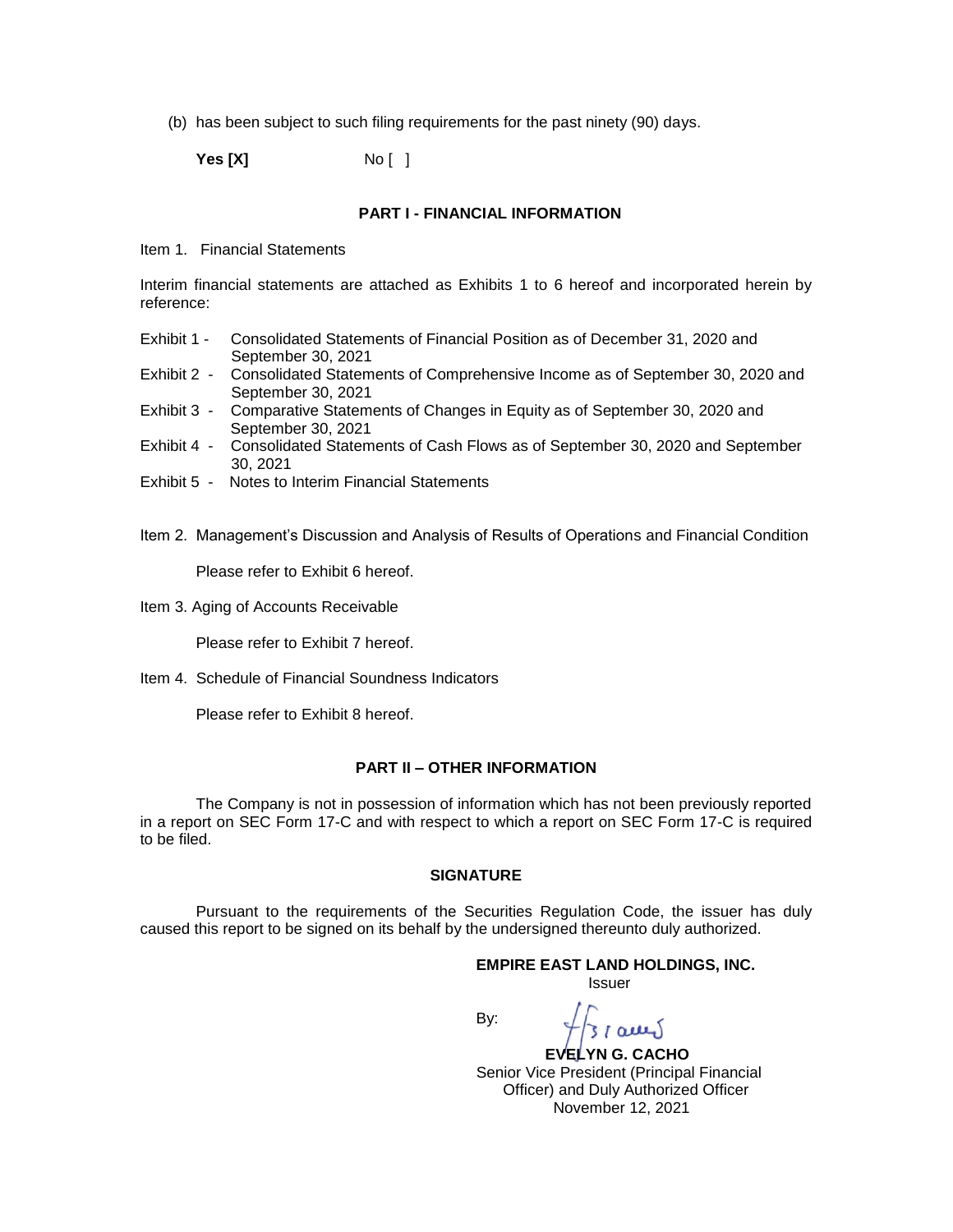(b) has been subject to such filing requirements for the past ninety (90) days.

**Yes [X]** No [ ]

#### **PART I - FINANCIAL INFORMATION**

Item 1. Financial Statements

Interim financial statements are attached as Exhibits 1 to 6 hereof and incorporated herein by reference:

- Exhibit 1 Consolidated Statements of Financial Position as of December 31, 2020 and September 30, 2021
- Exhibit 2 Consolidated Statements of Comprehensive Income as of September 30, 2020 and September 30, 2021
- Exhibit 3 Comparative Statements of Changes in Equity as of September 30, 2020 and September 30, 2021
- Exhibit 4 Consolidated Statements of Cash Flows as of September 30, 2020 and September 30, 2021
- Exhibit 5 Notes to Interim Financial Statements
- Item 2. Management's Discussion and Analysis of Results of Operations and Financial Condition

Please refer to Exhibit 6 hereof.

Item 3. Aging of Accounts Receivable

Please refer to Exhibit 7 hereof.

Item 4. Schedule of Financial Soundness Indicators

Please refer to Exhibit 8 hereof.

#### **PART II – OTHER INFORMATION**

The Company is not in possession of information which has not been previously reported in a report on SEC Form 17-C and with respect to which a report on SEC Form 17-C is required to be filed.

#### **SIGNATURE**

Pursuant to the requirements of the Securities Regulation Code, the issuer has duly caused this report to be signed on its behalf by the undersigned thereunto duly authorized.

# **EMPIRE EAST LAND HOLDINGS, INC.**

Issuer

By:

 **EVELYN G. CACHO** Senior Vice President (Principal Financial Officer) and Duly Authorized Officer November 12, 2021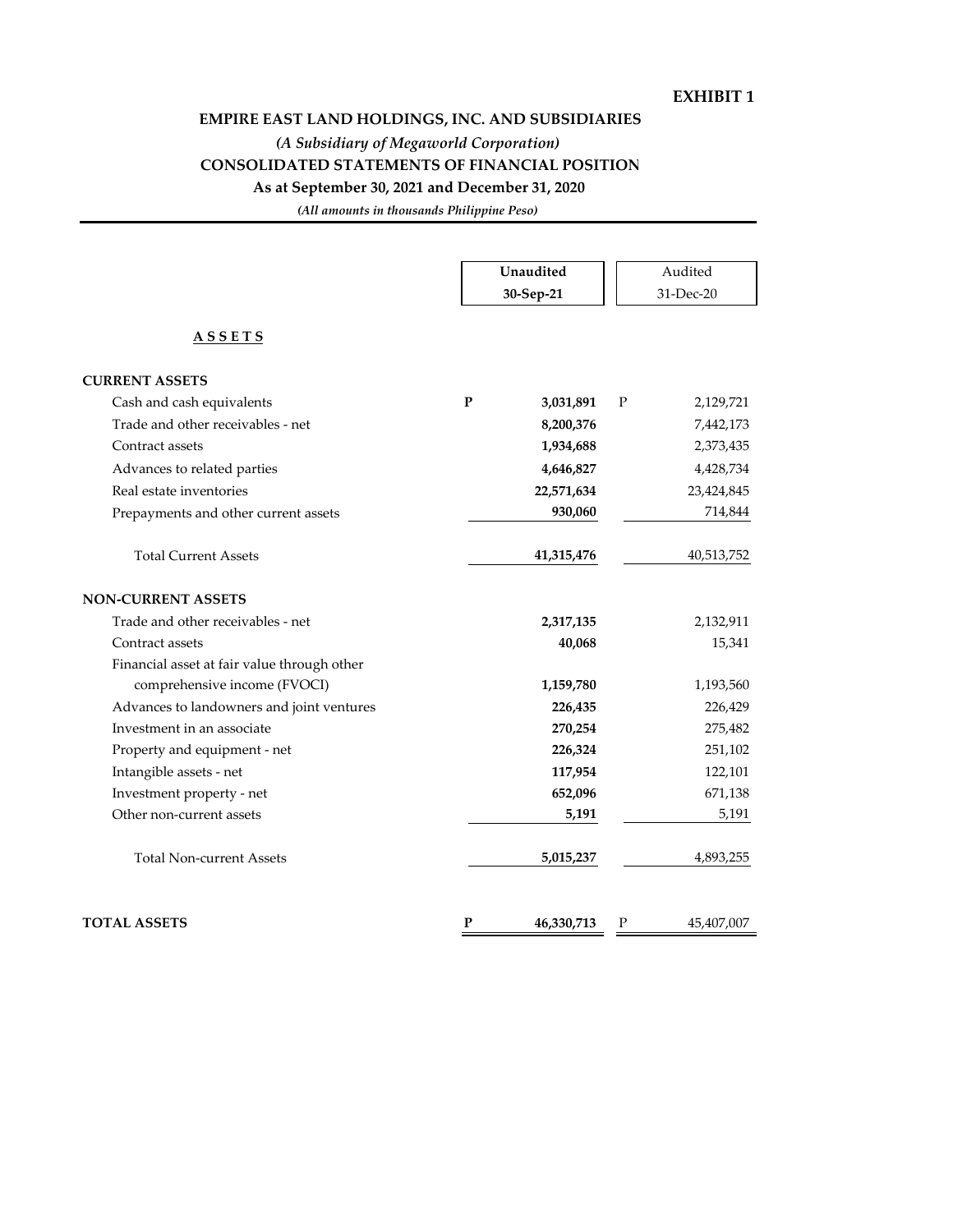### **EXHIBIT 1**

# **EMPIRE EAST LAND HOLDINGS, INC. AND SUBSIDIARIES**

*(A Subsidiary of Megaworld Corporation)*

### **CONSOLIDATED STATEMENTS OF FINANCIAL POSITION**

**As at September 30, 2021 and December 31, 2020**

*(All amounts in thousands Philippine Peso)*

|                                             |           | Unaudited<br>30-Sep-21 |              | Audited<br>31-Dec-20 |
|---------------------------------------------|-----------|------------------------|--------------|----------------------|
| <b>ASSETS</b>                               |           |                        |              |                      |
| <b>CURRENT ASSETS</b>                       |           |                        |              |                      |
| Cash and cash equivalents                   | P         | 3,031,891              | P            | 2,129,721            |
| Trade and other receivables - net           |           | 8,200,376              |              | 7,442,173            |
| Contract assets                             |           | 1,934,688              |              | 2,373,435            |
| Advances to related parties                 |           | 4,646,827              |              | 4,428,734            |
| Real estate inventories                     |           | 22,571,634             |              | 23,424,845           |
| Prepayments and other current assets        |           | 930,060                |              | 714,844              |
| <b>Total Current Assets</b>                 |           | 41,315,476             |              | 40,513,752           |
| <b>NON-CURRENT ASSETS</b>                   |           |                        |              |                      |
| Trade and other receivables - net           |           | 2,317,135              |              | 2,132,911            |
| Contract assets                             |           | 40,068                 |              | 15,341               |
| Financial asset at fair value through other |           |                        |              |                      |
| comprehensive income (FVOCI)                |           | 1,159,780              |              | 1,193,560            |
| Advances to landowners and joint ventures   |           | 226,435                |              | 226,429              |
| Investment in an associate                  |           | 270,254                |              | 275,482              |
| Property and equipment - net                |           | 226,324                |              | 251,102              |
| Intangible assets - net                     |           | 117,954                |              | 122,101              |
| Investment property - net                   |           | 652,096                |              | 671,138              |
| Other non-current assets                    |           | 5,191                  |              | 5,191                |
| <b>Total Non-current Assets</b>             |           | 5,015,237              |              | 4,893,255            |
| <b>TOTAL ASSETS</b>                         | ${\bf P}$ | 46,330,713             | $\mathbf{P}$ | 45,407,007           |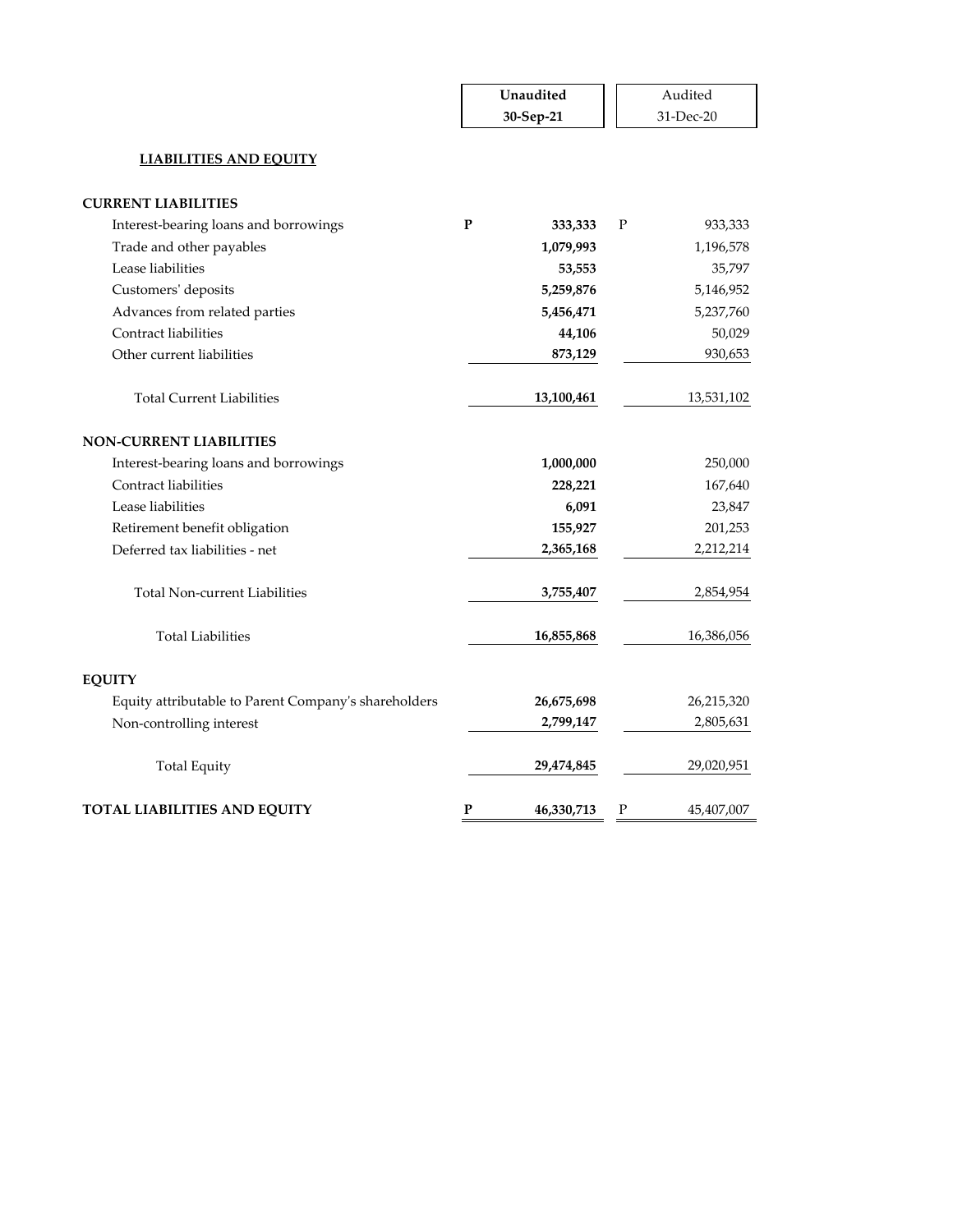|                                                      | Unaudited |            |   | Audited    |
|------------------------------------------------------|-----------|------------|---|------------|
|                                                      | 30-Sep-21 |            |   | 31-Dec-20  |
| <b>LIABILITIES AND EQUITY</b>                        |           |            |   |            |
| <b>CURRENT LIABILITIES</b>                           |           |            |   |            |
| Interest-bearing loans and borrowings                | P         | 333,333    | P | 933,333    |
| Trade and other payables                             |           | 1,079,993  |   | 1,196,578  |
| Lease liabilities                                    |           | 53,553     |   | 35,797     |
| Customers' deposits                                  |           | 5,259,876  |   | 5,146,952  |
| Advances from related parties                        |           | 5,456,471  |   | 5,237,760  |
| Contract liabilities                                 |           | 44,106     |   | 50,029     |
| Other current liabilities                            |           | 873,129    |   | 930,653    |
| <b>Total Current Liabilities</b>                     |           | 13,100,461 |   | 13,531,102 |
| <b>NON-CURRENT LIABILITIES</b>                       |           |            |   |            |
| Interest-bearing loans and borrowings                |           | 1,000,000  |   | 250,000    |
| Contract liabilities                                 |           | 228,221    |   | 167,640    |
| Lease liabilities                                    |           | 6,091      |   | 23,847     |
| Retirement benefit obligation                        |           | 155,927    |   | 201,253    |
| Deferred tax liabilities - net                       |           | 2,365,168  |   | 2,212,214  |
| <b>Total Non-current Liabilities</b>                 |           | 3,755,407  |   | 2,854,954  |
| <b>Total Liabilities</b>                             |           | 16,855,868 |   | 16,386,056 |
| <b>EQUITY</b>                                        |           |            |   |            |
| Equity attributable to Parent Company's shareholders |           | 26,675,698 |   | 26,215,320 |
| Non-controlling interest                             |           | 2,799,147  |   | 2,805,631  |
| <b>Total Equity</b>                                  |           | 29,474,845 |   | 29,020,951 |
| <b>TOTAL LIABILITIES AND EQUITY</b>                  | P         | 46,330,713 | Ρ | 45,407,007 |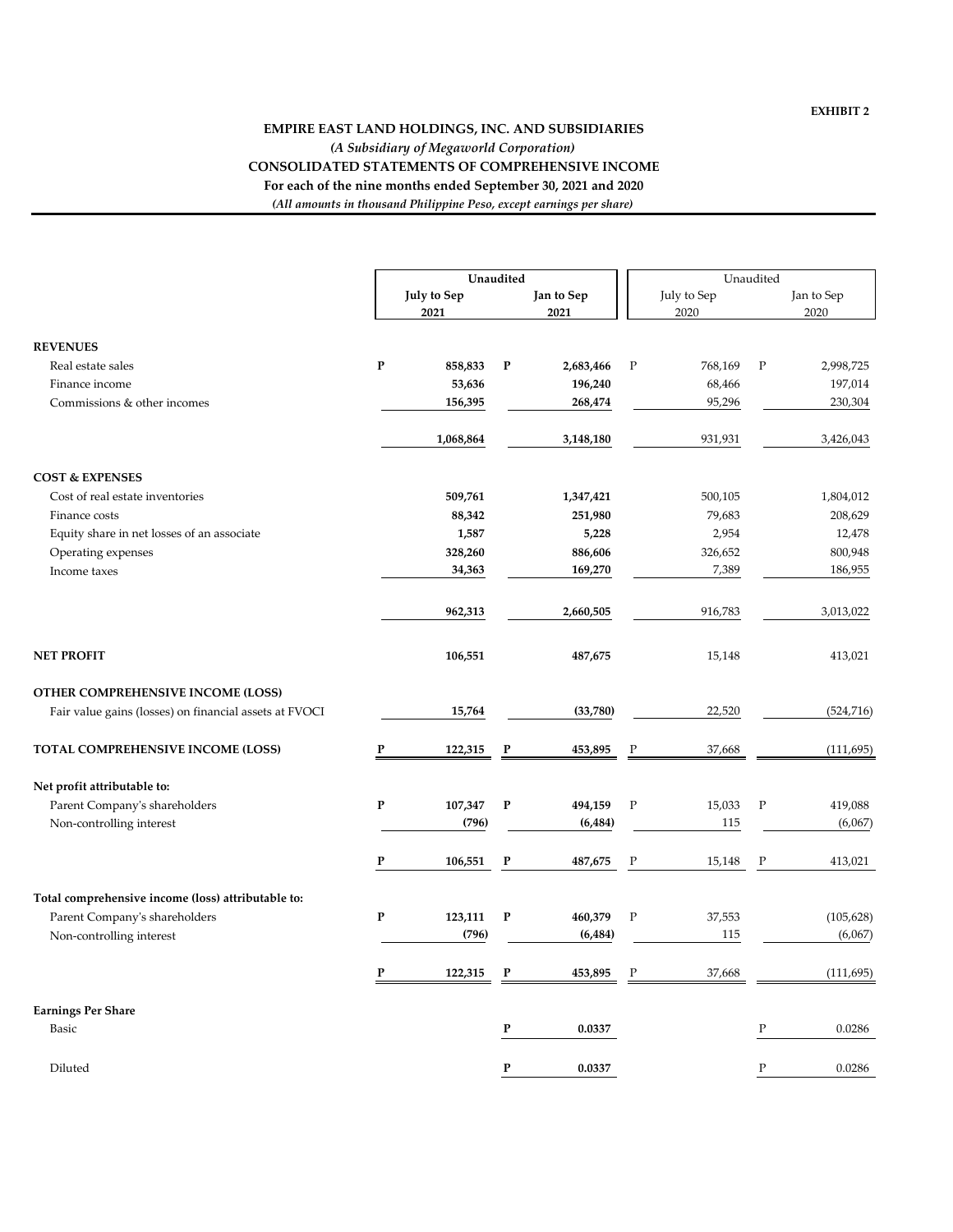#### **EMPIRE EAST LAND HOLDINGS, INC. AND SUBSIDIARIES** *(A Subsidiary of Megaworld Corporation)* **CONSOLIDATED STATEMENTS OF COMPREHENSIVE INCOME For each of the nine months ended September 30, 2021 and 2020** *(All amounts in thousand Philippine Peso, except earnings per share)*

|                                                        |           | Unaudited           |              |                    |             |                     | Unaudited    |                    |  |  |
|--------------------------------------------------------|-----------|---------------------|--------------|--------------------|-------------|---------------------|--------------|--------------------|--|--|
|                                                        |           | July to Sep<br>2021 |              | Jan to Sep<br>2021 |             | July to Sep<br>2020 |              | Jan to Sep<br>2020 |  |  |
| <b>REVENUES</b>                                        |           |                     |              |                    |             |                     |              |                    |  |  |
| Real estate sales                                      | ${\bf P}$ | 858,833             | $\mathbf P$  | 2,683,466          | $\mathbf P$ | 768,169             | $\mathbf P$  | 2,998,725          |  |  |
| Finance income                                         |           | 53,636              |              | 196,240            |             | 68,466              |              | 197,014            |  |  |
| Commissions & other incomes                            |           | 156,395             |              | 268,474            |             | 95,296              |              | 230,304            |  |  |
|                                                        |           | 1,068,864           |              | 3,148,180          |             | 931,931             |              | 3,426,043          |  |  |
| <b>COST &amp; EXPENSES</b>                             |           |                     |              |                    |             |                     |              |                    |  |  |
| Cost of real estate inventories                        |           | 509,761             |              | 1,347,421          |             | 500,105             |              | 1,804,012          |  |  |
| Finance costs                                          |           | 88,342              |              | 251,980            |             | 79,683              |              | 208,629            |  |  |
| Equity share in net losses of an associate             |           | 1,587               |              | 5,228              |             | 2,954               |              | 12,478             |  |  |
| Operating expenses                                     |           | 328,260             |              | 886,606            |             | 326,652             |              | 800,948            |  |  |
| Income taxes                                           |           | 34,363              |              | 169,270            |             | 7,389               |              | 186,955            |  |  |
|                                                        |           | 962,313             |              | 2,660,505          |             | 916,783             |              | 3,013,022          |  |  |
| <b>NET PROFIT</b>                                      |           | 106,551             |              | 487,675            |             | 15,148              |              | 413,021            |  |  |
| OTHER COMPREHENSIVE INCOME (LOSS)                      |           |                     |              |                    |             |                     |              |                    |  |  |
| Fair value gains (losses) on financial assets at FVOCI |           | 15,764              |              | (33,780)           |             | 22,520              |              | (524, 716)         |  |  |
| <b>TOTAL COMPREHENSIVE INCOME (LOSS)</b>               | P         | 122,315             | P            | 453,895            | P           | 37,668              |              | (111, 695)         |  |  |
| Net profit attributable to:                            |           |                     |              |                    |             |                     |              |                    |  |  |
| Parent Company's shareholders                          | ${\bf P}$ | 107,347             | $\mathbf{P}$ | 494,159            | $\mathbf P$ | 15,033              | $\mathbf P$  | 419,088            |  |  |
| Non-controlling interest                               |           | (796)               |              | (6, 484)           |             | 115                 |              | (6,067)            |  |  |
|                                                        | P         | 106,551             | $\mathbf P$  | 487,675            | Ρ           | 15,148              | P            | 413,021            |  |  |
| Total comprehensive income (loss) attributable to:     |           |                     |              |                    |             |                     |              |                    |  |  |
| Parent Company's shareholders                          | ${\bf P}$ | 123,111             | $\mathbf{P}$ | 460,379            | $\mathbf P$ | 37,553              |              | (105, 628)         |  |  |
| Non-controlling interest                               |           | (796)               |              | (6, 484)           |             | 115                 |              | (6,067)            |  |  |
|                                                        | P         | 122,315             | $\mathbf P$  | 453,895            | P           | 37,668              |              | (111, 695)         |  |  |
| <b>Earnings Per Share</b>                              |           |                     |              |                    |             |                     |              |                    |  |  |
| <b>Basic</b>                                           |           |                     | P            | 0.0337             |             |                     | $\mathbf P$  | 0.0286             |  |  |
| Diluted                                                |           |                     | ${\bf P}$    | 0.0337             |             |                     | $\mathbf{P}$ | 0.0286             |  |  |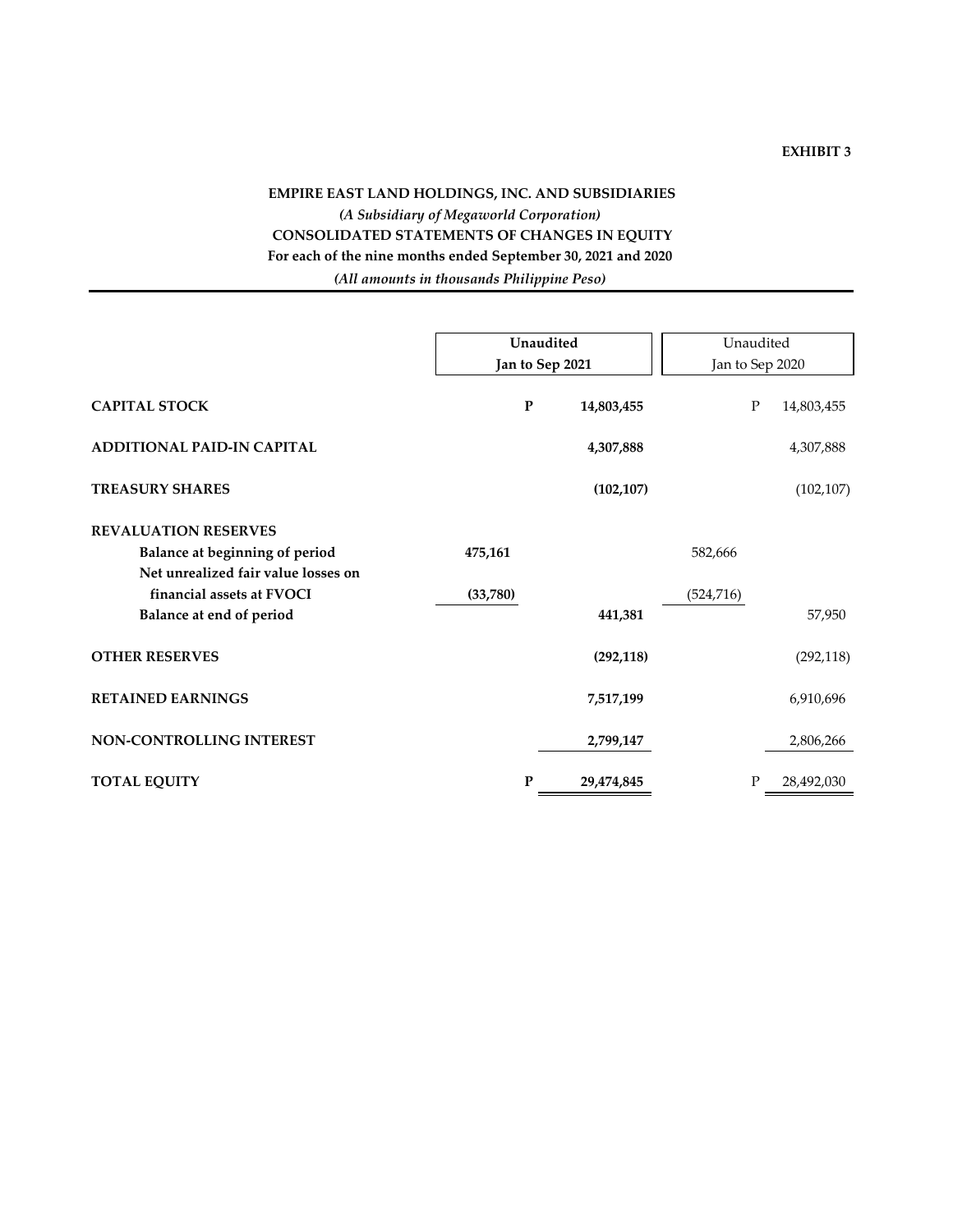#### **EXHIBIT 3**

## **EMPIRE EAST LAND HOLDINGS, INC. AND SUBSIDIARIES** *(A Subsidiary of Megaworld Corporation)* **CONSOLIDATED STATEMENTS OF CHANGES IN EQUITY For each of the nine months ended September 30, 2021 and 2020** *(All amounts in thousands Philippine Peso)*

|                                                                                                                                                               | Unaudited<br>Jan to Sep 2021 |           |            | Unaudited             | Jan to Sep 2020 |            |
|---------------------------------------------------------------------------------------------------------------------------------------------------------------|------------------------------|-----------|------------|-----------------------|-----------------|------------|
| <b>CAPITAL STOCK</b>                                                                                                                                          |                              | ${\bf P}$ | 14,803,455 |                       | P               | 14,803,455 |
| <b>ADDITIONAL PAID-IN CAPITAL</b>                                                                                                                             |                              |           | 4,307,888  |                       |                 | 4,307,888  |
| <b>TREASURY SHARES</b>                                                                                                                                        |                              |           | (102, 107) |                       |                 | (102, 107) |
| <b>REVALUATION RESERVES</b><br>Balance at beginning of period<br>Net unrealized fair value losses on<br>financial assets at FVOCI<br>Balance at end of period | 475,161<br>(33,780)          |           | 441,381    | 582,666<br>(524, 716) |                 | 57,950     |
| <b>OTHER RESERVES</b>                                                                                                                                         |                              |           | (292, 118) |                       |                 | (292, 118) |
| <b>RETAINED EARNINGS</b>                                                                                                                                      |                              |           | 7,517,199  |                       |                 | 6,910,696  |
| NON-CONTROLLING INTEREST                                                                                                                                      |                              |           | 2,799,147  |                       |                 | 2,806,266  |
| <b>TOTAL EQUITY</b>                                                                                                                                           |                              | P         | 29,474,845 |                       | P               | 28,492,030 |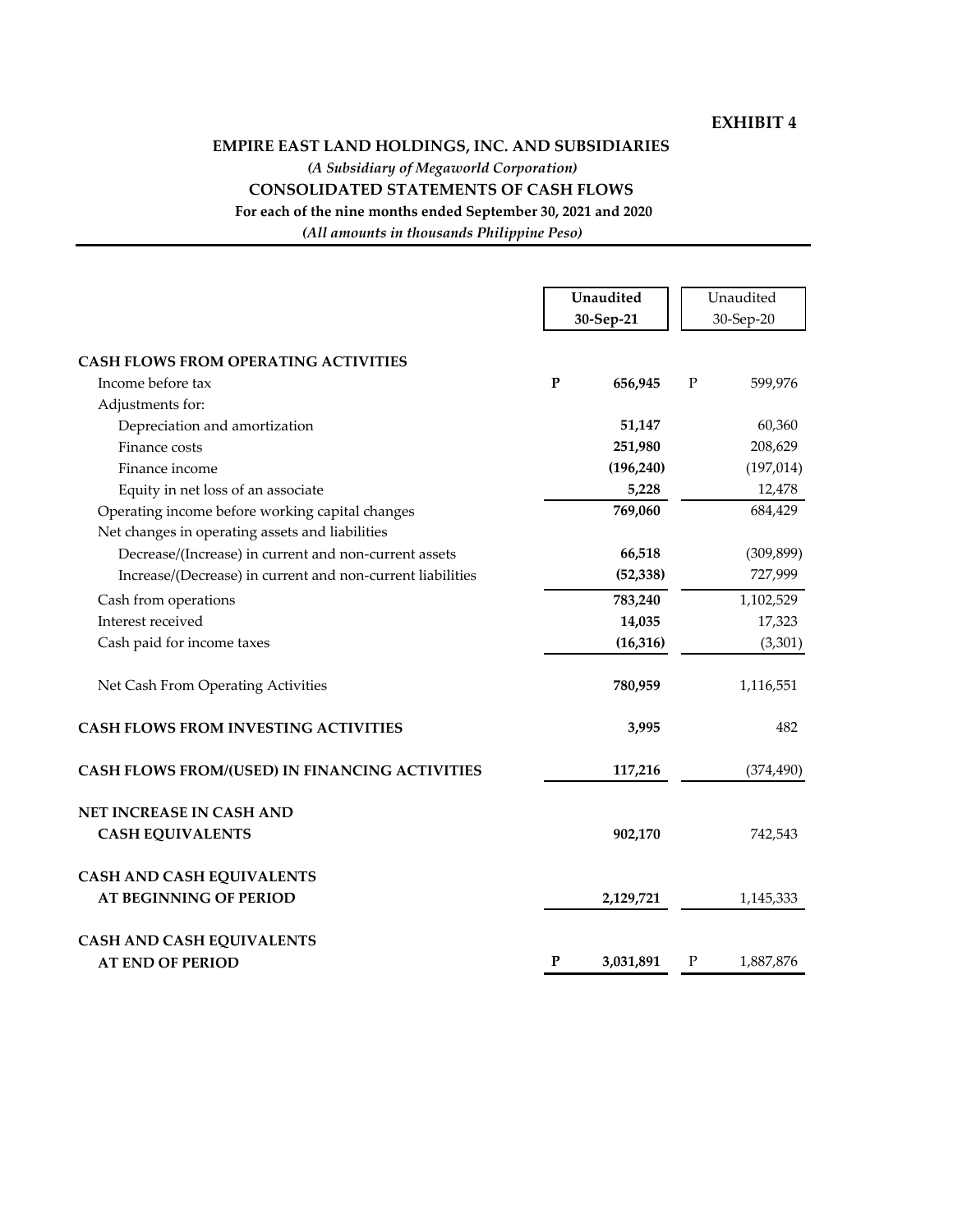### **EXHIBIT 4**

### **EMPIRE EAST LAND HOLDINGS, INC. AND SUBSIDIARIES**

*(A Subsidiary of Megaworld Corporation)*

#### **CONSOLIDATED STATEMENTS OF CASH FLOWS**

**For each of the nine months ended September 30, 2021 and 2020**

*(All amounts in thousands Philippine Peso)*

|                                                                                                    |   | Unaudited<br>30-Sep-21 |             | Unaudited<br>30-Sep-20 |
|----------------------------------------------------------------------------------------------------|---|------------------------|-------------|------------------------|
| <b>CASH FLOWS FROM OPERATING ACTIVITIES</b>                                                        |   |                        |             |                        |
| Income before tax                                                                                  | P | 656,945                | $\mathbf P$ | 599,976                |
| Adjustments for:                                                                                   |   |                        |             |                        |
| Depreciation and amortization                                                                      |   | 51,147                 |             | 60,360                 |
| Finance costs                                                                                      |   | 251,980                |             | 208,629                |
| Finance income                                                                                     |   | (196, 240)             |             | (197, 014)             |
| Equity in net loss of an associate                                                                 |   | 5,228                  |             | 12,478                 |
| Operating income before working capital changes<br>Net changes in operating assets and liabilities |   | 769,060                |             | 684,429                |
| Decrease/(Increase) in current and non-current assets                                              |   | 66,518                 |             | (309, 899)             |
| Increase/(Decrease) in current and non-current liabilities                                         |   | (52, 338)              |             | 727,999                |
| Cash from operations                                                                               |   | 783,240                |             | 1,102,529              |
| Interest received                                                                                  |   | 14,035                 |             | 17,323                 |
| Cash paid for income taxes                                                                         |   | (16, 316)              |             | (3,301)                |
| Net Cash From Operating Activities                                                                 |   | 780,959                |             | 1,116,551              |
| <b>CASH FLOWS FROM INVESTING ACTIVITIES</b>                                                        |   | 3,995                  |             | 482                    |
| CASH FLOWS FROM/(USED) IN FINANCING ACTIVITIES                                                     |   | 117,216                |             | (374, 490)             |
| <b>NET INCREASE IN CASH AND</b>                                                                    |   |                        |             |                        |
| <b>CASH EQUIVALENTS</b>                                                                            |   | 902,170                |             | 742,543                |
| <b>CASH AND CASH EQUIVALENTS</b>                                                                   |   |                        |             |                        |
| <b>AT BEGINNING OF PERIOD</b>                                                                      |   | 2,129,721              |             | 1,145,333              |
| <b>CASH AND CASH EQUIVALENTS</b>                                                                   |   |                        |             |                        |
| <b>AT END OF PERIOD</b>                                                                            | P | 3,031,891              | $\mathbf P$ | 1,887,876              |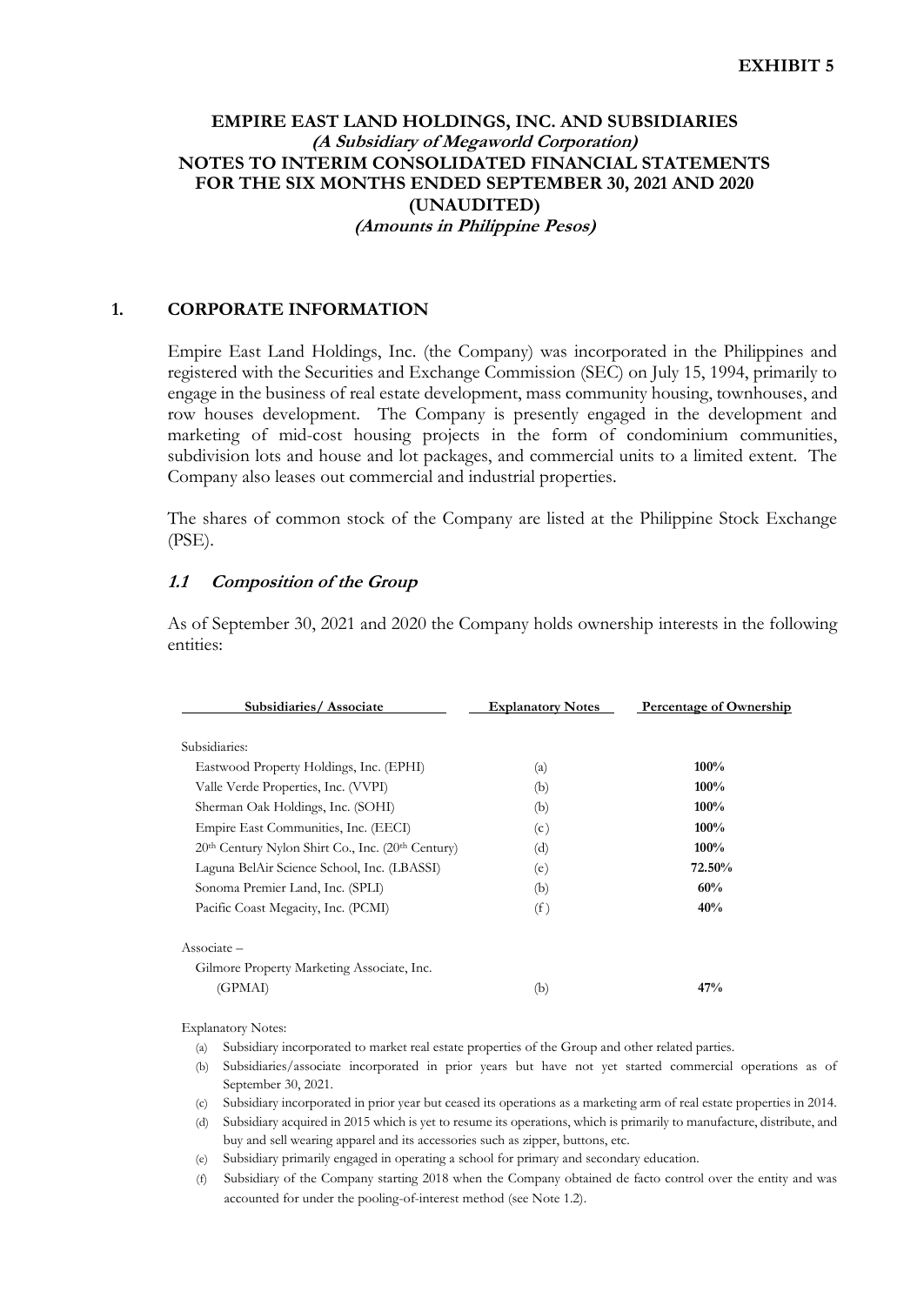## **EMPIRE EAST LAND HOLDINGS, INC. AND SUBSIDIARIES (A Subsidiary of Megaworld Corporation) NOTES TO INTERIM CONSOLIDATED FINANCIAL STATEMENTS FOR THE SIX MONTHS ENDED SEPTEMBER 30, 2021 AND 2020 (UNAUDITED) (Amounts in Philippine Pesos)**

#### **1. CORPORATE INFORMATION**

Empire East Land Holdings, Inc. (the Company) was incorporated in the Philippines and registered with the Securities and Exchange Commission (SEC) on July 15, 1994, primarily to engage in the business of real estate development, mass community housing, townhouses, and row houses development. The Company is presently engaged in the development and marketing of mid-cost housing projects in the form of condominium communities, subdivision lots and house and lot packages, and commercial units to a limited extent. The Company also leases out commercial and industrial properties.

The shares of common stock of the Company are listed at the Philippine Stock Exchange (PSE).

### **1.1 Composition of the Group**

As of September 30, 2021 and 2020 the Company holds ownership interests in the following entities:

| Subsidiaries/Associate                            | <b>Explanatory Notes</b> | <b>Percentage of Ownership</b> |
|---------------------------------------------------|--------------------------|--------------------------------|
| Subsidiaries:                                     |                          |                                |
| Eastwood Property Holdings, Inc. (EPHI)           | (a)                      | 100%                           |
| Valle Verde Properties, Inc. (VVPI)               | (b)                      | 100%                           |
| Sherman Oak Holdings, Inc. (SOHI)                 | (b)                      | 100%                           |
| Empire East Communities, Inc. (EECI)              | (c)                      | 100%                           |
| 20th Century Nylon Shirt Co., Inc. (20th Century) | (d)                      | $100\%$                        |
| Laguna BelAir Science School, Inc. (LBASSI)       | (e)                      | 72.50%                         |
| Sonoma Premier Land, Inc. (SPLI)                  | (b)                      | 60%                            |
| Pacific Coast Megacity, Inc. (PCMI)               | (f)                      | 40%                            |
| $\text{Associate}-$                               |                          |                                |
| Gilmore Property Marketing Associate, Inc.        |                          |                                |
| (GPMAI)                                           | (b)                      | 47%                            |

Explanatory Notes:

- (a) Subsidiary incorporated to market real estate properties of the Group and other related parties.
- (b) Subsidiaries/associate incorporated in prior years but have not yet started commercial operations as of September 30, 2021.
- (c) Subsidiary incorporated in prior year but ceased its operations as a marketing arm of real estate properties in 2014.
- (d) Subsidiary acquired in 2015 which is yet to resume its operations, which is primarily to manufacture, distribute, and buy and sell wearing apparel and its accessories such as zipper, buttons, etc.
- (e) Subsidiary primarily engaged in operating a school for primary and secondary education.
- (f) Subsidiary of the Company starting 2018 when the Company obtained de facto control over the entity and was accounted for under the pooling-of-interest method (see Note 1.2).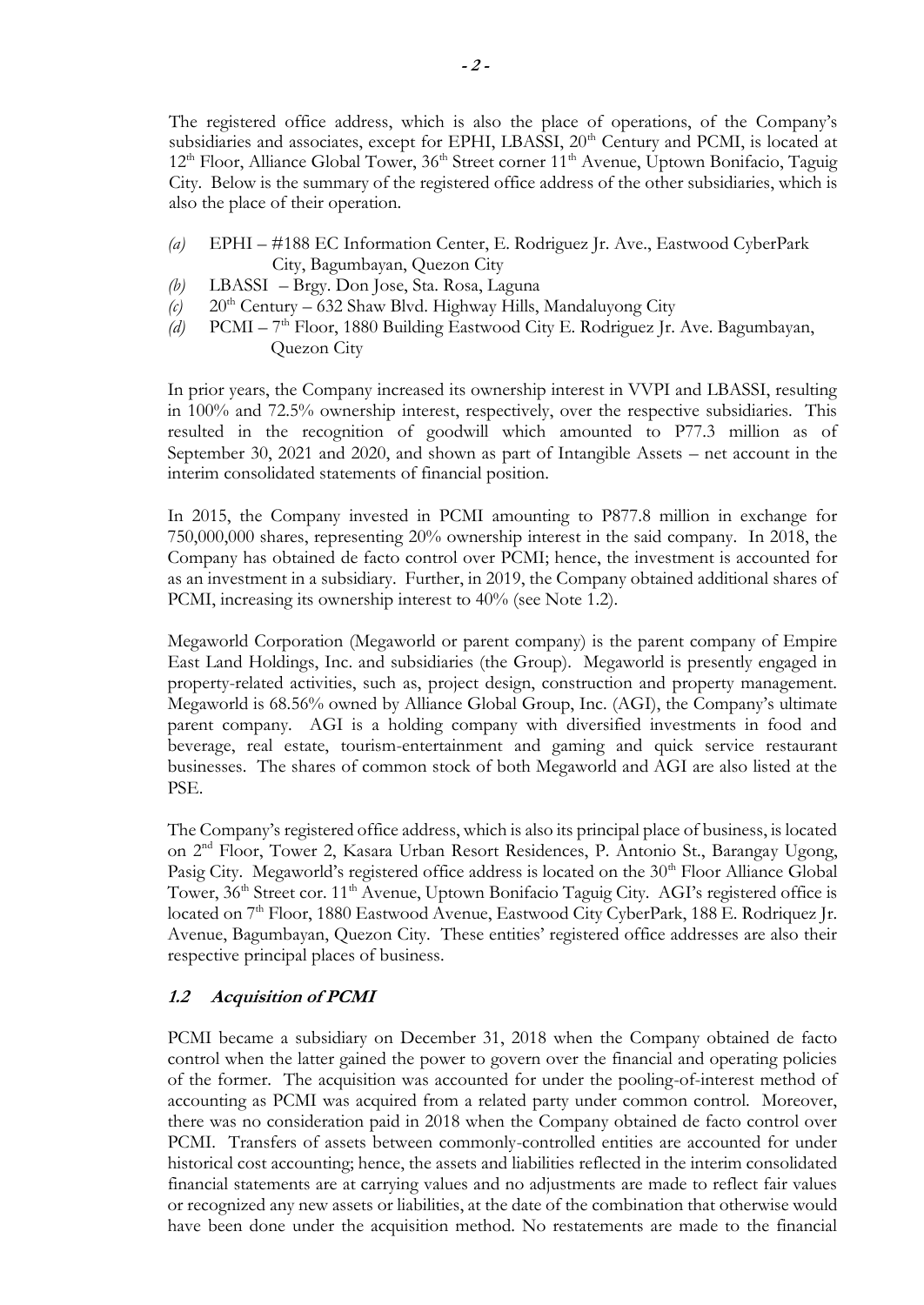The registered office address, which is also the place of operations, of the Company's subsidiaries and associates, except for EPHI, LBASSI, 20<sup>th</sup> Century and PCMI, is located at 12<sup>th</sup> Floor, Alliance Global Tower, 36<sup>th</sup> Street corner 11<sup>th</sup> Avenue, Uptown Bonifacio, Taguig City. Below is the summary of the registered office address of the other subsidiaries, which is also the place of their operation.

- *(a)* EPHI #188 EC Information Center, E. Rodriguez Jr. Ave., Eastwood CyberPark City, Bagumbayan, Quezon City
- *(b)* LBASSI Brgy. Don Jose, Sta. Rosa, Laguna
- $(c)$  20<sup>th</sup> Century 632 Shaw Blvd. Highway Hills, Mandaluyong City
- (d) PCMI 7<sup>th</sup> Floor, 1880 Building Eastwood City E. Rodriguez Jr. Ave. Bagumbayan, Quezon City

In prior years, the Company increased its ownership interest in VVPI and LBASSI, resulting in 100% and 72.5% ownership interest, respectively, over the respective subsidiaries. This resulted in the recognition of goodwill which amounted to P77.3 million as of September 30, 2021 and 2020, and shown as part of Intangible Assets – net account in the interim consolidated statements of financial position.

In 2015, the Company invested in PCMI amounting to P877.8 million in exchange for 750,000,000 shares, representing 20% ownership interest in the said company. In 2018, the Company has obtained de facto control over PCMI; hence, the investment is accounted for as an investment in a subsidiary. Further, in 2019, the Company obtained additional shares of PCMI, increasing its ownership interest to 40% (see Note 1.2).

Megaworld Corporation (Megaworld or parent company) is the parent company of Empire East Land Holdings, Inc. and subsidiaries (the Group). Megaworld is presently engaged in property-related activities, such as, project design, construction and property management. Megaworld is 68.56% owned by Alliance Global Group, Inc. (AGI), the Company's ultimate parent company. AGI is a holding company with diversified investments in food and beverage, real estate, tourism-entertainment and gaming and quick service restaurant businesses. The shares of common stock of both Megaworld and AGI are also listed at the PSE.

The Company's registered office address, which is also its principal place of business, is located on 2 nd Floor, Tower 2, Kasara Urban Resort Residences, P. Antonio St., Barangay Ugong, Pasig City. Megaworld's registered office address is located on the 30<sup>th</sup> Floor Alliance Global Tower, 36<sup>th</sup> Street cor. 11<sup>th</sup> Avenue, Uptown Bonifacio Taguig City. AGI's registered office is located on 7<sup>th</sup> Floor, 1880 Eastwood Avenue, Eastwood City CyberPark, 188 E. Rodriquez Jr. Avenue, Bagumbayan, Quezon City. These entities' registered office addresses are also their respective principal places of business.

### **1.2 Acquisition of PCMI**

PCMI became a subsidiary on December 31, 2018 when the Company obtained de facto control when the latter gained the power to govern over the financial and operating policies of the former. The acquisition was accounted for under the pooling-of-interest method of accounting as PCMI was acquired from a related party under common control. Moreover, there was no consideration paid in 2018 when the Company obtained de facto control over PCMI. Transfers of assets between commonly-controlled entities are accounted for under historical cost accounting; hence, the assets and liabilities reflected in the interim consolidated financial statements are at carrying values and no adjustments are made to reflect fair values or recognized any new assets or liabilities, at the date of the combination that otherwise would have been done under the acquisition method. No restatements are made to the financial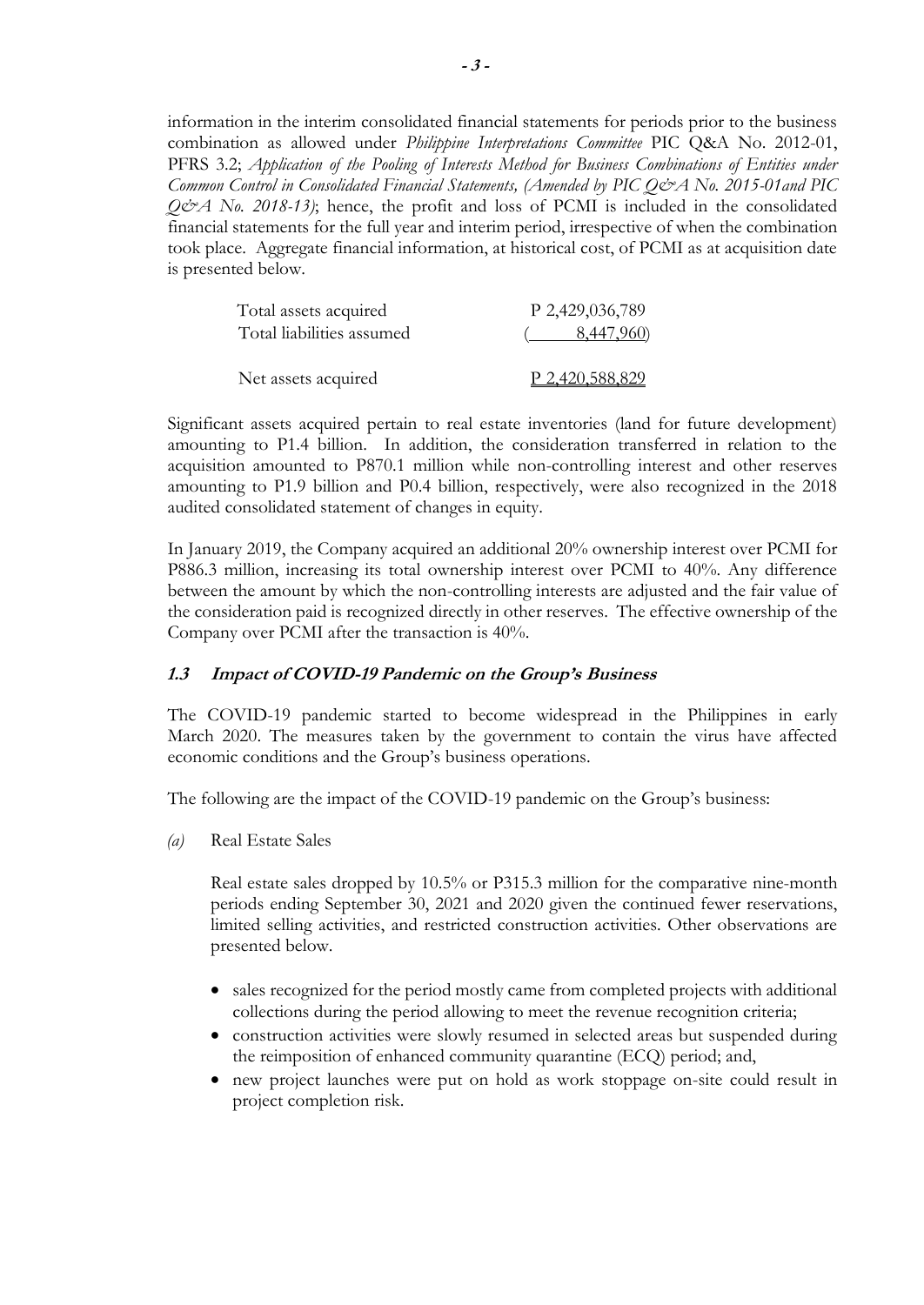information in the interim consolidated financial statements for periods prior to the business combination as allowed under *Philippine Interpretations Committee* PIC Q&A No. 2012-01, PFRS 3.2; *Application of the Pooling of Interests Method for Business Combinations of Entities under Common Control in Consolidated Financial Statements, (Amended by [PIC Q&A No. 2015-01a](http://www.picpa.com.ph/attachment/630201616925964.pdf)nd [PIC](http://www.picpa.com.ph/attachment/12232018211045523.pdf)  [Q&A No. 2018-13\)](http://www.picpa.com.ph/attachment/12232018211045523.pdf)*; hence, the profit and loss of PCMI is included in the consolidated financial statements for the full year and interim period, irrespective of when the combination took place. Aggregate financial information, at historical cost, of PCMI as at acquisition date is presented below.

| Total assets acquired     | P 2,429,036,789        |
|---------------------------|------------------------|
| Total liabilities assumed | $($ 8,447,960)         |
| Net assets acquired       | <u>P 2,420,588,829</u> |

Significant assets acquired pertain to real estate inventories (land for future development) amounting to P1.4 billion. In addition, the consideration transferred in relation to the acquisition amounted to P870.1 million while non-controlling interest and other reserves amounting to P1.9 billion and P0.4 billion, respectively, were also recognized in the 2018 audited consolidated statement of changes in equity.

In January 2019, the Company acquired an additional 20% ownership interest over PCMI for P886.3 million, increasing its total ownership interest over PCMI to 40%. Any difference between the amount by which the non-controlling interests are adjusted and the fair value of the consideration paid is recognized directly in other reserves. The effective ownership of the Company over PCMI after the transaction is 40%.

### **1.3 Impact of COVID-19 Pandemic on the Group's Business**

The COVID-19 pandemic started to become widespread in the Philippines in early March 2020. The measures taken by the government to contain the virus have affected economic conditions and the Group's business operations.

The following are the impact of the COVID-19 pandemic on the Group's business:

*(a)* Real Estate Sales

Real estate sales dropped by 10.5% or P315.3 million for the comparative nine-month periods ending September 30, 2021 and 2020 given the continued fewer reservations, limited selling activities, and restricted construction activities. Other observations are presented below.

- sales recognized for the period mostly came from completed projects with additional collections during the period allowing to meet the revenue recognition criteria;
- construction activities were slowly resumed in selected areas but suspended during the reimposition of enhanced community quarantine (ECQ) period; and,
- new project launches were put on hold as work stoppage on-site could result in project completion risk.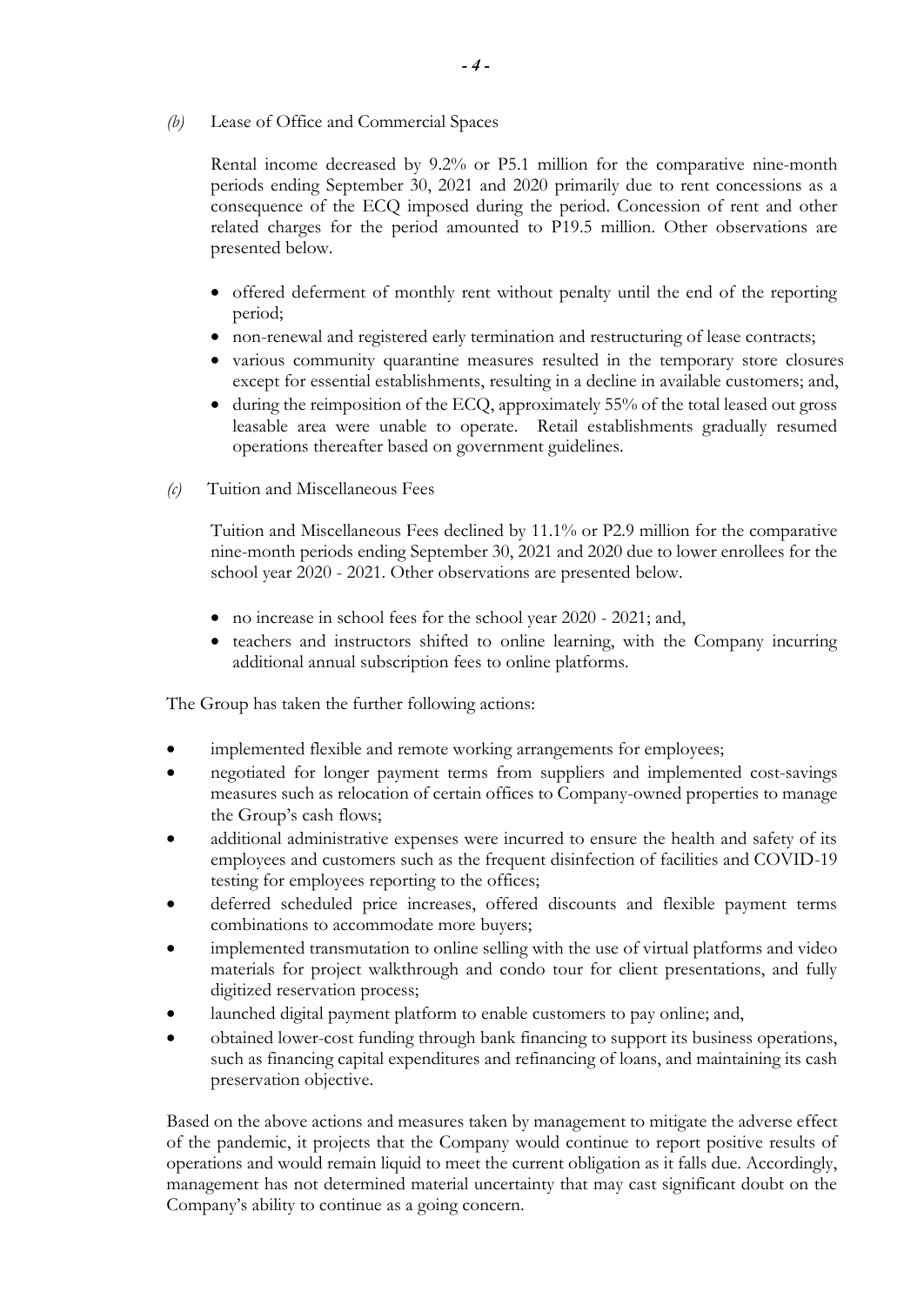*(b)* Lease of Office and Commercial Spaces

Rental income decreased by 9.2% or P5.1 million for the comparative nine-month periods ending September 30, 2021 and 2020 primarily due to rent concessions as a consequence of the ECQ imposed during the period. Concession of rent and other related charges for the period amounted to P19.5 million. Other observations are presented below.

- offered deferment of monthly rent without penalty until the end of the reporting period;
- non-renewal and registered early termination and restructuring of lease contracts;
- various community quarantine measures resulted in the temporary store closures except for essential establishments, resulting in a decline in available customers; and,
- during the reimposition of the ECQ, approximately 55% of the total leased out gross leasable area were unable to operate. Retail establishments gradually resumed operations thereafter based on government guidelines.
- *(c)* Tuition and Miscellaneous Fees

Tuition and Miscellaneous Fees declined by 11.1% or P2.9 million for the comparative nine-month periods ending September 30, 2021 and 2020 due to lower enrollees for the school year 2020 - 2021. Other observations are presented below.

- no increase in school fees for the school year 2020 2021; and,
- teachers and instructors shifted to online learning, with the Company incurring additional annual subscription fees to online platforms.

The Group has taken the further following actions:

- implemented flexible and remote working arrangements for employees;
- negotiated for longer payment terms from suppliers and implemented cost-savings measures such as relocation of certain offices to Company-owned properties to manage the Group's cash flows;
- additional administrative expenses were incurred to ensure the health and safety of its employees and customers such as the frequent disinfection of facilities and COVID-19 testing for employees reporting to the offices;
- deferred scheduled price increases, offered discounts and flexible payment terms combinations to accommodate more buyers;
- implemented transmutation to online selling with the use of virtual platforms and video materials for project walkthrough and condo tour for client presentations, and fully digitized reservation process;
- launched digital payment platform to enable customers to pay online; and,
- obtained lower-cost funding through bank financing to support its business operations, such as financing capital expenditures and refinancing of loans, and maintaining its cash preservation objective.

Based on the above actions and measures taken by management to mitigate the adverse effect of the pandemic, it projects that the Company would continue to report positive results of operations and would remain liquid to meet the current obligation as it falls due. Accordingly, management has not determined material uncertainty that may cast significant doubt on the Company's ability to continue as a going concern.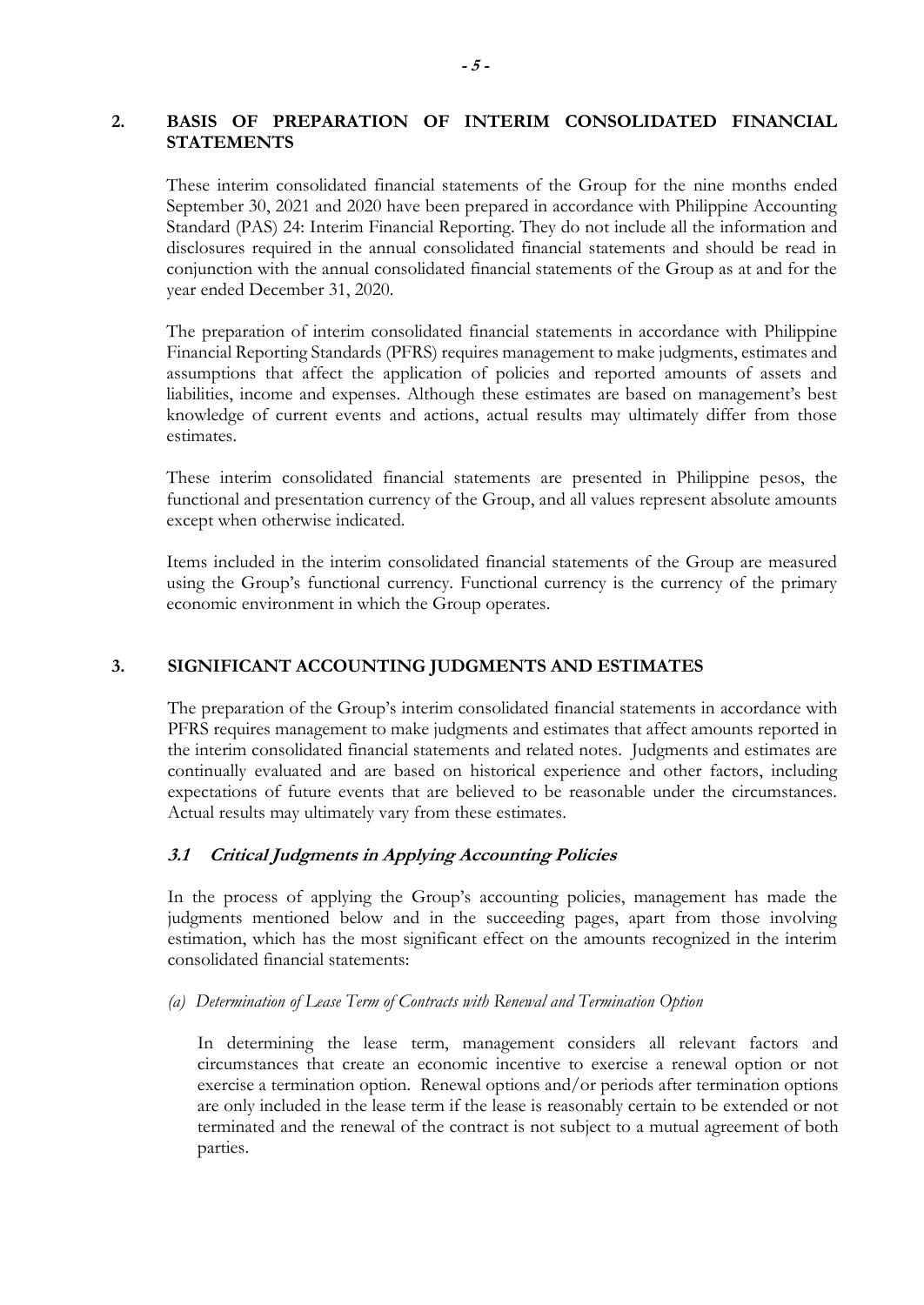### **2. BASIS OF PREPARATION OF INTERIM CONSOLIDATED FINANCIAL STATEMENTS**

These interim consolidated financial statements of the Group for the nine months ended September 30, 2021 and 2020 have been prepared in accordance with Philippine Accounting Standard (PAS) 24: Interim Financial Reporting. They do not include all the information and disclosures required in the annual consolidated financial statements and should be read in conjunction with the annual consolidated financial statements of the Group as at and for the year ended December 31, 2020.

The preparation of interim consolidated financial statements in accordance with Philippine Financial Reporting Standards (PFRS) requires management to make judgments, estimates and assumptions that affect the application of policies and reported amounts of assets and liabilities, income and expenses. Although these estimates are based on management's best knowledge of current events and actions, actual results may ultimately differ from those estimates.

These interim consolidated financial statements are presented in Philippine pesos, the functional and presentation currency of the Group, and all values represent absolute amounts except when otherwise indicated.

Items included in the interim consolidated financial statements of the Group are measured using the Group's functional currency. Functional currency is the currency of the primary economic environment in which the Group operates.

### **3. SIGNIFICANT ACCOUNTING JUDGMENTS AND ESTIMATES**

The preparation of the Group's interim consolidated financial statements in accordance with PFRS requires management to make judgments and estimates that affect amounts reported in the interim consolidated financial statements and related notes. Judgments and estimates are continually evaluated and are based on historical experience and other factors, including expectations of future events that are believed to be reasonable under the circumstances. Actual results may ultimately vary from these estimates.

### **3.1 Critical Judgments in Applying Accounting Policies**

In the process of applying the Group's accounting policies, management has made the judgments mentioned below and in the succeeding pages, apart from those involving estimation, which has the most significant effect on the amounts recognized in the interim consolidated financial statements:

*(a) Determination of Lease Term of Contracts with Renewal and Termination Option* 

In determining the lease term, management considers all relevant factors and circumstances that create an economic incentive to exercise a renewal option or not exercise a termination option. Renewal options and/or periods after termination options are only included in the lease term if the lease is reasonably certain to be extended or not terminated and the renewal of the contract is not subject to a mutual agreement of both parties.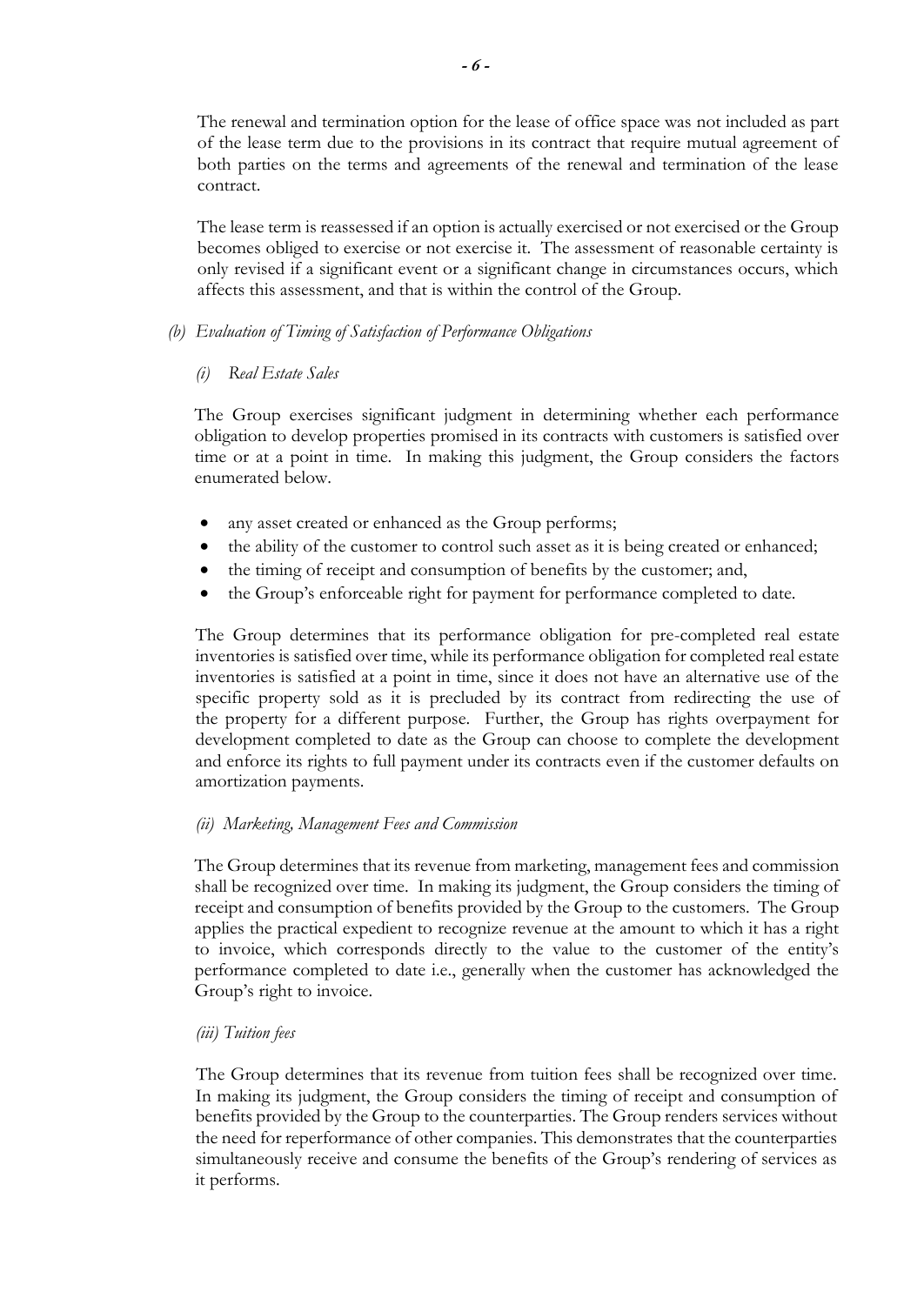The renewal and termination option for the lease of office space was not included as part of the lease term due to the provisions in its contract that require mutual agreement of both parties on the terms and agreements of the renewal and termination of the lease contract.

The lease term is reassessed if an option is actually exercised or not exercised or the Group becomes obliged to exercise or not exercise it. The assessment of reasonable certainty is only revised if a significant event or a significant change in circumstances occurs, which affects this assessment, and that is within the control of the Group.

### *(b) Evaluation of Timing of Satisfaction of Performance Obligations*

### *(i) Real Estate Sales*

The Group exercises significant judgment in determining whether each performance obligation to develop properties promised in its contracts with customers is satisfied over time or at a point in time. In making this judgment, the Group considers the factors enumerated below.

- any asset created or enhanced as the Group performs;
- the ability of the customer to control such asset as it is being created or enhanced;
- the timing of receipt and consumption of benefits by the customer; and,
- the Group's enforceable right for payment for performance completed to date.

The Group determines that its performance obligation for pre-completed real estate inventories is satisfied over time, while its performance obligation for completed real estate inventories is satisfied at a point in time, since it does not have an alternative use of the specific property sold as it is precluded by its contract from redirecting the use of the property for a different purpose. Further, the Group has rights overpayment for development completed to date as the Group can choose to complete the development and enforce its rights to full payment under its contracts even if the customer defaults on amortization payments.

### *(ii) Marketing, Management Fees and Commission*

The Group determines that its revenue from marketing, management fees and commission shall be recognized over time. In making its judgment, the Group considers the timing of receipt and consumption of benefits provided by the Group to the customers. The Group applies the practical expedient to recognize revenue at the amount to which it has a right to invoice, which corresponds directly to the value to the customer of the entity's performance completed to date i.e., generally when the customer has acknowledged the Group's right to invoice.

#### *(iii) Tuition fees*

The Group determines that its revenue from tuition fees shall be recognized over time. In making its judgment, the Group considers the timing of receipt and consumption of benefits provided by the Group to the counterparties. The Group renders services without the need for reperformance of other companies. This demonstrates that the counterparties simultaneously receive and consume the benefits of the Group's rendering of services as it performs.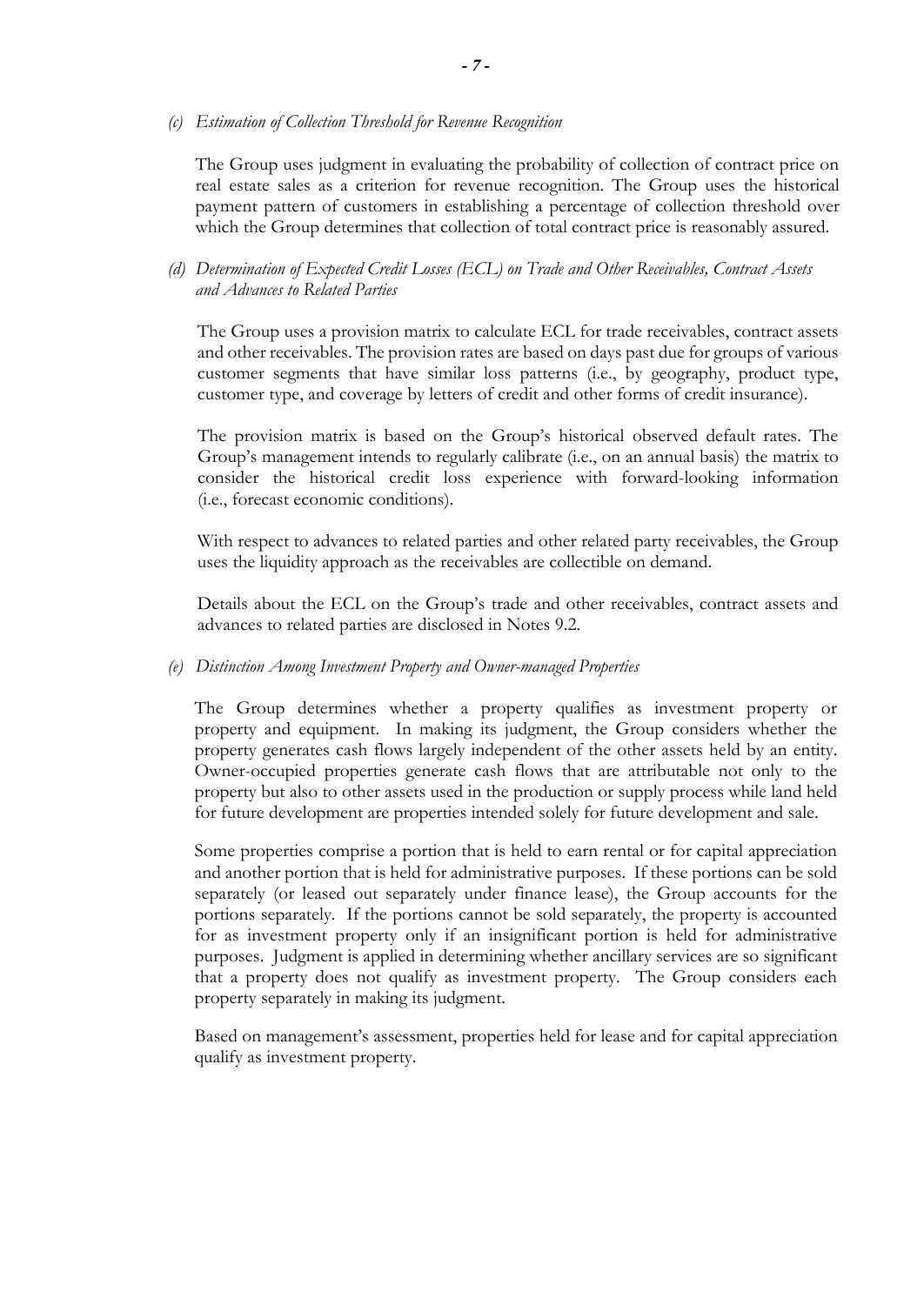#### *(c) Estimation of Collection Threshold for Revenue Recognition*

The Group uses judgment in evaluating the probability of collection of contract price on real estate sales as a criterion for revenue recognition. The Group uses the historical payment pattern of customers in establishing a percentage of collection threshold over which the Group determines that collection of total contract price is reasonably assured.

### *(d) Determination of Expected Credit Losses (ECL) on Trade and Other Receivables, Contract Assets and Advances to Related Parties*

The Group uses a provision matrix to calculate ECL for trade receivables, contract assets and other receivables. The provision rates are based on days past due for groups of various customer segments that have similar loss patterns (i.e., by geography, product type, customer type, and coverage by letters of credit and other forms of credit insurance).

The provision matrix is based on the Group's historical observed default rates. The Group's management intends to regularly calibrate (i.e., on an annual basis) the matrix to consider the historical credit loss experience with forward-looking information (i.e., forecast economic conditions).

With respect to advances to related parties and other related party receivables, the Group uses the liquidity approach as the receivables are collectible on demand.

Details about the ECL on the Group's trade and other receivables, contract assets and advances to related parties are disclosed in Notes 9.2.

#### *(e) Distinction Among Investment Property and Owner-managed Properties*

The Group determines whether a property qualifies as investment property or property and equipment. In making its judgment, the Group considers whether the property generates cash flows largely independent of the other assets held by an entity. Owner-occupied properties generate cash flows that are attributable not only to the property but also to other assets used in the production or supply process while land held for future development are properties intended solely for future development and sale.

Some properties comprise a portion that is held to earn rental or for capital appreciation and another portion that is held for administrative purposes. If these portions can be sold separately (or leased out separately under finance lease), the Group accounts for the portions separately. If the portions cannot be sold separately, the property is accounted for as investment property only if an insignificant portion is held for administrative purposes. Judgment is applied in determining whether ancillary services are so significant that a property does not qualify as investment property. The Group considers each property separately in making its judgment.

Based on management's assessment, properties held for lease and for capital appreciation qualify as investment property.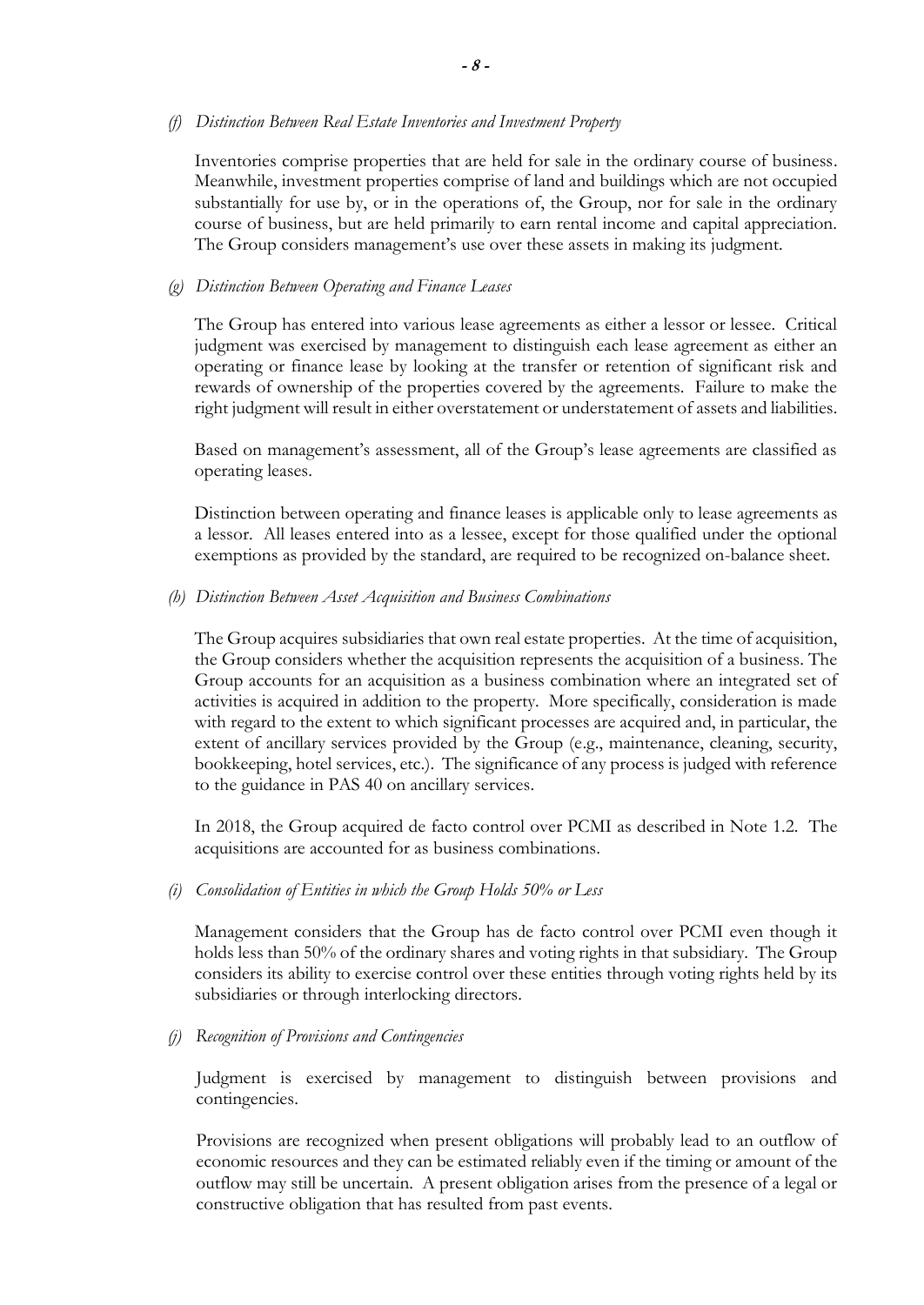#### *(f) Distinction Between Real Estate Inventories and Investment Property*

Inventories comprise properties that are held for sale in the ordinary course of business. Meanwhile, investment properties comprise of land and buildings which are not occupied substantially for use by, or in the operations of, the Group, nor for sale in the ordinary course of business, but are held primarily to earn rental income and capital appreciation. The Group considers management's use over these assets in making its judgment.

#### *(g) Distinction Between Operating and Finance Leases*

The Group has entered into various lease agreements as either a lessor or lessee. Critical judgment was exercised by management to distinguish each lease agreement as either an operating or finance lease by looking at the transfer or retention of significant risk and rewards of ownership of the properties covered by the agreements. Failure to make the right judgment will result in either overstatement or understatement of assets and liabilities.

Based on management's assessment, all of the Group's lease agreements are classified as operating leases.

Distinction between operating and finance leases is applicable only to lease agreements as a lessor. All leases entered into as a lessee, except for those qualified under the optional exemptions as provided by the standard, are required to be recognized on-balance sheet.

#### *(h) Distinction Between Asset Acquisition and Business Combinations*

The Group acquires subsidiaries that own real estate properties. At the time of acquisition, the Group considers whether the acquisition represents the acquisition of a business. The Group accounts for an acquisition as a business combination where an integrated set of activities is acquired in addition to the property. More specifically, consideration is made with regard to the extent to which significant processes are acquired and, in particular, the extent of ancillary services provided by the Group (e.g., maintenance, cleaning, security, bookkeeping, hotel services, etc.). The significance of any process is judged with reference to the guidance in PAS 40 on ancillary services.

In 2018, the Group acquired de facto control over PCMI as described in Note 1.2. The acquisitions are accounted for as business combinations.

#### *(i) Consolidation of Entities in which the Group Holds 50% or Less*

Management considers that the Group has de facto control over PCMI even though it holds less than 50% of the ordinary shares and voting rights in that subsidiary. The Group considers its ability to exercise control over these entities through voting rights held by its subsidiaries or through interlocking directors.

#### *(j) Recognition of Provisions and Contingencies*

Judgment is exercised by management to distinguish between provisions and contingencies.

Provisions are recognized when present obligations will probably lead to an outflow of economic resources and they can be estimated reliably even if the timing or amount of the outflow may still be uncertain. A present obligation arises from the presence of a legal or constructive obligation that has resulted from past events.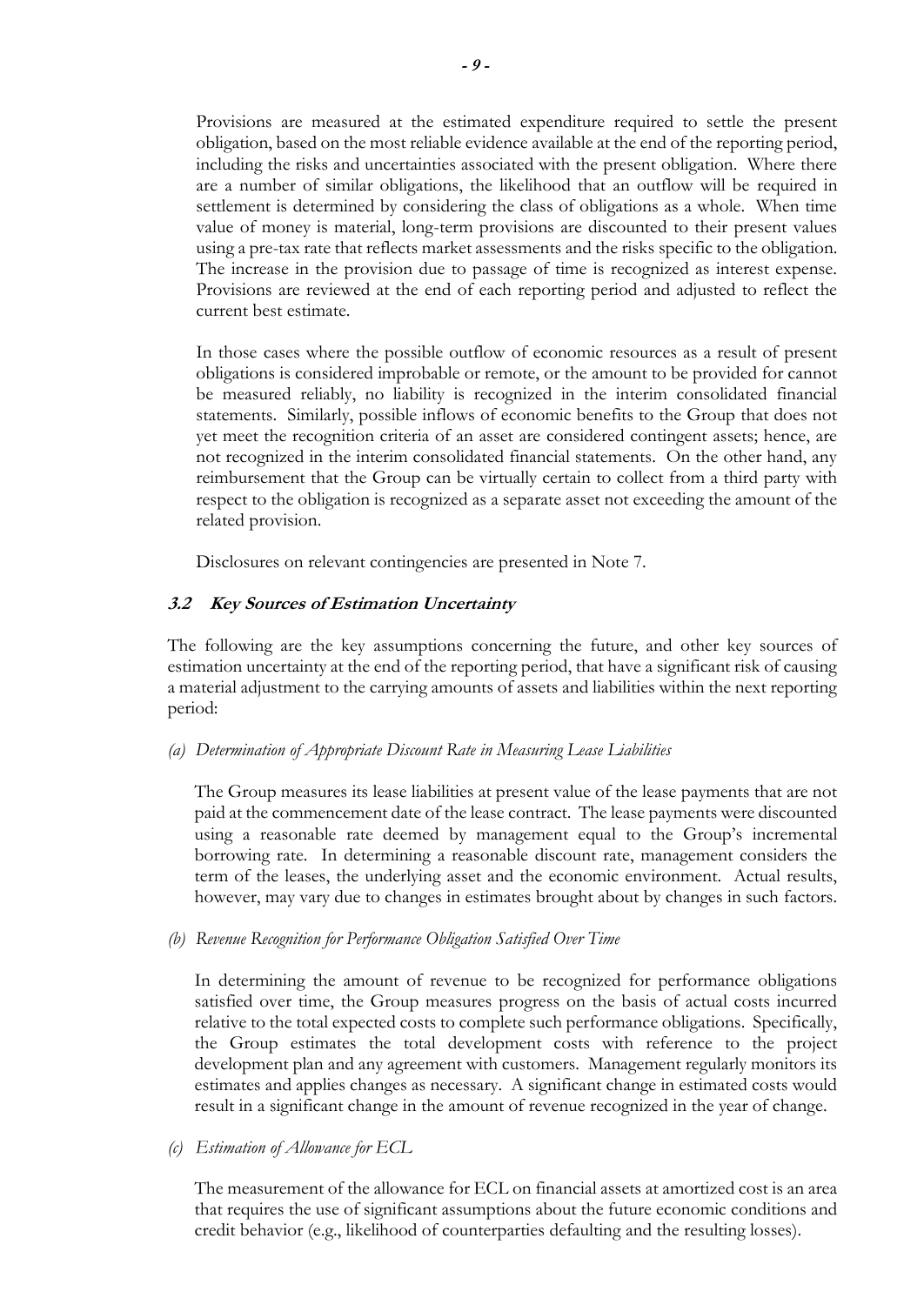Provisions are measured at the estimated expenditure required to settle the present obligation, based on the most reliable evidence available at the end of the reporting period, including the risks and uncertainties associated with the present obligation. Where there are a number of similar obligations, the likelihood that an outflow will be required in settlement is determined by considering the class of obligations as a whole. When time value of money is material, long-term provisions are discounted to their present values using a pre-tax rate that reflects market assessments and the risks specific to the obligation. The increase in the provision due to passage of time is recognized as interest expense. Provisions are reviewed at the end of each reporting period and adjusted to reflect the current best estimate.

In those cases where the possible outflow of economic resources as a result of present obligations is considered improbable or remote, or the amount to be provided for cannot be measured reliably, no liability is recognized in the interim consolidated financial statements. Similarly, possible inflows of economic benefits to the Group that does not yet meet the recognition criteria of an asset are considered contingent assets; hence, are not recognized in the interim consolidated financial statements. On the other hand, any reimbursement that the Group can be virtually certain to collect from a third party with respect to the obligation is recognized as a separate asset not exceeding the amount of the related provision.

Disclosures on relevant contingencies are presented in Note 7.

### **3.2 Key Sources of Estimation Uncertainty**

The following are the key assumptions concerning the future, and other key sources of estimation uncertainty at the end of the reporting period, that have a significant risk of causing a material adjustment to the carrying amounts of assets and liabilities within the next reporting period:

#### *(a) Determination of Appropriate Discount Rate in Measuring Lease Liabilities*

The Group measures its lease liabilities at present value of the lease payments that are not paid at the commencement date of the lease contract. The lease payments were discounted using a reasonable rate deemed by management equal to the Group's incremental borrowing rate. In determining a reasonable discount rate, management considers the term of the leases, the underlying asset and the economic environment. Actual results, however, may vary due to changes in estimates brought about by changes in such factors.

#### *(b) Revenue Recognition for Performance Obligation Satisfied Over Time*

In determining the amount of revenue to be recognized for performance obligations satisfied over time, the Group measures progress on the basis of actual costs incurred relative to the total expected costs to complete such performance obligations. Specifically, the Group estimates the total development costs with reference to the project development plan and any agreement with customers. Management regularly monitors its estimates and applies changes as necessary. A significant change in estimated costs would result in a significant change in the amount of revenue recognized in the year of change.

#### *(c) Estimation of Allowance for ECL*

The measurement of the allowance for ECL on financial assets at amortized cost is an area that requires the use of significant assumptions about the future economic conditions and credit behavior (e.g., likelihood of counterparties defaulting and the resulting losses).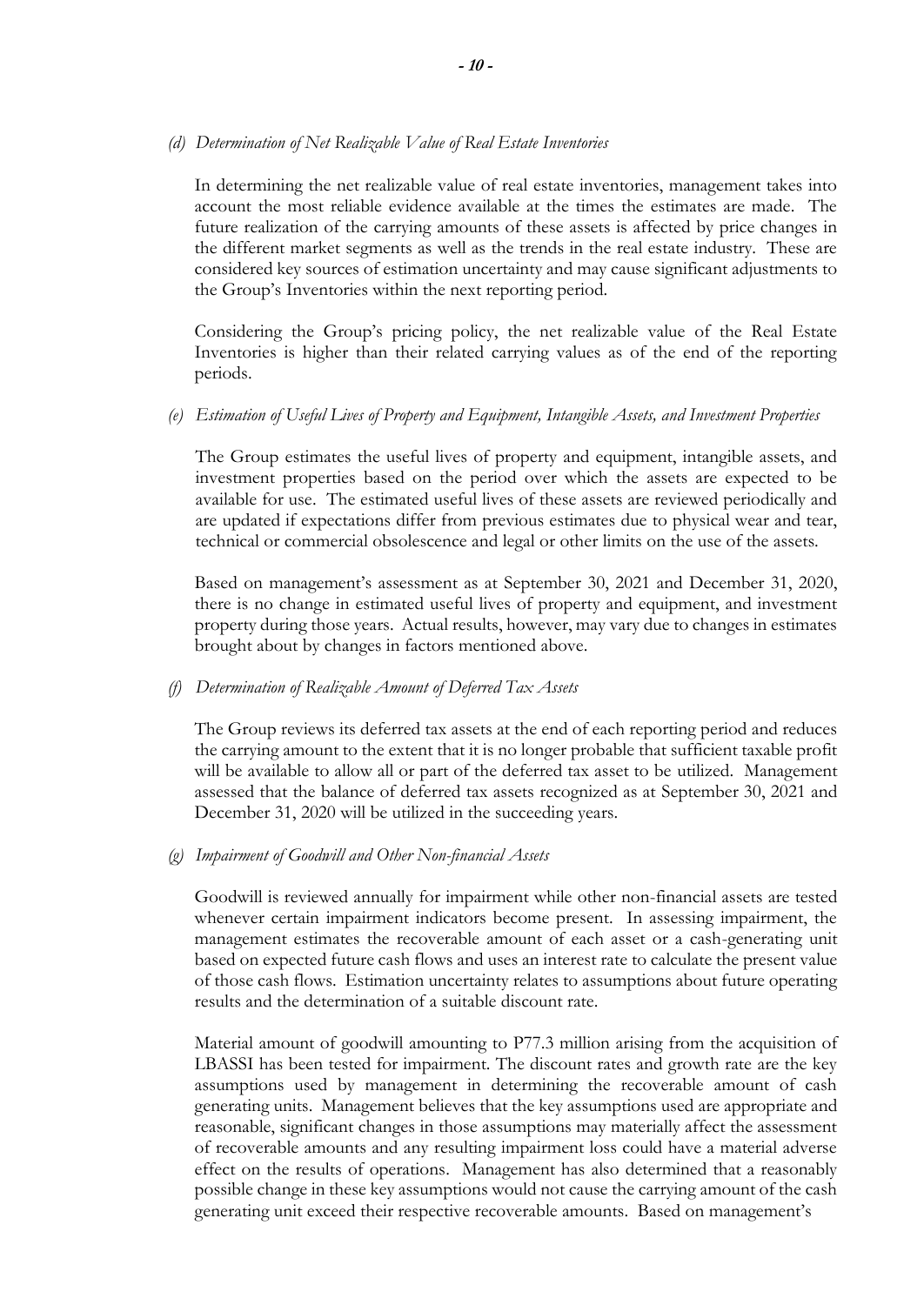#### *(d) Determination of Net Realizable Value of Real Estate Inventories*

In determining the net realizable value of real estate inventories, management takes into account the most reliable evidence available at the times the estimates are made. The future realization of the carrying amounts of these assets is affected by price changes in the different market segments as well as the trends in the real estate industry. These are considered key sources of estimation uncertainty and may cause significant adjustments to the Group's Inventories within the next reporting period.

Considering the Group's pricing policy, the net realizable value of the Real Estate Inventories is higher than their related carrying values as of the end of the reporting periods.

### *(e) Estimation of Useful Lives of Property and Equipment, Intangible Assets, and Investment Properties*

The Group estimates the useful lives of property and equipment, intangible assets, and investment properties based on the period over which the assets are expected to be available for use. The estimated useful lives of these assets are reviewed periodically and are updated if expectations differ from previous estimates due to physical wear and tear, technical or commercial obsolescence and legal or other limits on the use of the assets.

Based on management's assessment as at September 30, 2021 and December 31, 2020, there is no change in estimated useful lives of property and equipment, and investment property during those years. Actual results, however, may vary due to changes in estimates brought about by changes in factors mentioned above.

#### *(f) Determination of Realizable Amount of Deferred Tax Assets*

The Group reviews its deferred tax assets at the end of each reporting period and reduces the carrying amount to the extent that it is no longer probable that sufficient taxable profit will be available to allow all or part of the deferred tax asset to be utilized. Management assessed that the balance of deferred tax assets recognized as at September 30, 2021 and December 31, 2020 will be utilized in the succeeding years.

#### *(g) Impairment of Goodwill and Other Non-financial Assets*

Goodwill is reviewed annually for impairment while other non-financial assets are tested whenever certain impairment indicators become present. In assessing impairment, the management estimates the recoverable amount of each asset or a cash-generating unit based on expected future cash flows and uses an interest rate to calculate the present value of those cash flows. Estimation uncertainty relates to assumptions about future operating results and the determination of a suitable discount rate.

Material amount of goodwill amounting to P77.3 million arising from the acquisition of LBASSI has been tested for impairment. The discount rates and growth rate are the key assumptions used by management in determining the recoverable amount of cash generating units. Management believes that the key assumptions used are appropriate and reasonable, significant changes in those assumptions may materially affect the assessment of recoverable amounts and any resulting impairment loss could have a material adverse effect on the results of operations. Management has also determined that a reasonably possible change in these key assumptions would not cause the carrying amount of the cash generating unit exceed their respective recoverable amounts. Based on management's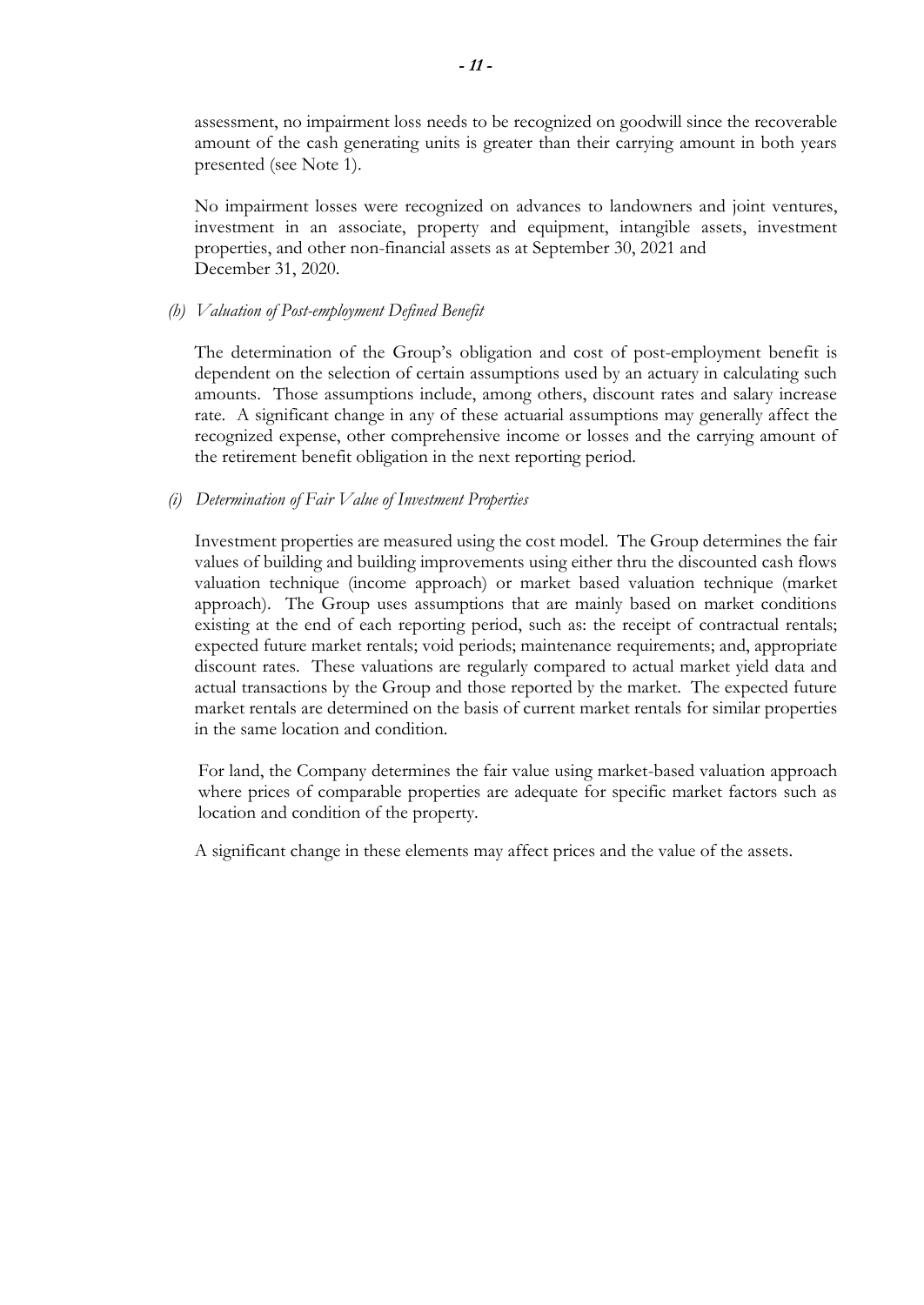assessment, no impairment loss needs to be recognized on goodwill since the recoverable amount of the cash generating units is greater than their carrying amount in both years presented (see Note 1).

No impairment losses were recognized on advances to landowners and joint ventures, investment in an associate, property and equipment, intangible assets, investment properties, and other non-financial assets as at September 30, 2021 and December 31, 2020.

### *(h) Valuation of Post-employment Defined Benefit*

The determination of the Group's obligation and cost of post-employment benefit is dependent on the selection of certain assumptions used by an actuary in calculating such amounts. Those assumptions include, among others, discount rates and salary increase rate. A significant change in any of these actuarial assumptions may generally affect the recognized expense, other comprehensive income or losses and the carrying amount of the retirement benefit obligation in the next reporting period.

### *(i) Determination of Fair Value of Investment Properties*

Investment properties are measured using the cost model. The Group determines the fair values of building and building improvements using either thru the discounted cash flows valuation technique (income approach) or market based valuation technique (market approach). The Group uses assumptions that are mainly based on market conditions existing at the end of each reporting period, such as: the receipt of contractual rentals; expected future market rentals; void periods; maintenance requirements; and, appropriate discount rates. These valuations are regularly compared to actual market yield data and actual transactions by the Group and those reported by the market. The expected future market rentals are determined on the basis of current market rentals for similar properties in the same location and condition.

For land, the Company determines the fair value using market-based valuation approach where prices of comparable properties are adequate for specific market factors such as location and condition of the property.

A significant change in these elements may affect prices and the value of the assets.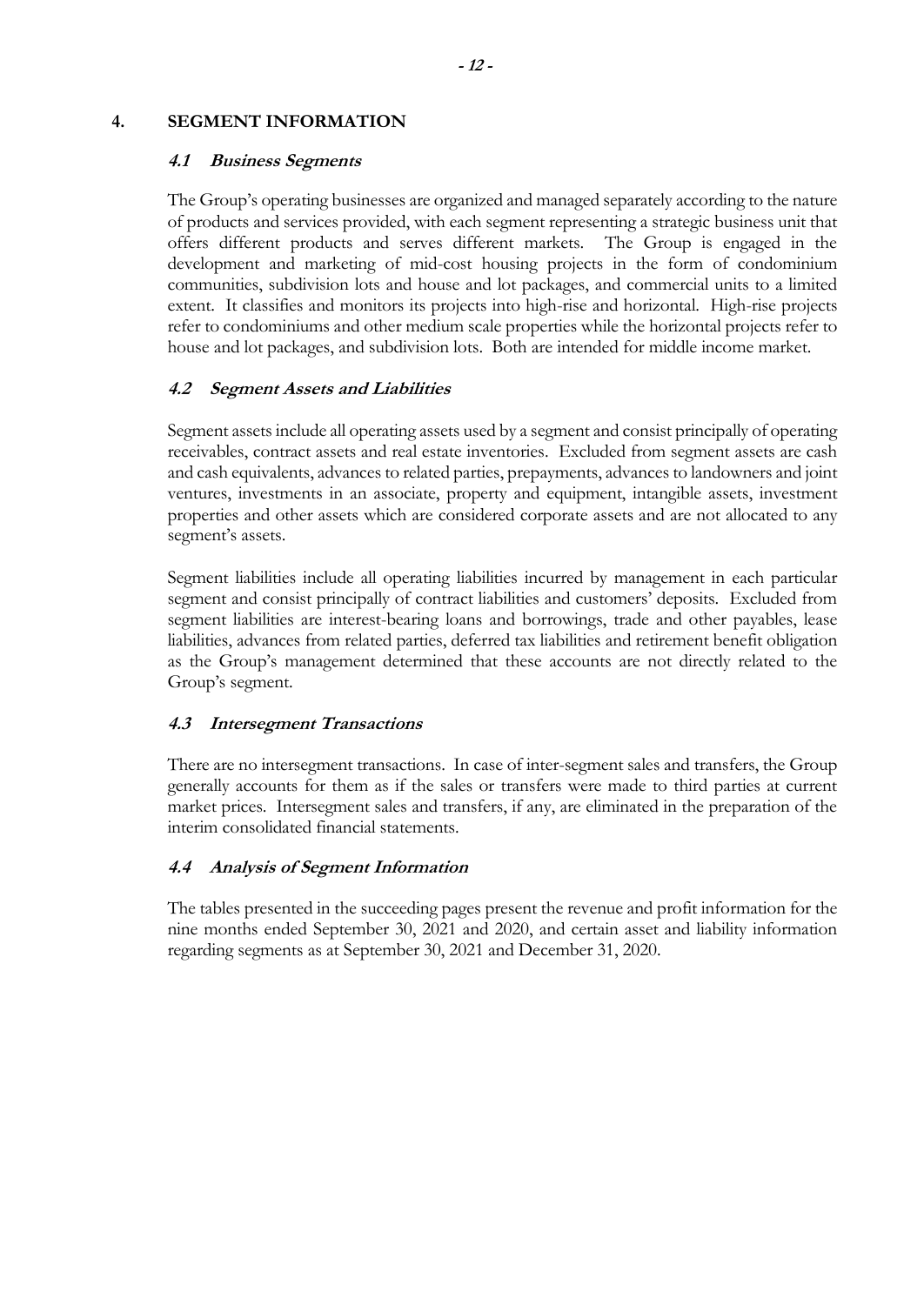### **4. SEGMENT INFORMATION**

### **4.1 Business Segments**

The Group's operating businesses are organized and managed separately according to the nature of products and services provided, with each segment representing a strategic business unit that offers different products and serves different markets. The Group is engaged in the development and marketing of mid-cost housing projects in the form of condominium communities, subdivision lots and house and lot packages, and commercial units to a limited extent. It classifies and monitors its projects into high-rise and horizontal. High-rise projects refer to condominiums and other medium scale properties while the horizontal projects refer to house and lot packages, and subdivision lots. Both are intended for middle income market.

### **4.2 Segment Assets and Liabilities**

Segment assets include all operating assets used by a segment and consist principally of operating receivables, contract assets and real estate inventories. Excluded from segment assets are cash and cash equivalents, advances to related parties, prepayments, advances to landowners and joint ventures, investments in an associate, property and equipment, intangible assets, investment properties and other assets which are considered corporate assets and are not allocated to any segment's assets.

Segment liabilities include all operating liabilities incurred by management in each particular segment and consist principally of contract liabilities and customers' deposits. Excluded from segment liabilities are interest-bearing loans and borrowings, trade and other payables, lease liabilities, advances from related parties, deferred tax liabilities and retirement benefit obligation as the Group's management determined that these accounts are not directly related to the Group's segment.

### **4.3 Intersegment Transactions**

There are no intersegment transactions. In case of inter-segment sales and transfers, the Group generally accounts for them as if the sales or transfers were made to third parties at current market prices. Intersegment sales and transfers, if any, are eliminated in the preparation of the interim consolidated financial statements.

### **4.4 Analysis of Segment Information**

The tables presented in the succeeding pages present the revenue and profit information for the nine months ended September 30, 2021 and 2020, and certain asset and liability information regarding segments as at September 30, 2021 and December 31, 2020.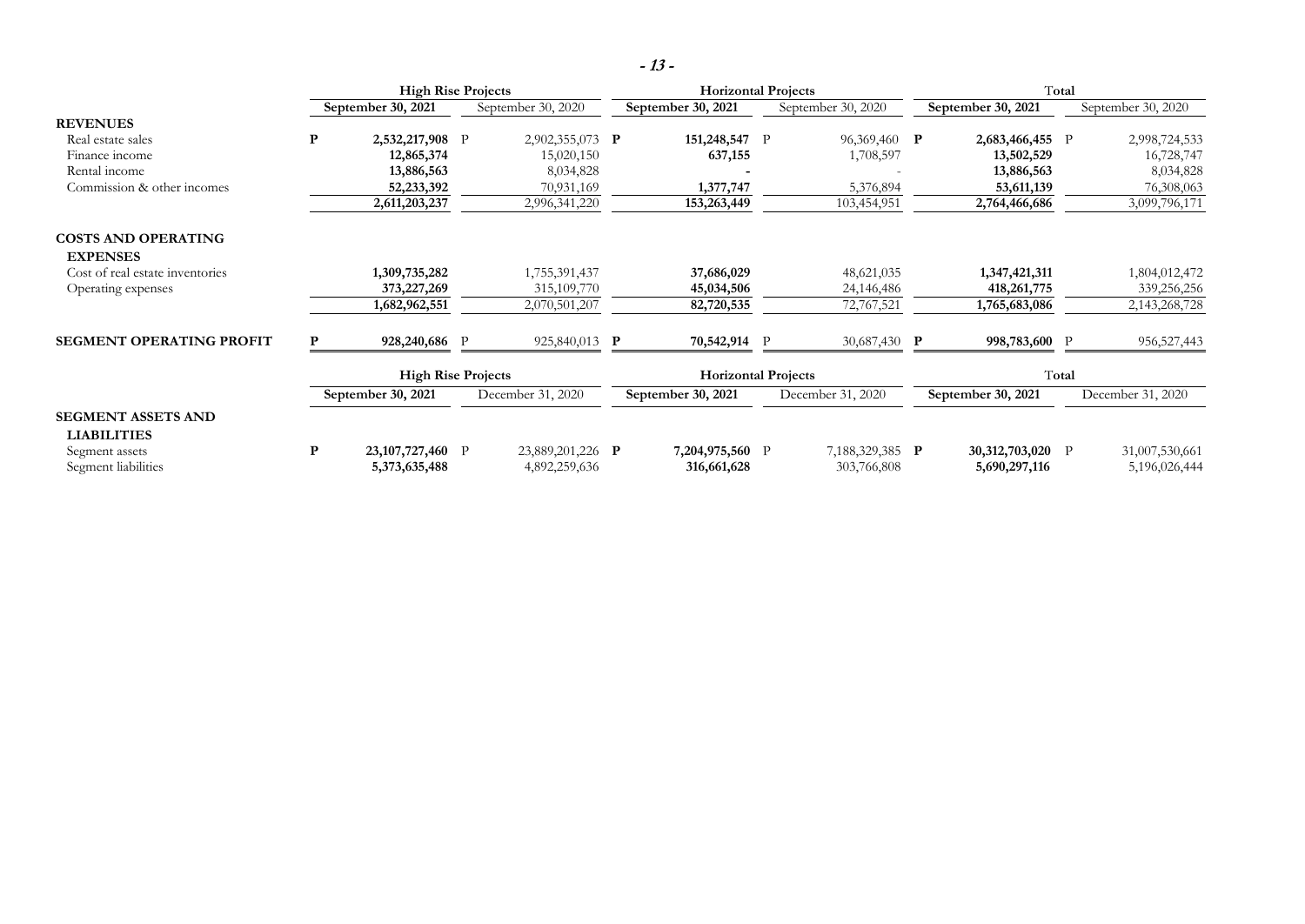|                                                 |   | <b>High Rise Projects</b>         |                           |                                   | <b>Horizontal Projects</b> |                                |              | Total                                 |  |                                   |  |                                 |
|-------------------------------------------------|---|-----------------------------------|---------------------------|-----------------------------------|----------------------------|--------------------------------|--------------|---------------------------------------|--|-----------------------------------|--|---------------------------------|
|                                                 |   | September 30, 2021                |                           | September 30, 2020                |                            | September 30, 2021             |              | September 30, 2020                    |  | September 30, 2021                |  | September 30, 2020              |
| <b>REVENUES</b>                                 |   |                                   |                           |                                   |                            |                                |              |                                       |  |                                   |  |                                 |
| Real estate sales                               | P | 2,532,217,908 P                   |                           | 2,902,355,073 P                   |                            | 151,248,547                    | $\mathbf{P}$ | 96,369,460 P                          |  | 2,683,466,455 P                   |  | 2,998,724,533                   |
| Finance income                                  |   | 12,865,374                        |                           | 15,020,150                        |                            | 637,155                        |              | 1,708,597                             |  | 13,502,529                        |  | 16,728,747                      |
| Rental income                                   |   | 13,886,563                        |                           | 8,034,828                         |                            |                                |              |                                       |  | 13,886,563                        |  | 8,034,828                       |
| Commission & other incomes                      |   | 52,233,392                        |                           | 70,931,169                        |                            | 1,377,747                      |              | 5,376,894                             |  | 53,611,139                        |  | 76,308,063                      |
|                                                 |   | 2,611,203,237                     |                           | 2,996,341,220                     |                            | 153,263,449                    |              | 103,454,951                           |  | 2,764,466,686                     |  | 3,099,796,171                   |
| <b>COSTS AND OPERATING</b><br><b>EXPENSES</b>   |   |                                   |                           |                                   |                            |                                |              |                                       |  |                                   |  |                                 |
| Cost of real estate inventories                 |   | 1,309,735,282                     |                           | 1,755,391,437                     |                            | 37,686,029                     |              | 48,621,035                            |  | 1,347,421,311                     |  | 1,804,012,472                   |
| Operating expenses                              |   | 373, 227, 269                     |                           | 315, 109, 770                     |                            | 45,034,506                     |              | 24,146,486                            |  | 418, 261, 775                     |  | 339,256,256                     |
|                                                 |   | 1,682,962,551                     |                           | 2,070,501,207                     |                            | 82,720,535                     |              | 72,767,521                            |  | 1,765,683,086                     |  | 2,143,268,728                   |
| <b>SEGMENT OPERATING PROFIT</b>                 | P | 928,240,686 P                     |                           | 925,840,013 P                     |                            | 70,542,914 P                   |              | 30,687,430 P                          |  | 998,783,600 P                     |  | 956,527,443                     |
|                                                 |   |                                   | <b>High Rise Projects</b> |                                   | <b>Horizontal Projects</b> |                                |              | Total                                 |  |                                   |  |                                 |
|                                                 |   | September 30, 2021                |                           | December 31, 2020                 |                            | September 30, 2021             |              | December 31, 2020                     |  | September 30, 2021                |  | December 31, 2020               |
| <b>SEGMENT ASSETS AND</b><br><b>LIABILITIES</b> |   |                                   |                           |                                   |                            |                                |              |                                       |  |                                   |  |                                 |
| Segment assets<br>Segment liabilities           | P | 23,107,727,460 P<br>5,373,635,488 |                           | 23,889,201,226 P<br>4,892,259,636 |                            | 7,204,975,560 P<br>316,661,628 |              | 7,188,329,385 <b>P</b><br>303,766,808 |  | 30,312,703,020 P<br>5,690,297,116 |  | 31,007,530,661<br>5,196,026,444 |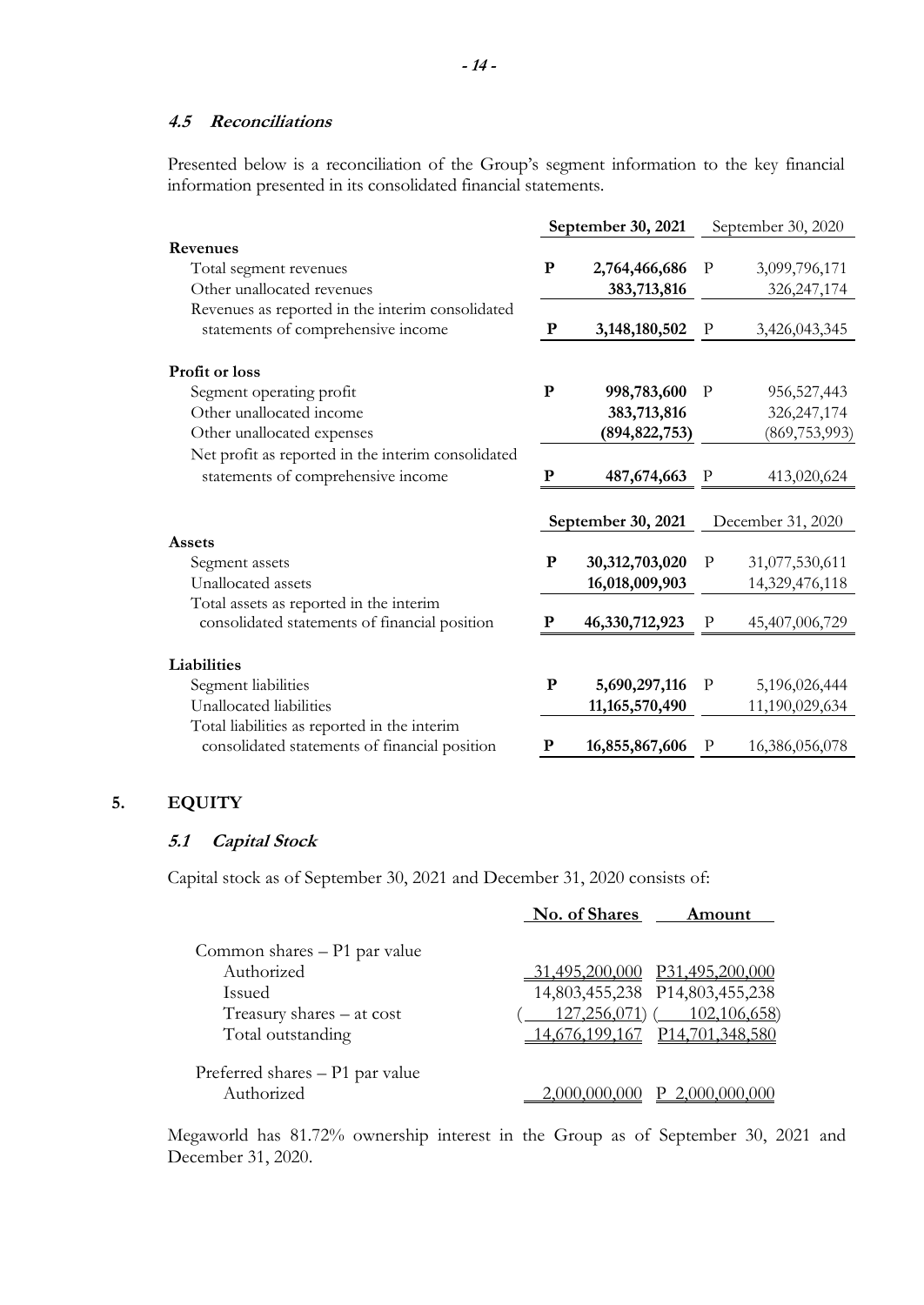#### **4.5 Reconciliations**

Presented below is a reconciliation of the Group's segment information to the key financial information presented in its consolidated financial statements.

|                                                    | September 30, 2021 |                    | September 30, 2020 |                   |  |
|----------------------------------------------------|--------------------|--------------------|--------------------|-------------------|--|
| Revenues                                           |                    |                    |                    |                   |  |
| Total segment revenues                             | ${\bf P}$          | 2,764,466,686      | $\mathbf{P}$       | 3,099,796,171     |  |
| Other unallocated revenues                         |                    | 383,713,816        |                    | 326, 247, 174     |  |
| Revenues as reported in the interim consolidated   |                    |                    |                    |                   |  |
| statements of comprehensive income                 | ${\bf P}$          | 3,148,180,502      | $\mathbf P$        | 3,426,043,345     |  |
| <b>Profit or loss</b>                              |                    |                    |                    |                   |  |
| Segment operating profit                           | $\mathbf{P}$       | 998,783,600        | $\mathbf{P}$       | 956, 527, 443     |  |
| Other unallocated income                           |                    | 383,713,816        |                    | 326, 247, 174     |  |
| Other unallocated expenses                         |                    | (894, 822, 753)    |                    | (869, 753, 993)   |  |
| Net profit as reported in the interim consolidated |                    |                    |                    |                   |  |
| statements of comprehensive income                 | $\mathbf P$        | 487,674,663        | $\, {\bf p}$       | 413,020,624       |  |
|                                                    |                    | September 30, 2021 |                    | December 31, 2020 |  |
| Assets                                             |                    |                    |                    |                   |  |
| Segment assets                                     | ${\bf P}$          | 30,312,703,020     | $\mathbf P$        | 31,077,530,611    |  |
| Unallocated assets                                 |                    | 16,018,009,903     |                    | 14,329,476,118    |  |
| Total assets as reported in the interim            |                    |                    |                    |                   |  |
| consolidated statements of financial position      | P                  | 46,330,712,923     | $\mathbf{P}$       | 45,407,006,729    |  |
| Liabilities                                        |                    |                    |                    |                   |  |
| Segment liabilities                                | ${\bf P}$          | 5,690,297,116      | $\mathbf{P}$       | 5,196,026,444     |  |
| Unallocated liabilities                            |                    | 11, 165, 570, 490  |                    | 11,190,029,634    |  |
| Total liabilities as reported in the interim       |                    |                    |                    |                   |  |
| consolidated statements of financial position      | ${\bf P}$          | 16,855,867,606     | $\mathbf P$        | 16,386,056,078    |  |

# **5. EQUITY**

### **5.1 Capital Stock**

Capital stock as of September 30, 2021 and December 31, 2020 consists of:

|                                 | No. of Shares<br>Amount        |
|---------------------------------|--------------------------------|
| Common shares – P1 par value    |                                |
| Authorized                      | P31,495,200.<br>31.495.200.000 |
| <b>Issued</b>                   | 14,803,455,238 P14,803,455,238 |
| Treasury shares $-$ at cost     | $127,256,071$ (102,106,658)    |
| Total outstanding               | 14,676,199,167 P14,701,348,580 |
| Preferred shares – P1 par value |                                |
| Authorized                      |                                |

Megaworld has 81.72% ownership interest in the Group as of September 30, 2021 and December 31, 2020.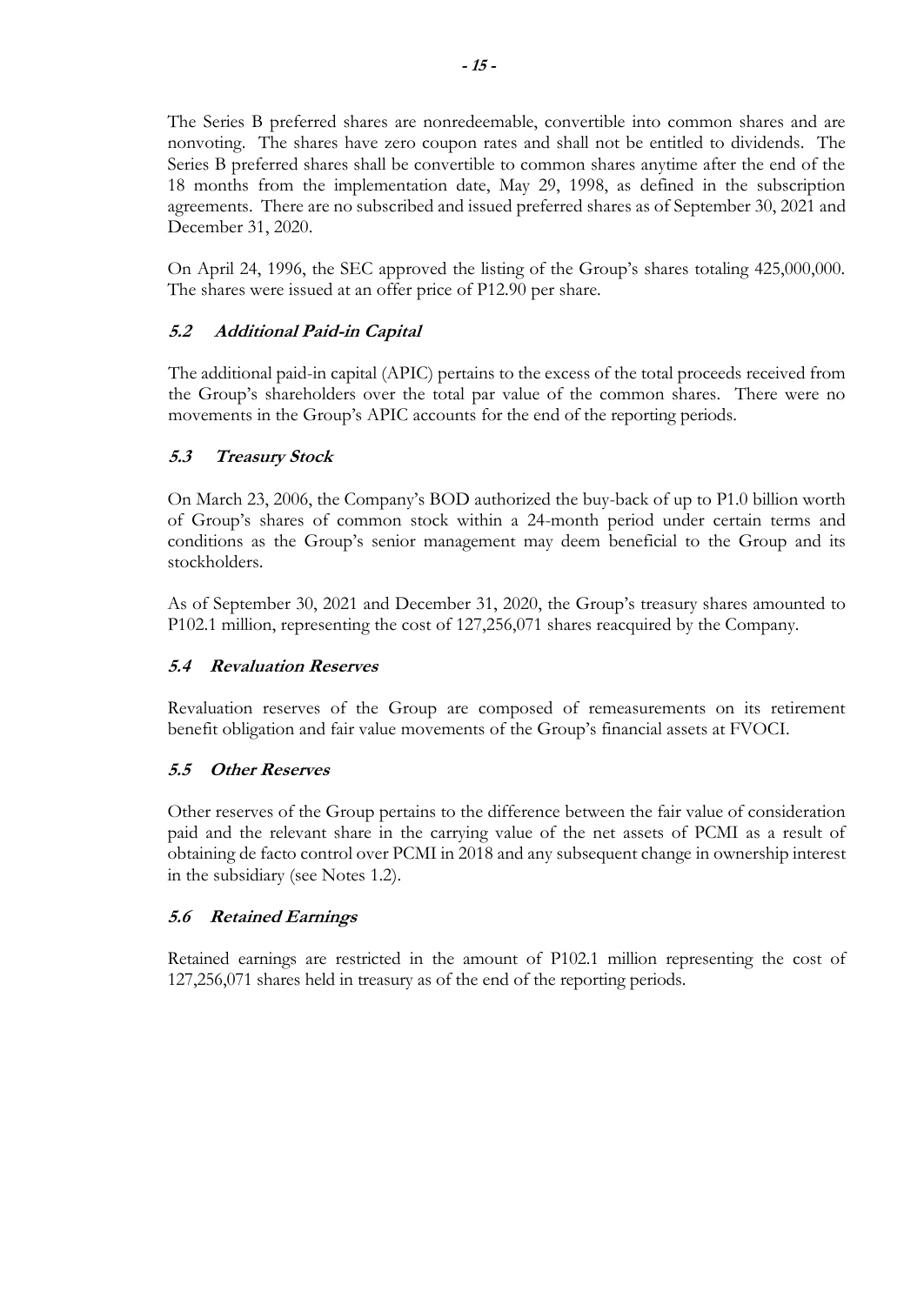The Series B preferred shares are nonredeemable, convertible into common shares and are nonvoting. The shares have zero coupon rates and shall not be entitled to dividends. The Series B preferred shares shall be convertible to common shares anytime after the end of the 18 months from the implementation date, May 29, 1998, as defined in the subscription agreements. There are no subscribed and issued preferred shares as of September 30, 2021 and December 31, 2020.

On April 24, 1996, the SEC approved the listing of the Group's shares totaling 425,000,000. The shares were issued at an offer price of P12.90 per share.

# **5.2 Additional Paid-in Capital**

The additional paid-in capital (APIC) pertains to the excess of the total proceeds received from the Group's shareholders over the total par value of the common shares. There were no movements in the Group's APIC accounts for the end of the reporting periods.

## **5.3 Treasury Stock**

On March 23, 2006, the Company's BOD authorized the buy-back of up to P1.0 billion worth of Group's shares of common stock within a 24-month period under certain terms and conditions as the Group's senior management may deem beneficial to the Group and its stockholders.

As of September 30, 2021 and December 31, 2020, the Group's treasury shares amounted to P102.1 million, representing the cost of 127,256,071 shares reacquired by the Company.

### **5.4 Revaluation Reserves**

Revaluation reserves of the Group are composed of remeasurements on its retirement benefit obligation and fair value movements of the Group's financial assets at FVOCI.

### **5.5 Other Reserves**

Other reserves of the Group pertains to the difference between the fair value of consideration paid and the relevant share in the carrying value of the net assets of PCMI as a result of obtaining de facto control over PCMI in 2018 and any subsequent change in ownership interest in the subsidiary (see Notes 1.2).

### **5.6 Retained Earnings**

Retained earnings are restricted in the amount of P102.1 million representing the cost of 127,256,071 shares held in treasury as of the end of the reporting periods.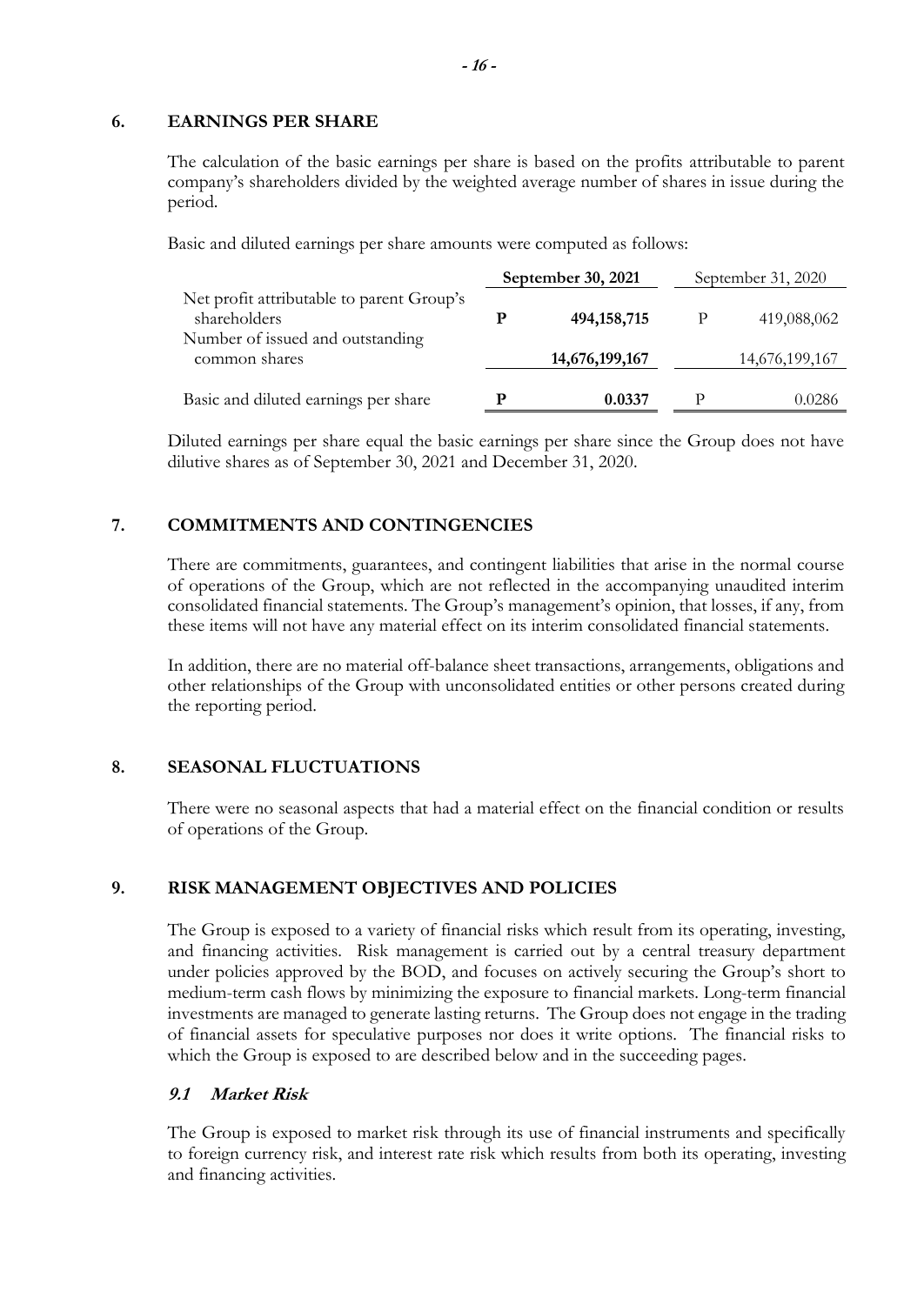#### **6. EARNINGS PER SHARE**

The calculation of the basic earnings per share is based on the profits attributable to parent company's shareholders divided by the weighted average number of shares in issue during the period.

Basic and diluted earnings per share amounts were computed as follows:

|                                                           |   | September 30, 2021 | September 31, 2020 |                |
|-----------------------------------------------------------|---|--------------------|--------------------|----------------|
| Net profit attributable to parent Group's<br>shareholders | р | 494, 158, 715      |                    | 419,088,062    |
| Number of issued and outstanding<br>common shares         |   | 14,676,199,167     |                    | 14,676,199,167 |
| Basic and diluted earnings per share                      | D | 0.0337             | P                  | 0.0286         |

Diluted earnings per share equal the basic earnings per share since the Group does not have dilutive shares as of September 30, 2021 and December 31, 2020.

# **7. COMMITMENTS AND CONTINGENCIES**

There are commitments, guarantees, and contingent liabilities that arise in the normal course of operations of the Group, which are not reflected in the accompanying unaudited interim consolidated financial statements. The Group's management's opinion, that losses, if any, from these items will not have any material effect on its interim consolidated financial statements.

In addition, there are no material off-balance sheet transactions, arrangements, obligations and other relationships of the Group with unconsolidated entities or other persons created during the reporting period.

### **8. SEASONAL FLUCTUATIONS**

There were no seasonal aspects that had a material effect on the financial condition or results of operations of the Group.

### **9. RISK MANAGEMENT OBJECTIVES AND POLICIES**

The Group is exposed to a variety of financial risks which result from its operating, investing, and financing activities. Risk management is carried out by a central treasury department under policies approved by the BOD, and focuses on actively securing the Group's short to medium-term cash flows by minimizing the exposure to financial markets. Long-term financial investments are managed to generate lasting returns. The Group does not engage in the trading of financial assets for speculative purposes nor does it write options. The financial risks to which the Group is exposed to are described below and in the succeeding pages.

### **9.1 Market Risk**

The Group is exposed to market risk through its use of financial instruments and specifically to foreign currency risk, and interest rate risk which results from both its operating, investing and financing activities.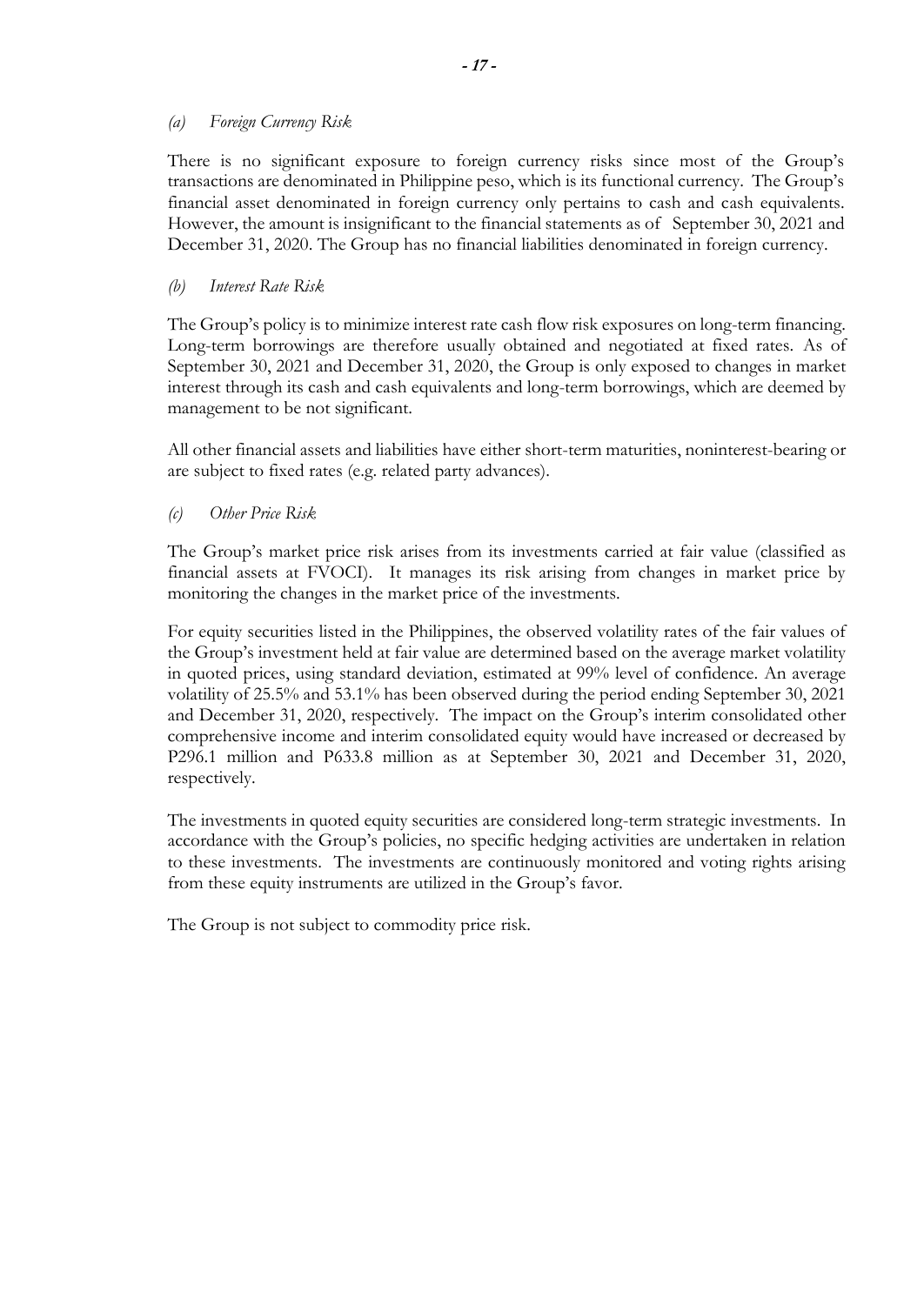### *(a) Foreign Currency Risk*

There is no significant exposure to foreign currency risks since most of the Group's transactions are denominated in Philippine peso, which is its functional currency. The Group's financial asset denominated in foreign currency only pertains to cash and cash equivalents. However, the amount is insignificant to the financial statements as of September 30, 2021 and December 31, 2020. The Group has no financial liabilities denominated in foreign currency.

### *(b) Interest Rate Risk*

The Group's policy is to minimize interest rate cash flow risk exposures on long-term financing. Long-term borrowings are therefore usually obtained and negotiated at fixed rates. As of September 30, 2021 and December 31, 2020, the Group is only exposed to changes in market interest through its cash and cash equivalents and long-term borrowings, which are deemed by management to be not significant.

All other financial assets and liabilities have either short-term maturities, noninterest-bearing or are subject to fixed rates (e.g. related party advances).

### *(c) Other Price Risk*

The Group's market price risk arises from its investments carried at fair value (classified as financial assets at FVOCI). It manages its risk arising from changes in market price by monitoring the changes in the market price of the investments.

For equity securities listed in the Philippines, the observed volatility rates of the fair values of the Group's investment held at fair value are determined based on the average market volatility in quoted prices, using standard deviation, estimated at 99% level of confidence. An average volatility of 25.5% and 53.1% has been observed during the period ending September 30, 2021 and December 31, 2020, respectively. The impact on the Group's interim consolidated other comprehensive income and interim consolidated equity would have increased or decreased by P296.1 million and P633.8 million as at September 30, 2021 and December 31, 2020, respectively.

The investments in quoted equity securities are considered long-term strategic investments. In accordance with the Group's policies, no specific hedging activities are undertaken in relation to these investments. The investments are continuously monitored and voting rights arising from these equity instruments are utilized in the Group's favor.

The Group is not subject to commodity price risk.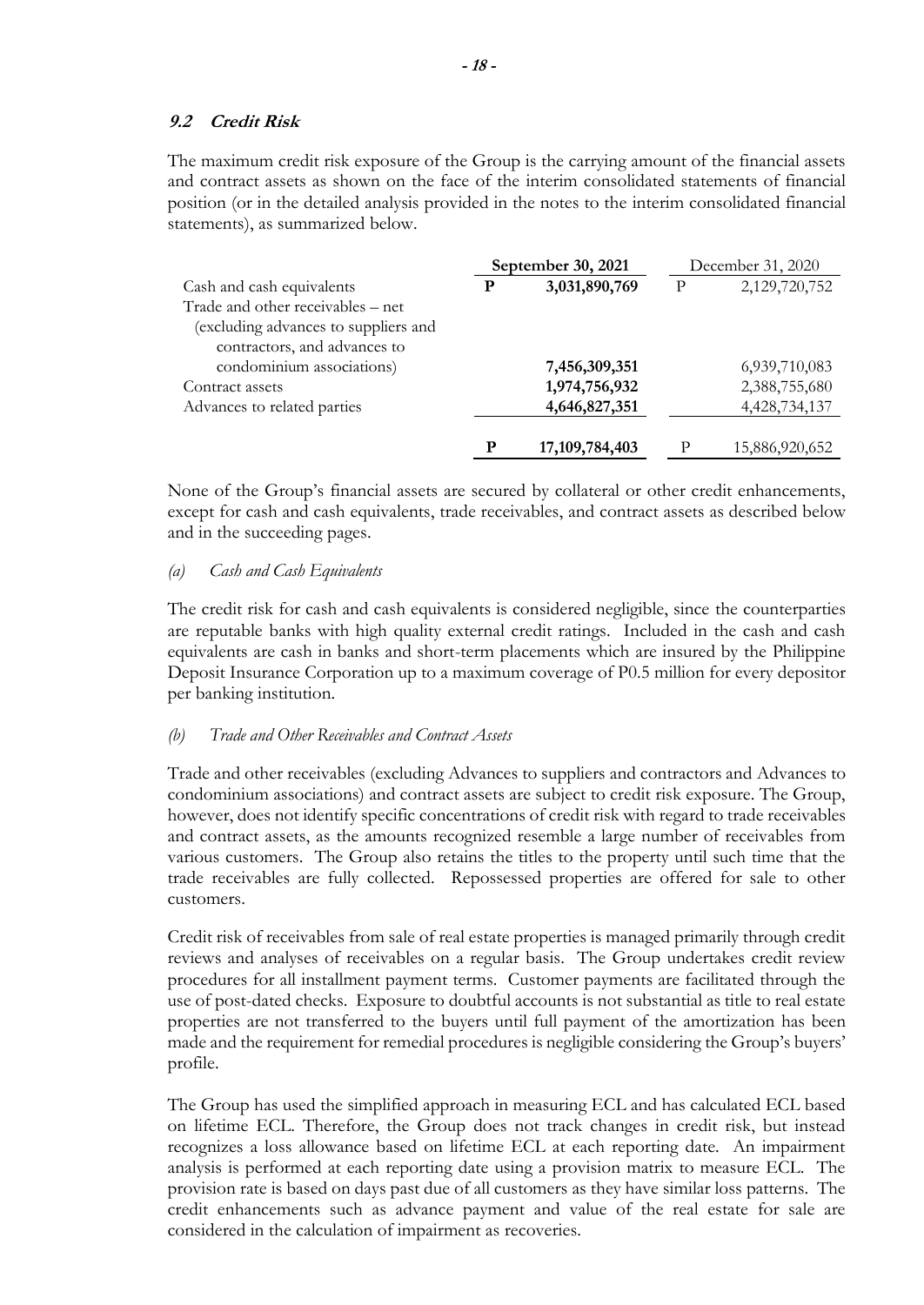### **9.2 Credit Risk**

The maximum credit risk exposure of the Group is the carrying amount of the financial assets and contract assets as shown on the face of the interim consolidated statements of financial position (or in the detailed analysis provided in the notes to the interim consolidated financial statements), as summarized below.

|                                      | September 30, 2021 |                   | December 31, 2020 |                |
|--------------------------------------|--------------------|-------------------|-------------------|----------------|
| Cash and cash equivalents            | P                  | 3,031,890,769     | P                 | 2,129,720,752  |
| Trade and other receivables – net    |                    |                   |                   |                |
| (excluding advances to suppliers and |                    |                   |                   |                |
| contractors, and advances to         |                    |                   |                   |                |
| condominium associations)            |                    | 7,456,309,351     |                   | 6,939,710,083  |
| Contract assets                      |                    | 1,974,756,932     |                   | 2,388,755,680  |
| Advances to related parties          |                    | 4,646,827,351     |                   | 4,428,734,137  |
|                                      |                    |                   |                   |                |
|                                      |                    | 17, 109, 784, 403 |                   | 15,886,920,652 |

None of the Group's financial assets are secured by collateral or other credit enhancements, except for cash and cash equivalents, trade receivables, and contract assets as described below and in the succeeding pages.

#### *(a) Cash and Cash Equivalents*

The credit risk for cash and cash equivalents is considered negligible, since the counterparties are reputable banks with high quality external credit ratings. Included in the cash and cash equivalents are cash in banks and short-term placements which are insured by the Philippine Deposit Insurance Corporation up to a maximum coverage of P0.5 million for every depositor per banking institution.

#### *(b) Trade and Other Receivables and Contract Assets*

Trade and other receivables (excluding Advances to suppliers and contractors and Advances to condominium associations) and contract assets are subject to credit risk exposure. The Group, however, does not identify specific concentrations of credit risk with regard to trade receivables and contract assets, as the amounts recognized resemble a large number of receivables from various customers. The Group also retains the titles to the property until such time that the trade receivables are fully collected. Repossessed properties are offered for sale to other customers.

Credit risk of receivables from sale of real estate properties is managed primarily through credit reviews and analyses of receivables on a regular basis. The Group undertakes credit review procedures for all installment payment terms. Customer payments are facilitated through the use of post-dated checks. Exposure to doubtful accounts is not substantial as title to real estate properties are not transferred to the buyers until full payment of the amortization has been made and the requirement for remedial procedures is negligible considering the Group's buyers' profile.

The Group has used the simplified approach in measuring ECL and has calculated ECL based on lifetime ECL. Therefore, the Group does not track changes in credit risk, but instead recognizes a loss allowance based on lifetime ECL at each reporting date. An impairment analysis is performed at each reporting date using a provision matrix to measure ECL. The provision rate is based on days past due of all customers as they have similar loss patterns. The credit enhancements such as advance payment and value of the real estate for sale are considered in the calculation of impairment as recoveries.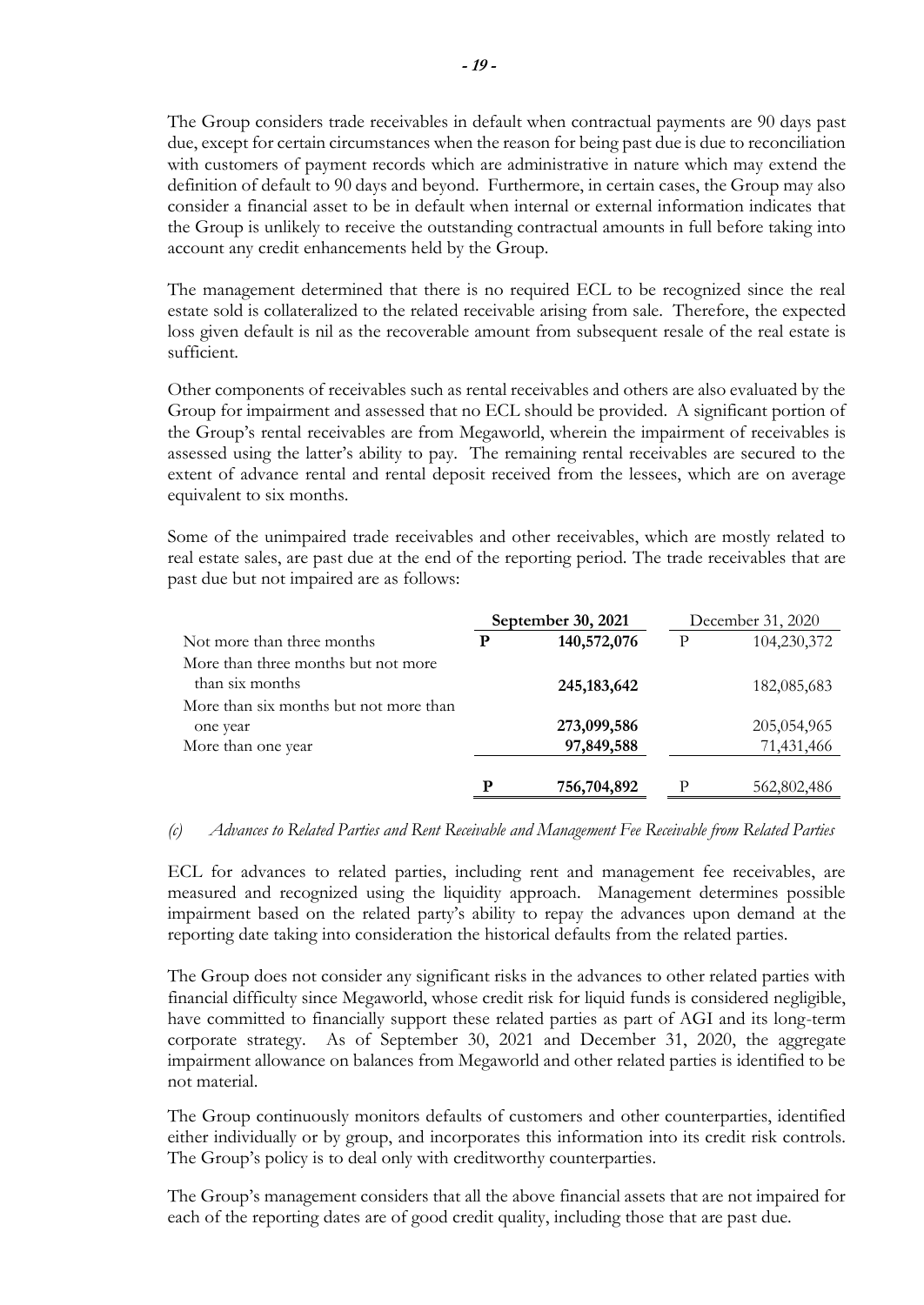The Group considers trade receivables in default when contractual payments are 90 days past due, except for certain circumstances when the reason for being past due is due to reconciliation with customers of payment records which are administrative in nature which may extend the definition of default to 90 days and beyond. Furthermore, in certain cases, the Group may also consider a financial asset to be in default when internal or external information indicates that the Group is unlikely to receive the outstanding contractual amounts in full before taking into account any credit enhancements held by the Group.

The management determined that there is no required ECL to be recognized since the real estate sold is collateralized to the related receivable arising from sale. Therefore, the expected loss given default is nil as the recoverable amount from subsequent resale of the real estate is sufficient.

Other components of receivables such as rental receivables and others are also evaluated by the Group for impairment and assessed that no ECL should be provided. A significant portion of the Group's rental receivables are from Megaworld, wherein the impairment of receivables is assessed using the latter's ability to pay. The remaining rental receivables are secured to the extent of advance rental and rental deposit received from the lessees, which are on average equivalent to six months.

Some of the unimpaired trade receivables and other receivables, which are mostly related to real estate sales, are past due at the end of the reporting period. The trade receivables that are past due but not impaired are as follows:

|                                        | September 30, 2021 |               | December 31, 2020 |             |
|----------------------------------------|--------------------|---------------|-------------------|-------------|
| Not more than three months             | P                  | 140,572,076   | P                 | 104,230,372 |
| More than three months but not more    |                    |               |                   |             |
| than six months                        |                    | 245, 183, 642 |                   | 182,085,683 |
| More than six months but not more than |                    |               |                   |             |
| one year                               |                    | 273,099,586   |                   | 205,054,965 |
| More than one year                     |                    | 97,849,588    |                   | 71,431,466  |
|                                        |                    |               |                   |             |
|                                        | D                  | 756,704,892   | р                 | 562,802,486 |

#### *(c) Advances to Related Parties and Rent Receivable and Management Fee Receivable from Related Parties*

ECL for advances to related parties, including rent and management fee receivables, are measured and recognized using the liquidity approach. Management determines possible impairment based on the related party's ability to repay the advances upon demand at the reporting date taking into consideration the historical defaults from the related parties.

The Group does not consider any significant risks in the advances to other related parties with financial difficulty since Megaworld, whose credit risk for liquid funds is considered negligible, have committed to financially support these related parties as part of AGI and its long-term corporate strategy. As of September 30, 2021 and December 31, 2020, the aggregate impairment allowance on balances from Megaworld and other related parties is identified to be not material.

The Group continuously monitors defaults of customers and other counterparties, identified either individually or by group, and incorporates this information into its credit risk controls. The Group's policy is to deal only with creditworthy counterparties.

The Group's management considers that all the above financial assets that are not impaired for each of the reporting dates are of good credit quality, including those that are past due.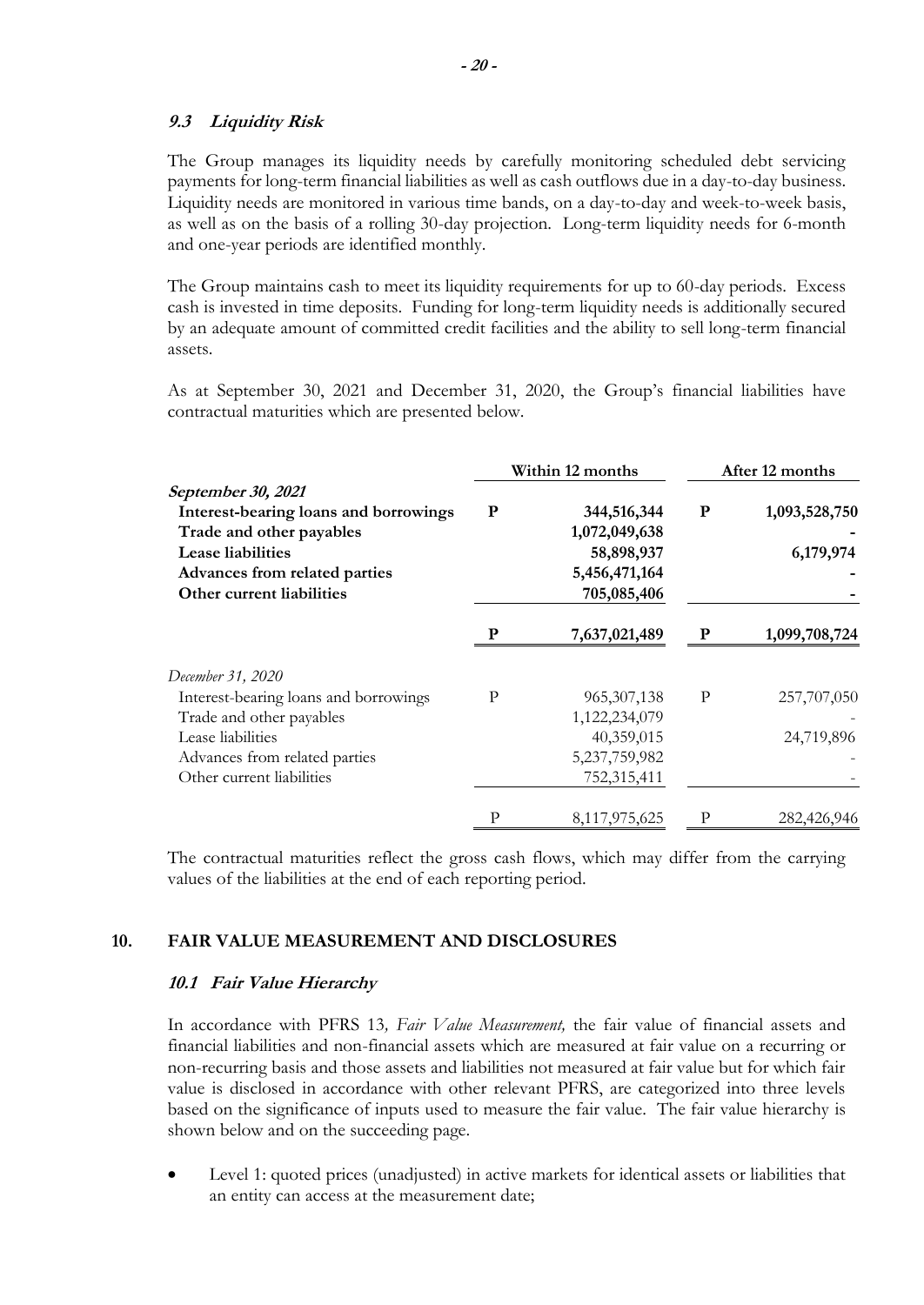#### **9.3 Liquidity Risk**

The Group manages its liquidity needs by carefully monitoring scheduled debt servicing payments for long-term financial liabilities as well as cash outflows due in a day-to-day business. Liquidity needs are monitored in various time bands, on a day-to-day and week-to-week basis, as well as on the basis of a rolling 30-day projection. Long-term liquidity needs for 6-month and one-year periods are identified monthly.

The Group maintains cash to meet its liquidity requirements for up to 60-day periods. Excess cash is invested in time deposits. Funding for long-term liquidity needs is additionally secured by an adequate amount of committed credit facilities and the ability to sell long-term financial assets.

As at September 30, 2021 and December 31, 2020, the Group's financial liabilities have contractual maturities which are presented below.

|                                                                                                              | Within 12 months |                                            | After 12 months |                            |
|--------------------------------------------------------------------------------------------------------------|------------------|--------------------------------------------|-----------------|----------------------------|
| September 30, 2021<br>Interest-bearing loans and borrowings<br>Trade and other payables<br>Lease liabilities | ${\bf P}$        | 344,516,344<br>1,072,049,638<br>58,898,937 | ${\bf P}$       | 1,093,528,750<br>6,179,974 |
| Advances from related parties<br>Other current liabilities                                                   |                  | 5,456,471,164<br>705,085,406               |                 |                            |
|                                                                                                              | P                | 7,637,021,489                              | P               | 1,099,708,724              |
| December 31, 2020                                                                                            |                  |                                            |                 |                            |
| Interest-bearing loans and borrowings                                                                        | P                | 965, 307, 138                              | $\mathbf{P}$    | 257,707,050                |
| Trade and other payables                                                                                     |                  | 1,122,234,079                              |                 |                            |
| Lease liabilities                                                                                            |                  | 40,359,015                                 |                 | 24,719,896                 |
| Advances from related parties                                                                                |                  | 5,237,759,982                              |                 |                            |
| Other current liabilities                                                                                    |                  | 752,315,411                                |                 |                            |
|                                                                                                              | Р                | 8,117,975,625                              | P               | 282,426,946                |

The contractual maturities reflect the gross cash flows, which may differ from the carrying values of the liabilities at the end of each reporting period.

### **10. FAIR VALUE MEASUREMENT AND DISCLOSURES**

#### **10.1 Fair Value Hierarchy**

In accordance with PFRS 13*, Fair Value Measurement,* the fair value of financial assets and financial liabilities and non-financial assets which are measured at fair value on a recurring or non-recurring basis and those assets and liabilities not measured at fair value but for which fair value is disclosed in accordance with other relevant PFRS, are categorized into three levels based on the significance of inputs used to measure the fair value. The fair value hierarchy is shown below and on the succeeding page.

Level 1: quoted prices (unadjusted) in active markets for identical assets or liabilities that an entity can access at the measurement date;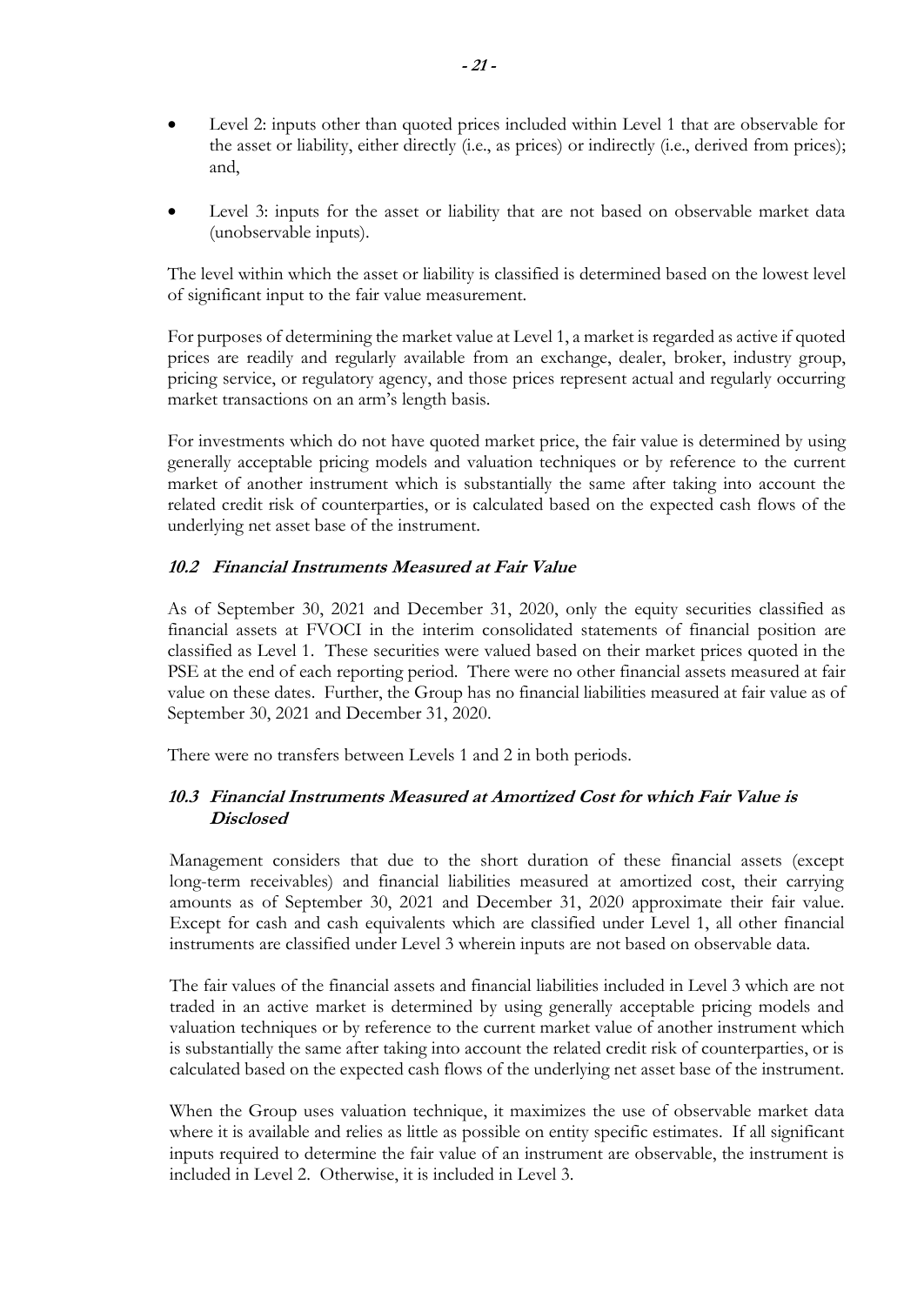- Level 2: inputs other than quoted prices included within Level 1 that are observable for the asset or liability, either directly (i.e., as prices) or indirectly (i.e., derived from prices); and,
- Level 3: inputs for the asset or liability that are not based on observable market data (unobservable inputs).

The level within which the asset or liability is classified is determined based on the lowest level of significant input to the fair value measurement.

For purposes of determining the market value at Level 1, a market is regarded as active if quoted prices are readily and regularly available from an exchange, dealer, broker, industry group, pricing service, or regulatory agency, and those prices represent actual and regularly occurring market transactions on an arm's length basis.

For investments which do not have quoted market price, the fair value is determined by using generally acceptable pricing models and valuation techniques or by reference to the current market of another instrument which is substantially the same after taking into account the related credit risk of counterparties, or is calculated based on the expected cash flows of the underlying net asset base of the instrument.

## **10.2 Financial Instruments Measured at Fair Value**

As of September 30, 2021 and December 31, 2020, only the equity securities classified as financial assets at FVOCI in the interim consolidated statements of financial position are classified as Level 1. These securities were valued based on their market prices quoted in the PSE at the end of each reporting period. There were no other financial assets measured at fair value on these dates. Further, the Group has no financial liabilities measured at fair value as of September 30, 2021 and December 31, 2020.

There were no transfers between Levels 1 and 2 in both periods.

## **10.3 Financial Instruments Measured at Amortized Cost for which Fair Value is Disclosed**

Management considers that due to the short duration of these financial assets (except long-term receivables) and financial liabilities measured at amortized cost, their carrying amounts as of September 30, 2021 and December 31, 2020 approximate their fair value. Except for cash and cash equivalents which are classified under Level 1, all other financial instruments are classified under Level 3 wherein inputs are not based on observable data.

The fair values of the financial assets and financial liabilities included in Level 3 which are not traded in an active market is determined by using generally acceptable pricing models and valuation techniques or by reference to the current market value of another instrument which is substantially the same after taking into account the related credit risk of counterparties, or is calculated based on the expected cash flows of the underlying net asset base of the instrument.

When the Group uses valuation technique, it maximizes the use of observable market data where it is available and relies as little as possible on entity specific estimates. If all significant inputs required to determine the fair value of an instrument are observable, the instrument is included in Level 2. Otherwise, it is included in Level 3.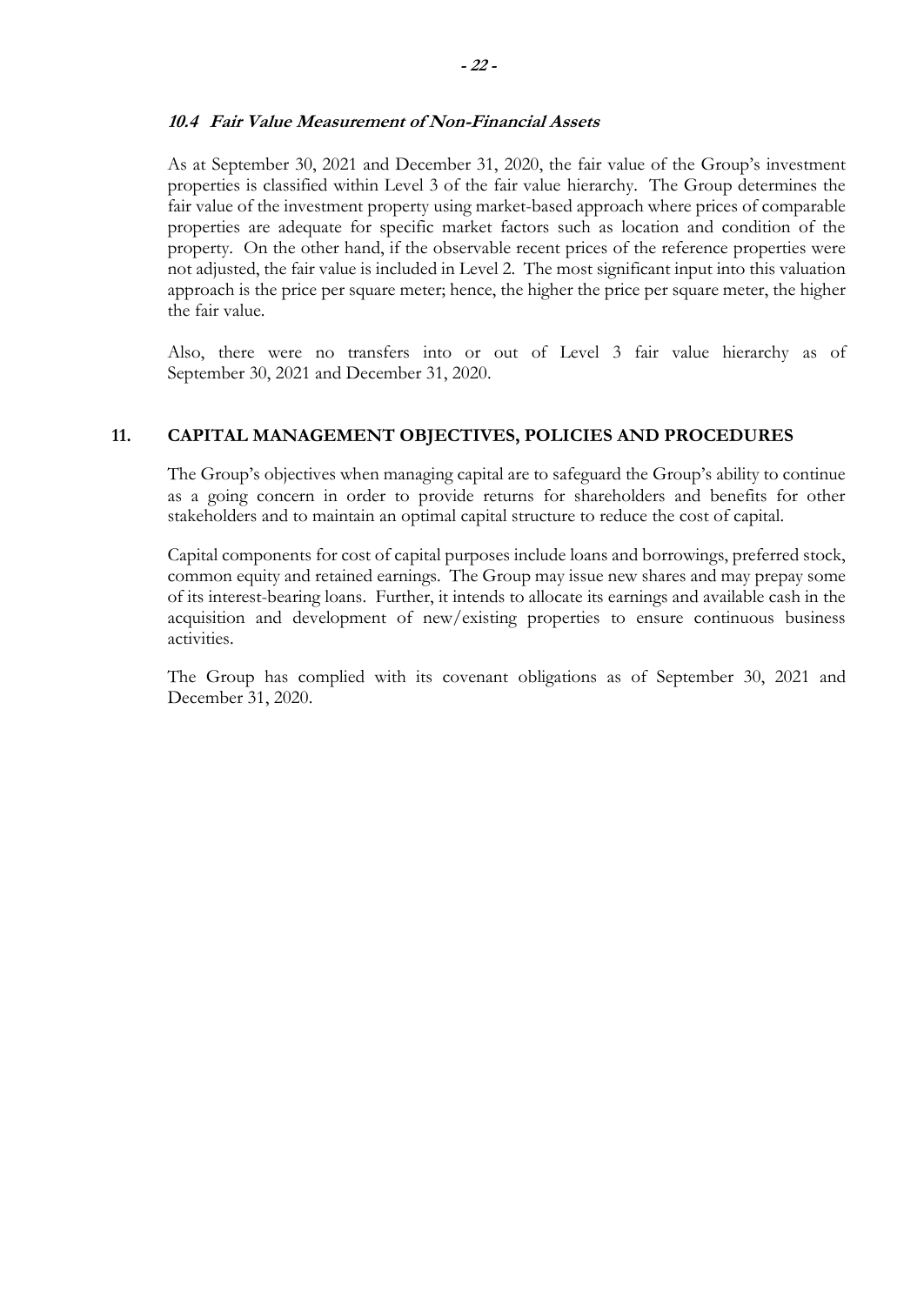#### **10.4 Fair Value Measurement of Non-Financial Assets**

As at September 30, 2021 and December 31, 2020, the fair value of the Group's investment properties is classified within Level 3 of the fair value hierarchy. The Group determines the fair value of the investment property using market-based approach where prices of comparable properties are adequate for specific market factors such as location and condition of the property. On the other hand, if the observable recent prices of the reference properties were not adjusted, the fair value is included in Level 2. The most significant input into this valuation approach is the price per square meter; hence, the higher the price per square meter, the higher the fair value.

Also, there were no transfers into or out of Level 3 fair value hierarchy as of September 30, 2021 and December 31, 2020.

#### **11. CAPITAL MANAGEMENT OBJECTIVES, POLICIES AND PROCEDURES**

The Group's objectives when managing capital are to safeguard the Group's ability to continue as a going concern in order to provide returns for shareholders and benefits for other stakeholders and to maintain an optimal capital structure to reduce the cost of capital.

Capital components for cost of capital purposes include loans and borrowings, preferred stock, common equity and retained earnings. The Group may issue new shares and may prepay some of its interest-bearing loans. Further, it intends to allocate its earnings and available cash in the acquisition and development of new/existing properties to ensure continuous business activities.

The Group has complied with its covenant obligations as of September 30, 2021 and December 31, 2020.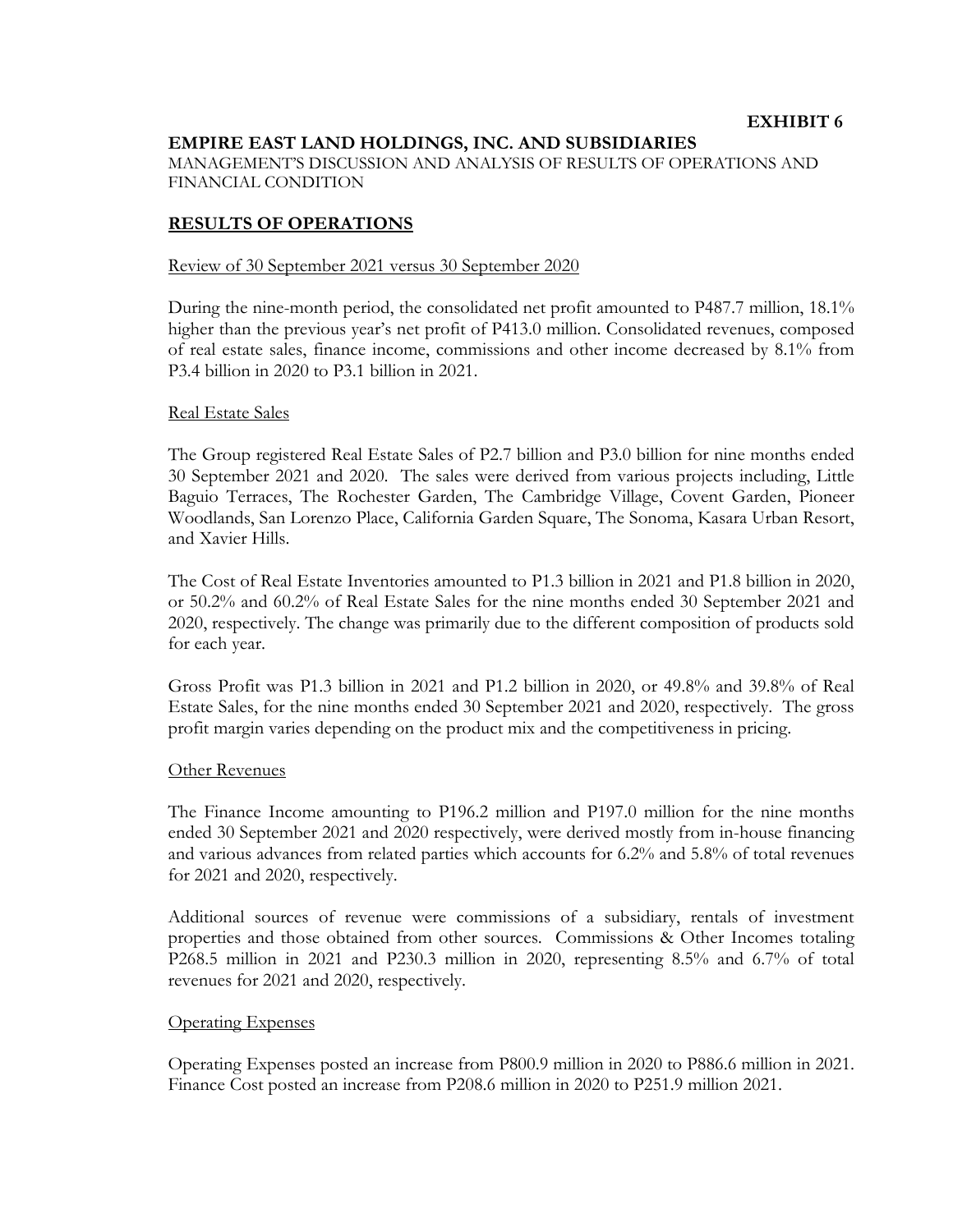### **EMPIRE EAST LAND HOLDINGS, INC. AND SUBSIDIARIES**

MANAGEMENT'S DISCUSSION AND ANALYSIS OF RESULTS OF OPERATIONS AND FINANCIAL CONDITION

#### **RESULTS OF OPERATIONS**

#### Review of 30 September 2021 versus 30 September 2020

During the nine-month period, the consolidated net profit amounted to P487.7 million, 18.1% higher than the previous year's net profit of P413.0 million. Consolidated revenues, composed of real estate sales, finance income, commissions and other income decreased by 8.1% from P3.4 billion in 2020 to P3.1 billion in 2021.

#### Real Estate Sales

The Group registered Real Estate Sales of P2.7 billion and P3.0 billion for nine months ended 30 September 2021 and 2020. The sales were derived from various projects including, Little Baguio Terraces, The Rochester Garden, The Cambridge Village, Covent Garden, Pioneer Woodlands, San Lorenzo Place, California Garden Square, The Sonoma, Kasara Urban Resort, and Xavier Hills.

The Cost of Real Estate Inventories amounted to P1.3 billion in 2021 and P1.8 billion in 2020, or 50.2% and 60.2% of Real Estate Sales for the nine months ended 30 September 2021 and 2020, respectively. The change was primarily due to the different composition of products sold for each year.

Gross Profit was P1.3 billion in 2021 and P1.2 billion in 2020, or 49.8% and 39.8% of Real Estate Sales, for the nine months ended 30 September 2021 and 2020, respectively. The gross profit margin varies depending on the product mix and the competitiveness in pricing.

#### Other Revenues

The Finance Income amounting to P196.2 million and P197.0 million for the nine months ended 30 September 2021 and 2020 respectively, were derived mostly from in-house financing and various advances from related parties which accounts for 6.2% and 5.8% of total revenues for 2021 and 2020, respectively.

Additional sources of revenue were commissions of a subsidiary, rentals of investment properties and those obtained from other sources. Commissions & Other Incomes totaling P268.5 million in 2021 and P230.3 million in 2020, representing 8.5% and 6.7% of total revenues for 2021 and 2020, respectively.

#### Operating Expenses

Operating Expenses posted an increase from P800.9 million in 2020 to P886.6 million in 2021. Finance Cost posted an increase from P208.6 million in 2020 to P251.9 million 2021.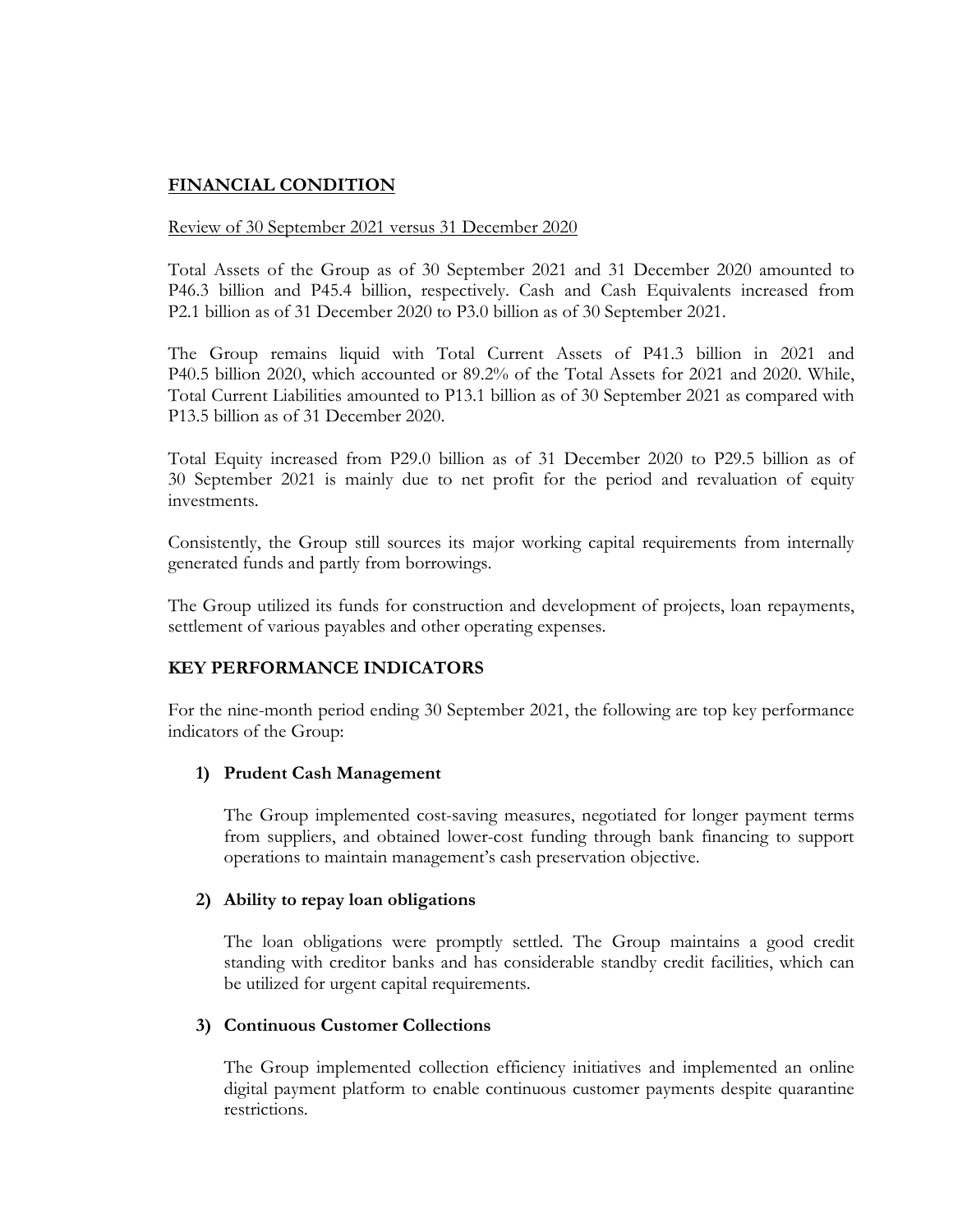## **FINANCIAL CONDITION**

### Review of 30 September 2021 versus 31 December 2020

Total Assets of the Group as of 30 September 2021 and 31 December 2020 amounted to P46.3 billion and P45.4 billion, respectively. Cash and Cash Equivalents increased from P2.1 billion as of 31 December 2020 to P3.0 billion as of 30 September 2021.

The Group remains liquid with Total Current Assets of P41.3 billion in 2021 and P40.5 billion 2020, which accounted or 89.2% of the Total Assets for 2021 and 2020. While, Total Current Liabilities amounted to P13.1 billion as of 30 September 2021 as compared with P13.5 billion as of 31 December 2020.

Total Equity increased from P29.0 billion as of 31 December 2020 to P29.5 billion as of 30 September 2021 is mainly due to net profit for the period and revaluation of equity investments.

Consistently, the Group still sources its major working capital requirements from internally generated funds and partly from borrowings.

The Group utilized its funds for construction and development of projects, loan repayments, settlement of various payables and other operating expenses.

### **KEY PERFORMANCE INDICATORS**

For the nine-month period ending 30 September 2021, the following are top key performance indicators of the Group:

#### **1) Prudent Cash Management**

The Group implemented cost-saving measures, negotiated for longer payment terms from suppliers, and obtained lower-cost funding through bank financing to support operations to maintain management's cash preservation objective.

#### **2) Ability to repay loan obligations**

The loan obligations were promptly settled. The Group maintains a good credit standing with creditor banks and has considerable standby credit facilities, which can be utilized for urgent capital requirements.

### **3) Continuous Customer Collections**

The Group implemented collection efficiency initiatives and implemented an online digital payment platform to enable continuous customer payments despite quarantine restrictions.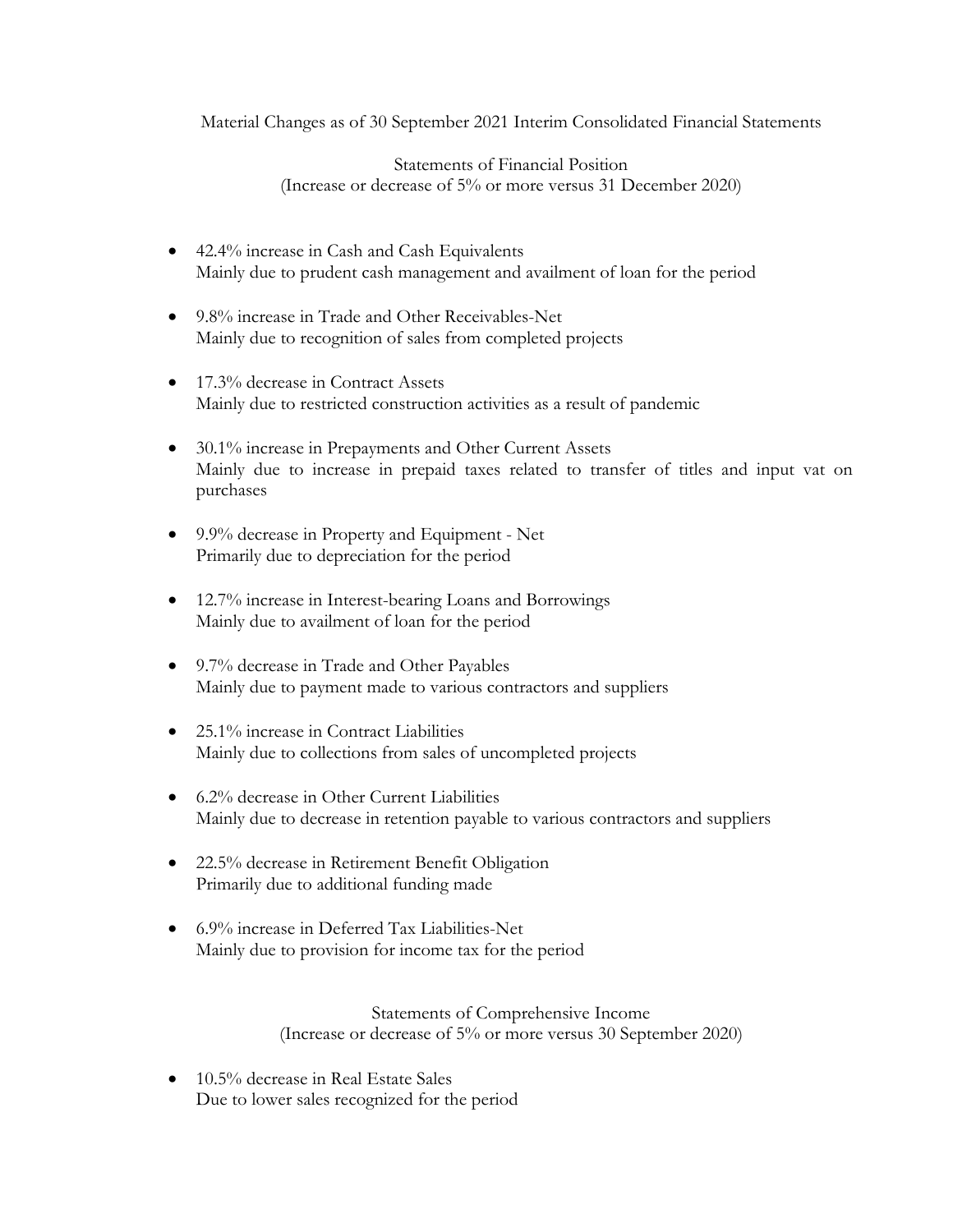Material Changes as of 30 September 2021 Interim Consolidated Financial Statements

Statements of Financial Position (Increase or decrease of 5% or more versus 31 December 2020)

- 42.4% increase in Cash and Cash Equivalents Mainly due to prudent cash management and availment of loan for the period
- 9.8% increase in Trade and Other Receivables-Net Mainly due to recognition of sales from completed projects
- 17.3% decrease in Contract Assets Mainly due to restricted construction activities as a result of pandemic
- 30.1% increase in Prepayments and Other Current Assets Mainly due to increase in prepaid taxes related to transfer of titles and input vat on purchases
- 9.9% decrease in Property and Equipment Net Primarily due to depreciation for the period
- 12.7% increase in Interest-bearing Loans and Borrowings Mainly due to availment of loan for the period
- 9.7% decrease in Trade and Other Payables Mainly due to payment made to various contractors and suppliers
- 25.1% increase in Contract Liabilities Mainly due to collections from sales of uncompleted projects
- 6.2% decrease in Other Current Liabilities Mainly due to decrease in retention payable to various contractors and suppliers
- 22.5% decrease in Retirement Benefit Obligation Primarily due to additional funding made
- 6.9% increase in Deferred Tax Liabilities-Net Mainly due to provision for income tax for the period

Statements of Comprehensive Income (Increase or decrease of 5% or more versus 30 September 2020)

• 10.5% decrease in Real Estate Sales Due to lower sales recognized for the period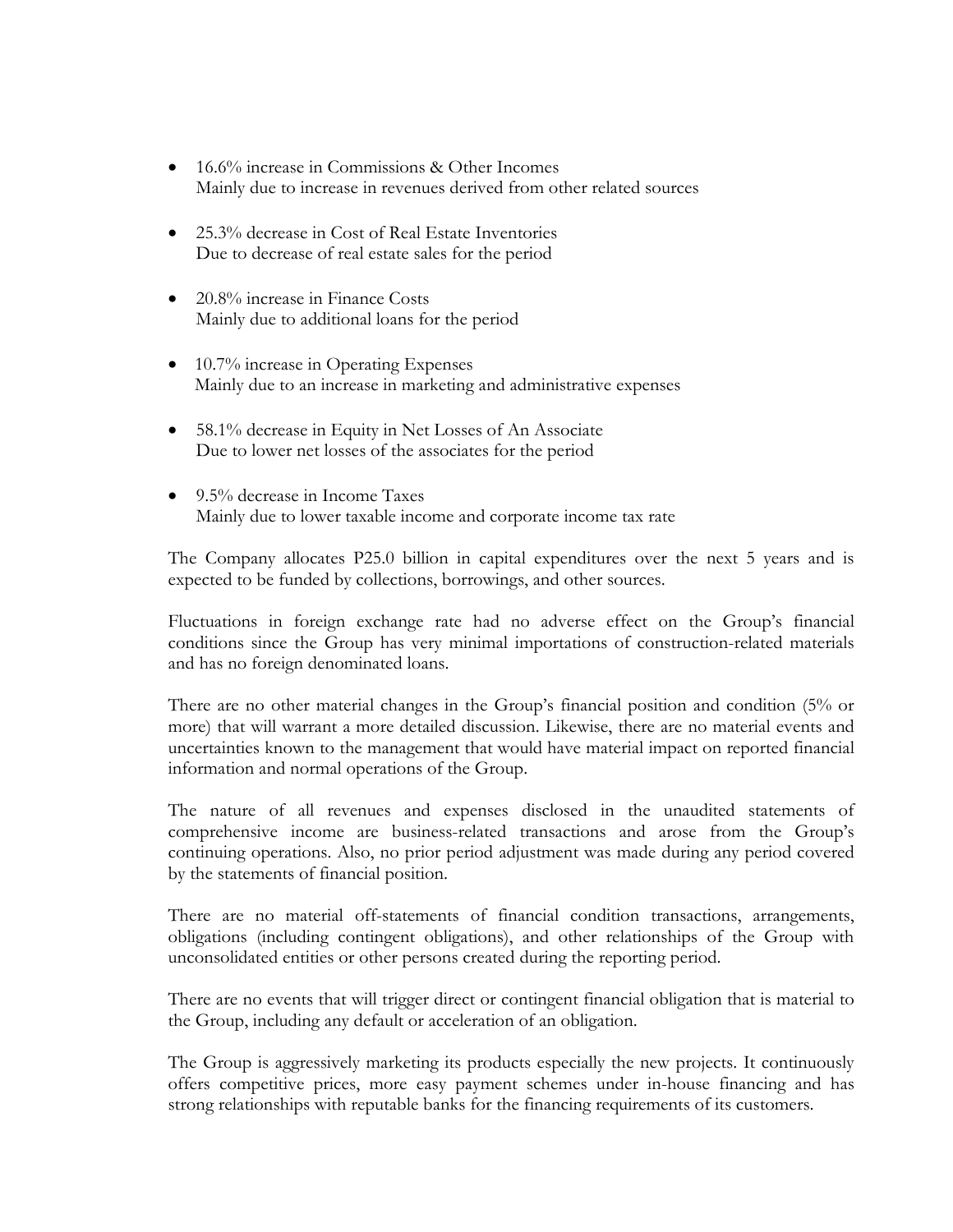- 16.6% increase in Commissions & Other Incomes Mainly due to increase in revenues derived from other related sources
- 25.3% decrease in Cost of Real Estate Inventories Due to decrease of real estate sales for the period
- 20.8% increase in Finance Costs Mainly due to additional loans for the period
- 10.7% increase in Operating Expenses Mainly due to an increase in marketing and administrative expenses
- 58.1% decrease in Equity in Net Losses of An Associate Due to lower net losses of the associates for the period
- 9.5% decrease in Income Taxes Mainly due to lower taxable income and corporate income tax rate

The Company allocates P25.0 billion in capital expenditures over the next 5 years and is expected to be funded by collections, borrowings, and other sources.

Fluctuations in foreign exchange rate had no adverse effect on the Group's financial conditions since the Group has very minimal importations of construction-related materials and has no foreign denominated loans.

There are no other material changes in the Group's financial position and condition (5% or more) that will warrant a more detailed discussion. Likewise, there are no material events and uncertainties known to the management that would have material impact on reported financial information and normal operations of the Group.

The nature of all revenues and expenses disclosed in the unaudited statements of comprehensive income are business-related transactions and arose from the Group's continuing operations. Also, no prior period adjustment was made during any period covered by the statements of financial position.

There are no material off-statements of financial condition transactions, arrangements, obligations (including contingent obligations), and other relationships of the Group with unconsolidated entities or other persons created during the reporting period.

There are no events that will trigger direct or contingent financial obligation that is material to the Group, including any default or acceleration of an obligation.

The Group is aggressively marketing its products especially the new projects. It continuously offers competitive prices, more easy payment schemes under in-house financing and has strong relationships with reputable banks for the financing requirements of its customers.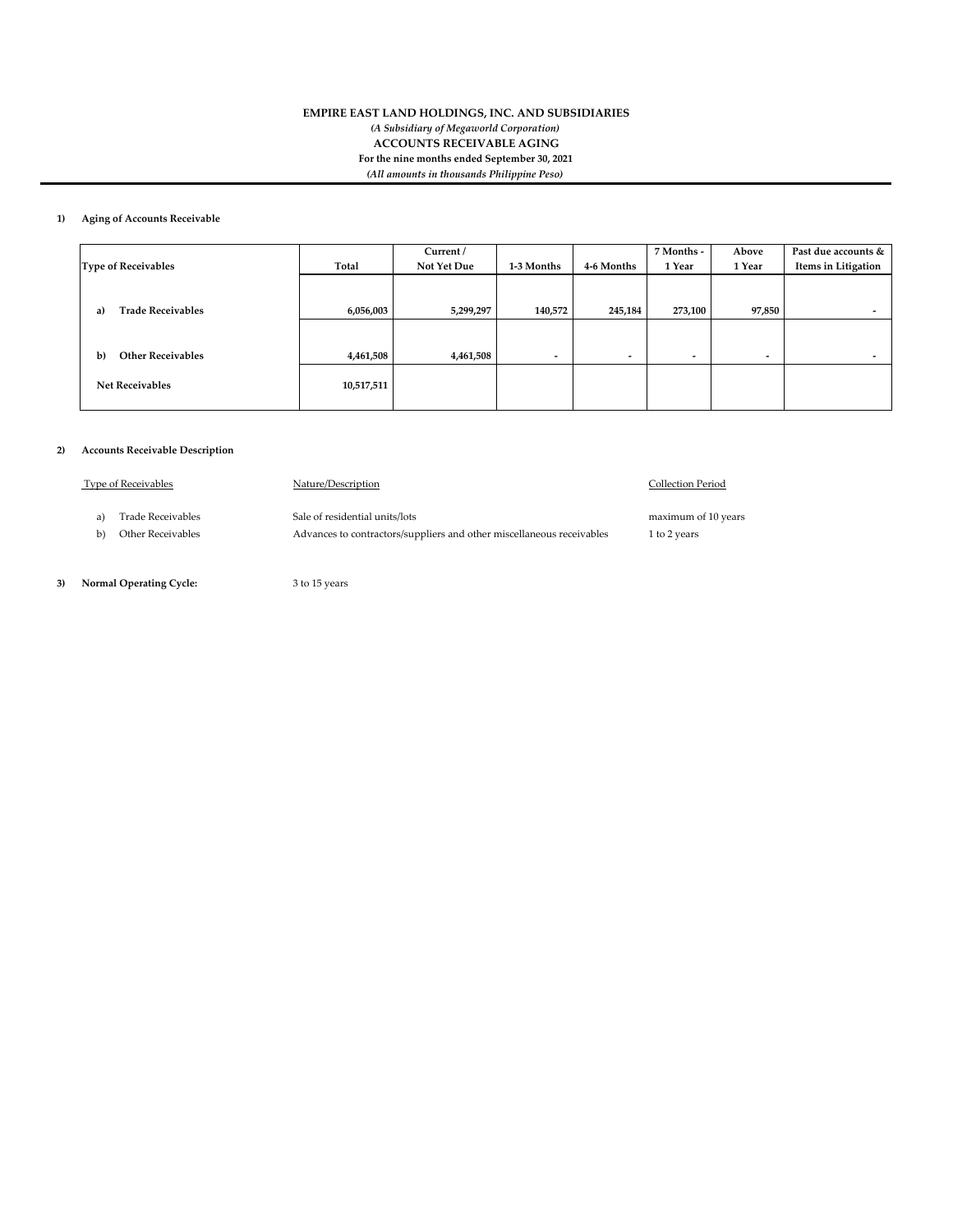#### **EMPIRE EAST LAND HOLDINGS, INC. AND SUBSIDIARIES** *(A Subsidiary of Megaworld Corporation)* **ACCOUNTS RECEIVABLE AGING For the nine months ended September 30, 2021** *(All amounts in thousands Philippine Peso)*

#### **1) Aging of Accounts Receivable**

|                                          |            | Current /   |                          |                          | 7 Months -               | Above                    | Past due accounts &      |
|------------------------------------------|------------|-------------|--------------------------|--------------------------|--------------------------|--------------------------|--------------------------|
| <b>Type of Receivables</b>               | Total      | Not Yet Due | 1-3 Months               | 4-6 Months               | 1 Year                   | 1 Year                   | Items in Litigation      |
|                                          |            |             |                          |                          |                          |                          |                          |
|                                          |            |             |                          |                          |                          |                          |                          |
| <b>Trade Receivables</b><br>a)           | 6,056,003  | 5,299,297   | 140,572                  | 245,184                  | 273,100                  | 97,850                   | $\overline{\phantom{a}}$ |
|                                          |            |             |                          |                          |                          |                          |                          |
|                                          |            |             |                          |                          |                          |                          |                          |
| <b>Other Receivables</b><br>$\mathbf{b}$ | 4,461,508  | 4,461,508   | $\overline{\phantom{0}}$ | $\overline{\phantom{a}}$ | $\overline{\phantom{a}}$ | $\overline{\phantom{a}}$ | $\overline{\phantom{a}}$ |
|                                          |            |             |                          |                          |                          |                          |                          |
| <b>Net Receivables</b>                   | 10,517,511 |             |                          |                          |                          |                          |                          |
|                                          |            |             |                          |                          |                          |                          |                          |

#### **2) Accounts Receivable Description**

| <b>Type of Receivables</b> | Nature/Description                                                    | Collection Period   |
|----------------------------|-----------------------------------------------------------------------|---------------------|
| Trade Receivables          | Sale of residential units/lots                                        | maximum of 10 years |
| Other Receivables          | Advances to contractors/suppliers and other miscellaneous receivables | 1 to 2 years        |

 **3) Normal Operating Cycle:** 3 to 15 years